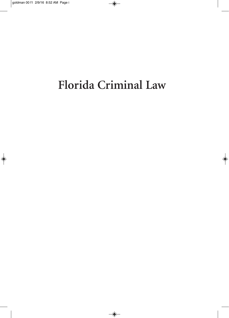# **Florida Criminal Law**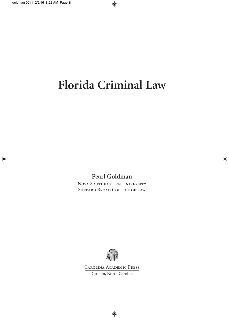## **Florida Criminal Law**

**Pearl Goldman**

Nova Southeastern University Shepard Broad College of Law



Carolina Academic Press Durham, North Carolina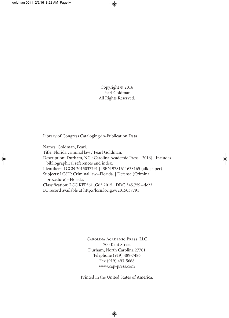Copyright © 2016 Pearl Goldman All Rights Reserved.

Library of Congress Cataloging-in-Publication Data

Names: Goldman, Pearl. Title: Florida criminal law / Pearl Goldman. Description: Durham, NC : Carolina Academic Press, [2016] | Includes bibliographical references and index. Identifiers: LCCN 2015037791 | ISBN 9781611638165 (alk. paper) Subjects: LCSH: Criminal law--Florida. | Defense (Criminal procedure)--Florida. Classification: LCC KFF561 .G65 2015 | DDC 345.759--dc23 LC record available at http://lccn.loc.gov/2015037791

> Carolina Academic Press, LLC 700 Kent Street Durham, North Carolina 27701 Telephone (919) 489-7486 Fax (919) 493-5668 www.cap-press.com

Printed in the United States of America.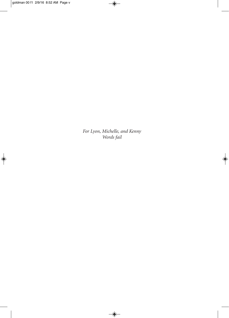*For Lyon, Michelle, and Kenny Words fail*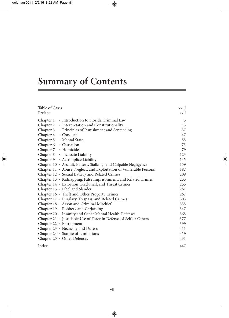## **Summary of Contents**

| Table of Cases<br>Preface                                           | xxiii<br>lxvii |
|---------------------------------------------------------------------|----------------|
| Chapter 1 · Introduction to Florida Criminal Law                    | 3              |
| Chapter 2 • Interpretation and Constitutionality                    | 13             |
| Chapter 3 • Principles of Punishment and Sentencing                 | 37             |
| Chapter 4 · Conduct                                                 | 47             |
| Chapter 5 · Mental State                                            | 55             |
| Chapter 6 · Causation                                               | 73             |
| Chapter 7 · Homicide                                                | 79             |
| Chapter 8 · Inchoate Liability                                      | 123            |
| Chapter 9 · Accomplice Liability                                    | 145            |
| Chapter 10 · Assault, Battery, Stalking, and Culpable Negligence    | 159            |
| Chapter 11 · Abuse, Neglect, and Exploitation of Vulnerable Persons | 187            |
| Chapter 12 · Sexual Battery and Related Crimes                      | 209            |
| Chapter 13 · Kidnapping, False Imprisonment, and Related Crimes     | 235            |
| Chapter 14 · Extortion, Blackmail, and Threat Crimes                | 255            |
| Chapter 15 · Libel and Slander                                      | 261            |
| Chapter 16 · Theft and Other Property Crimes                        | 267            |
| Chapter 17 · Burglary, Trespass, and Related Crimes                 | 303            |
| Chapter 18 · Arson and Criminal Mischief                            | 335            |
| Chapter 19 · Robbery and Carjacking                                 | 347            |
| Chapter 20 · Insanity and Other Mental Health Defenses              | 365            |
| Chapter 21 · Justifiable Use of Force in Defense of Self or Others  | 377            |
| Chapter $22 \cdot$ Entrapment                                       | 399            |
| Chapter 23 · Necessity and Duress                                   | 411            |
| Chapter $24 \cdot$ Statute of Limitations                           | 419            |
| Chapter $25 \cdot$ Other Defenses                                   | 431            |
| Index                                                               | 447            |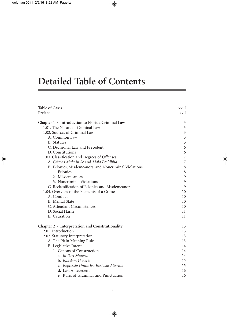### **Detailed Table of Contents**

| Table of Cases                                         | <b>XX111</b>   |
|--------------------------------------------------------|----------------|
| Preface                                                | lxvii          |
|                                                        |                |
| Chapter $1 \cdot$ Introduction to Florida Criminal Law | 3              |
| 1.01. The Nature of Criminal Law                       | $\mathfrak{Z}$ |
| 1.02. Sources of Criminal Law                          | $\mathfrak{Z}$ |
| A. Common Law                                          | $\mathfrak{Z}$ |
| <b>B.</b> Statutes                                     | 5              |
| C. Decisional Law and Precedent                        | 6              |
| D. Constitutions                                       | 6              |
| 1.03. Classification and Degrees of Offenses           | $\overline{7}$ |
| A. Crimes Mala in Se and Mala Prohibita                | 7              |
| B. Felonies, Misdemeanors, and Noncriminal Violations  | 8              |
| 1. Felonies                                            | $\,$ 8 $\,$    |
| 2. Misdemeanors                                        | 9              |
| 3. Noncriminal Violations                              | 9              |
| C. Reclassification of Felonies and Misdemeanors       | 9              |
| 1.04. Overview of the Elements of a Crime              | 10             |
| A. Conduct                                             | 10             |
| B. Mental State                                        | 10             |
| C. Attendant Circumstances                             | 10             |
| D. Social Harm                                         | 11             |
| E. Causation                                           | 11             |
| Chapter $2 \cdot$ Interpretation and Constitutionality | 13             |
| 2.01. Introduction                                     | 13             |
| 2.02. Statutory Interpretation                         | 13             |
| A. The Plain Meaning Rule                              | 13             |
| B. Legislative Intent                                  | 14             |
| 1. Canons of Construction                              | 14             |
| a. In Pari Materia                                     | 14             |
| b. Ejusdem Generis                                     | 15             |
| c. Expressio Unius Est Exclusio Alterius               | 15             |
| d. Last Antecedent                                     | 16             |
| e. Rules of Grammar and Punctuation                    | 16             |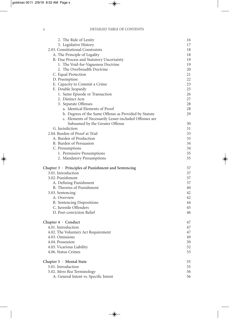#### x DETAILED TABLE OF CONTENTS

| 3. Legislative History<br>2.03. Constitutional Constraints<br>A. The Principle of Legality<br>B. Due Process and Statutory Uncertainty<br>1. The Void-for-Vagueness Doctrine<br>2. The Overbreadth Doctrine<br>C. Equal Protection<br>D. Preemption<br>E. Capacity to Commit a Crime<br>F. Double Jeopardy<br>1. Same Episode or Transaction<br>2. Distinct Acts<br>3. Separate Offenses<br>a. Identical Elements of Proof<br>b. Degrees of the Same Offense as Provided by Statute<br>c. Elements of Necessarily Lesser-included Offenses are<br>Subsumed by the Greater Offense<br>G. Jurisdiction<br>2.04. Burden of Proof at Trial<br>A. Burden of Production<br>B. Burden of Persuasion<br>C. Presumptions<br>1. Permissive Presumptions<br>2. Mandatory Presumptions<br>Chapter $3 \cdot$ Principles of Punishment and Sentencing<br>3.01. Introduction<br>3.02. Punishment<br>A. Defining Punishment<br>B. Theories of Punishment<br>3.03. Sentencing<br>A. Overview<br><b>B.</b> Sentencing Dispositions<br>C. Juvenile Offenders<br>D. Post-conviction Relief<br>Chapter 4 · Conduct<br>4.01. Introduction<br>4.02. The Voluntary Act Requirement<br>4.03. Omissions<br>4.04. Possession<br>4.05. Vicarious Liability<br>4.06. Status Crimes<br>Chapter 5 · Mental State<br>5.01. Introduction<br>5.02. Mens Rea Terminology | 2. The Rule of Lenity | 16 |
|---------------------------------------------------------------------------------------------------------------------------------------------------------------------------------------------------------------------------------------------------------------------------------------------------------------------------------------------------------------------------------------------------------------------------------------------------------------------------------------------------------------------------------------------------------------------------------------------------------------------------------------------------------------------------------------------------------------------------------------------------------------------------------------------------------------------------------------------------------------------------------------------------------------------------------------------------------------------------------------------------------------------------------------------------------------------------------------------------------------------------------------------------------------------------------------------------------------------------------------------------------------------------------------------------------------------------------------|-----------------------|----|
|                                                                                                                                                                                                                                                                                                                                                                                                                                                                                                                                                                                                                                                                                                                                                                                                                                                                                                                                                                                                                                                                                                                                                                                                                                                                                                                                       |                       | 17 |
|                                                                                                                                                                                                                                                                                                                                                                                                                                                                                                                                                                                                                                                                                                                                                                                                                                                                                                                                                                                                                                                                                                                                                                                                                                                                                                                                       |                       | 18 |
|                                                                                                                                                                                                                                                                                                                                                                                                                                                                                                                                                                                                                                                                                                                                                                                                                                                                                                                                                                                                                                                                                                                                                                                                                                                                                                                                       |                       | 18 |
|                                                                                                                                                                                                                                                                                                                                                                                                                                                                                                                                                                                                                                                                                                                                                                                                                                                                                                                                                                                                                                                                                                                                                                                                                                                                                                                                       |                       | 19 |
|                                                                                                                                                                                                                                                                                                                                                                                                                                                                                                                                                                                                                                                                                                                                                                                                                                                                                                                                                                                                                                                                                                                                                                                                                                                                                                                                       |                       | 19 |
|                                                                                                                                                                                                                                                                                                                                                                                                                                                                                                                                                                                                                                                                                                                                                                                                                                                                                                                                                                                                                                                                                                                                                                                                                                                                                                                                       |                       | 20 |
|                                                                                                                                                                                                                                                                                                                                                                                                                                                                                                                                                                                                                                                                                                                                                                                                                                                                                                                                                                                                                                                                                                                                                                                                                                                                                                                                       |                       | 21 |
|                                                                                                                                                                                                                                                                                                                                                                                                                                                                                                                                                                                                                                                                                                                                                                                                                                                                                                                                                                                                                                                                                                                                                                                                                                                                                                                                       |                       | 22 |
|                                                                                                                                                                                                                                                                                                                                                                                                                                                                                                                                                                                                                                                                                                                                                                                                                                                                                                                                                                                                                                                                                                                                                                                                                                                                                                                                       |                       | 23 |
|                                                                                                                                                                                                                                                                                                                                                                                                                                                                                                                                                                                                                                                                                                                                                                                                                                                                                                                                                                                                                                                                                                                                                                                                                                                                                                                                       |                       | 25 |
|                                                                                                                                                                                                                                                                                                                                                                                                                                                                                                                                                                                                                                                                                                                                                                                                                                                                                                                                                                                                                                                                                                                                                                                                                                                                                                                                       |                       | 26 |
|                                                                                                                                                                                                                                                                                                                                                                                                                                                                                                                                                                                                                                                                                                                                                                                                                                                                                                                                                                                                                                                                                                                                                                                                                                                                                                                                       |                       | 27 |
|                                                                                                                                                                                                                                                                                                                                                                                                                                                                                                                                                                                                                                                                                                                                                                                                                                                                                                                                                                                                                                                                                                                                                                                                                                                                                                                                       |                       | 28 |
|                                                                                                                                                                                                                                                                                                                                                                                                                                                                                                                                                                                                                                                                                                                                                                                                                                                                                                                                                                                                                                                                                                                                                                                                                                                                                                                                       |                       | 28 |
|                                                                                                                                                                                                                                                                                                                                                                                                                                                                                                                                                                                                                                                                                                                                                                                                                                                                                                                                                                                                                                                                                                                                                                                                                                                                                                                                       |                       | 29 |
|                                                                                                                                                                                                                                                                                                                                                                                                                                                                                                                                                                                                                                                                                                                                                                                                                                                                                                                                                                                                                                                                                                                                                                                                                                                                                                                                       |                       |    |
|                                                                                                                                                                                                                                                                                                                                                                                                                                                                                                                                                                                                                                                                                                                                                                                                                                                                                                                                                                                                                                                                                                                                                                                                                                                                                                                                       |                       | 30 |
|                                                                                                                                                                                                                                                                                                                                                                                                                                                                                                                                                                                                                                                                                                                                                                                                                                                                                                                                                                                                                                                                                                                                                                                                                                                                                                                                       |                       | 31 |
|                                                                                                                                                                                                                                                                                                                                                                                                                                                                                                                                                                                                                                                                                                                                                                                                                                                                                                                                                                                                                                                                                                                                                                                                                                                                                                                                       |                       | 33 |
|                                                                                                                                                                                                                                                                                                                                                                                                                                                                                                                                                                                                                                                                                                                                                                                                                                                                                                                                                                                                                                                                                                                                                                                                                                                                                                                                       |                       | 33 |
|                                                                                                                                                                                                                                                                                                                                                                                                                                                                                                                                                                                                                                                                                                                                                                                                                                                                                                                                                                                                                                                                                                                                                                                                                                                                                                                                       |                       | 34 |
|                                                                                                                                                                                                                                                                                                                                                                                                                                                                                                                                                                                                                                                                                                                                                                                                                                                                                                                                                                                                                                                                                                                                                                                                                                                                                                                                       |                       | 34 |
|                                                                                                                                                                                                                                                                                                                                                                                                                                                                                                                                                                                                                                                                                                                                                                                                                                                                                                                                                                                                                                                                                                                                                                                                                                                                                                                                       |                       | 35 |
|                                                                                                                                                                                                                                                                                                                                                                                                                                                                                                                                                                                                                                                                                                                                                                                                                                                                                                                                                                                                                                                                                                                                                                                                                                                                                                                                       |                       | 35 |
|                                                                                                                                                                                                                                                                                                                                                                                                                                                                                                                                                                                                                                                                                                                                                                                                                                                                                                                                                                                                                                                                                                                                                                                                                                                                                                                                       |                       | 37 |
|                                                                                                                                                                                                                                                                                                                                                                                                                                                                                                                                                                                                                                                                                                                                                                                                                                                                                                                                                                                                                                                                                                                                                                                                                                                                                                                                       |                       | 37 |
|                                                                                                                                                                                                                                                                                                                                                                                                                                                                                                                                                                                                                                                                                                                                                                                                                                                                                                                                                                                                                                                                                                                                                                                                                                                                                                                                       |                       | 37 |
|                                                                                                                                                                                                                                                                                                                                                                                                                                                                                                                                                                                                                                                                                                                                                                                                                                                                                                                                                                                                                                                                                                                                                                                                                                                                                                                                       |                       | 37 |
|                                                                                                                                                                                                                                                                                                                                                                                                                                                                                                                                                                                                                                                                                                                                                                                                                                                                                                                                                                                                                                                                                                                                                                                                                                                                                                                                       |                       | 40 |
|                                                                                                                                                                                                                                                                                                                                                                                                                                                                                                                                                                                                                                                                                                                                                                                                                                                                                                                                                                                                                                                                                                                                                                                                                                                                                                                                       |                       | 42 |
|                                                                                                                                                                                                                                                                                                                                                                                                                                                                                                                                                                                                                                                                                                                                                                                                                                                                                                                                                                                                                                                                                                                                                                                                                                                                                                                                       |                       | 42 |
|                                                                                                                                                                                                                                                                                                                                                                                                                                                                                                                                                                                                                                                                                                                                                                                                                                                                                                                                                                                                                                                                                                                                                                                                                                                                                                                                       |                       | 44 |
|                                                                                                                                                                                                                                                                                                                                                                                                                                                                                                                                                                                                                                                                                                                                                                                                                                                                                                                                                                                                                                                                                                                                                                                                                                                                                                                                       |                       | 45 |
|                                                                                                                                                                                                                                                                                                                                                                                                                                                                                                                                                                                                                                                                                                                                                                                                                                                                                                                                                                                                                                                                                                                                                                                                                                                                                                                                       |                       | 46 |
|                                                                                                                                                                                                                                                                                                                                                                                                                                                                                                                                                                                                                                                                                                                                                                                                                                                                                                                                                                                                                                                                                                                                                                                                                                                                                                                                       |                       | 47 |
|                                                                                                                                                                                                                                                                                                                                                                                                                                                                                                                                                                                                                                                                                                                                                                                                                                                                                                                                                                                                                                                                                                                                                                                                                                                                                                                                       |                       | 47 |
|                                                                                                                                                                                                                                                                                                                                                                                                                                                                                                                                                                                                                                                                                                                                                                                                                                                                                                                                                                                                                                                                                                                                                                                                                                                                                                                                       |                       | 47 |
|                                                                                                                                                                                                                                                                                                                                                                                                                                                                                                                                                                                                                                                                                                                                                                                                                                                                                                                                                                                                                                                                                                                                                                                                                                                                                                                                       |                       | 49 |
|                                                                                                                                                                                                                                                                                                                                                                                                                                                                                                                                                                                                                                                                                                                                                                                                                                                                                                                                                                                                                                                                                                                                                                                                                                                                                                                                       |                       | 50 |
|                                                                                                                                                                                                                                                                                                                                                                                                                                                                                                                                                                                                                                                                                                                                                                                                                                                                                                                                                                                                                                                                                                                                                                                                                                                                                                                                       |                       | 52 |
|                                                                                                                                                                                                                                                                                                                                                                                                                                                                                                                                                                                                                                                                                                                                                                                                                                                                                                                                                                                                                                                                                                                                                                                                                                                                                                                                       |                       | 53 |
|                                                                                                                                                                                                                                                                                                                                                                                                                                                                                                                                                                                                                                                                                                                                                                                                                                                                                                                                                                                                                                                                                                                                                                                                                                                                                                                                       |                       | 55 |
|                                                                                                                                                                                                                                                                                                                                                                                                                                                                                                                                                                                                                                                                                                                                                                                                                                                                                                                                                                                                                                                                                                                                                                                                                                                                                                                                       |                       | 55 |
|                                                                                                                                                                                                                                                                                                                                                                                                                                                                                                                                                                                                                                                                                                                                                                                                                                                                                                                                                                                                                                                                                                                                                                                                                                                                                                                                       |                       | 56 |
| A. General Intent vs. Specific Intent                                                                                                                                                                                                                                                                                                                                                                                                                                                                                                                                                                                                                                                                                                                                                                                                                                                                                                                                                                                                                                                                                                                                                                                                                                                                                                 |                       | 56 |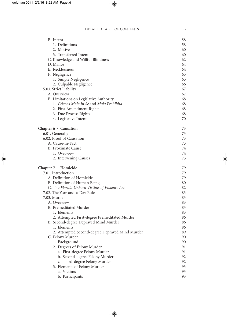| B. Intent                                       | 58 |
|-------------------------------------------------|----|
| 1. Definitions                                  | 58 |
| 2. Motive                                       | 60 |
| 3. Transferred Intent                           | 60 |
| C. Knowledge and Willful Blindness              | 62 |
| D. Malice                                       | 64 |
| E. Recklessness                                 | 64 |
| F. Negligence                                   | 65 |
| 1. Simple Negligence                            | 65 |
| 2. Culpable Negligence                          | 66 |
| 5.03. Strict Liability                          | 67 |
| A. Overview                                     | 67 |
| B. Limitations on Legislative Authority         | 68 |
| 1. Crimes Mala in Se and Mala Prohibita         | 68 |
| 2. First Amendment Rights                       | 68 |
| 3. Due Process Rights                           | 68 |
| 4. Legislative Intent                           | 70 |
| Chapter $6 \cdot$ Causation                     | 73 |
| 6.01. Generally                                 | 73 |
| 6.02. Proof of Causation                        | 73 |
| A. Cause-in-Fact                                | 73 |
| B. Proximate Cause                              | 74 |
| 1. Overview                                     | 74 |
| 2. Intervening Causes                           | 75 |
| Chapter 7 · Homicide                            | 79 |
| 7.01. Introduction                              | 79 |
| A. Definition of Homicide                       | 79 |
| B. Definition of Human Being                    | 80 |
| C. The Florida Unborn Victims of Violence Act   | 82 |
| 7.02. The Year-and-a-Day Rule                   | 83 |
| 7.03. Murder                                    | 83 |
| A. Overview                                     | 83 |
| B. Premeditated Murder                          | 83 |
| 1. Elements                                     | 83 |
| 2. Attempted First-degree Premeditated Murder   | 86 |
| B. Second-degree Depraved Mind Murder           | 86 |
| 1. Elements                                     | 86 |
| 2. Attempted Second-degree Depraved Mind Murder | 89 |
| C. Felony Murder                                | 90 |
| 1. Background                                   | 90 |
| 2. Degrees of Felony Murder                     | 91 |
| a. First-degree Felony Murder                   | 91 |
| b. Second-degree Felony Murder                  | 92 |
| c. Third-degree Felony Murder                   | 92 |
| 3. Elements of Felony Murder                    | 93 |
| a. Victims                                      | 93 |
| b. Participants                                 | 93 |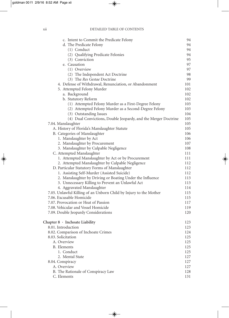#### xii DETAILED TABLE OF CONTENTS

| c. Intent to Commit the Predicate Felony                          | 94  |
|-------------------------------------------------------------------|-----|
| d. The Predicate Felony                                           | 94  |
| (1) Conduct                                                       | 94  |
| (2) Qualifying Predicate Felonies                                 | 94  |
| (3) Conviction                                                    | 95  |
| e. Causation                                                      | 97  |
| (1) Overview                                                      | 97  |
| (2) The Independent Act Doctrine                                  | 98  |
| (3) The Res Gestae Doctrine                                       | 99  |
| 4. Defense of Withdrawal, Renunciation, or Abandonment            | 101 |
| 5. Attempted Felony Murder                                        | 102 |
| a. Background                                                     | 102 |
| b. Statutory Reform                                               | 102 |
| (1) Attempted Felony Murder as a First-Degree Felony              | 103 |
| (2) Attempted Felony Murder as a Second-Degree Felony             | 103 |
| (3) Outstanding Issues                                            | 104 |
| (4) Dual Convictions, Double Jeopardy, and the Merger Doctrine    | 105 |
| 7.04. Manslaughter                                                | 105 |
| A. History of Florida's Manslaughter Statute                      | 105 |
| B. Categories of Manslaughter                                     | 106 |
| 1. Manslaughter by Act                                            | 106 |
| 2. Manslaughter by Procurement                                    | 107 |
| 3. Manslaughter by Culpable Negligence                            | 108 |
| C. Attempted Manslaughter                                         | 111 |
| 1. Attempted Manslaughter by Act or by Procurement                | 111 |
| 2. Attempted Manslaughter by Culpable Negligence                  | 112 |
| D. Particular Statutory Forms of Manslaughter                     | 112 |
| 1. Assisting Self-Murder (Assisted Suicide)                       | 112 |
| 2. Manslaughter by Driving or Boating Under the Influence         | 113 |
| 3. Unnecessary Killing to Prevent an Unlawful Act                 | 113 |
| 4. Aggravated Manslaughter                                        | 114 |
| 7.05. Unlawful Killing of an Unborn Child by Injury to the Mother | 115 |
| 7.06. Excusable Homicide                                          | 115 |
| 7.07. Provocation or Heat of Passion                              | 117 |
| 7.08. Vehicular and Vessel Homicide                               | 119 |
| 7.09. Double Jeopardy Considerations                              | 120 |
| Chapter $8 \cdot$ Inchoate Liability                              | 123 |
| 8.01. Introduction                                                | 123 |
| 8.02. Comparison of Inchoate Crimes                               | 124 |
| 8.03. Solicitation                                                | 125 |
| A. Overview                                                       | 125 |
| <b>B.</b> Elements                                                | 125 |
| 1. Conduct                                                        | 125 |
| 2. Mental State                                                   | 127 |
| 8.04. Conspiracy                                                  | 127 |
| A. Overview                                                       | 127 |
| B. The Rationale of Conspiracy Law                                | 128 |
| C. Elements                                                       | 131 |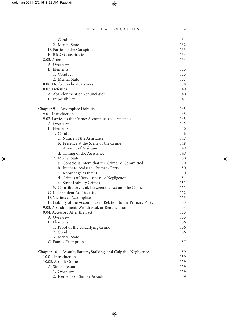| 1. Conduct                                                       | 131 |
|------------------------------------------------------------------|-----|
| 2. Mental State                                                  | 132 |
| D. Parties to the Conspiracy                                     | 133 |
| E. RICO Conspiracies                                             | 134 |
| 8.05. Attempt                                                    | 134 |
| A. Overview                                                      | 134 |
| <b>B.</b> Elements                                               | 135 |
| 1. Conduct                                                       | 135 |
| 2. Mental State                                                  | 137 |
| 8.06. Double Inchoate Crimes                                     | 138 |
| 8.07. Defenses                                                   | 140 |
| A. Abandonment or Renunciation                                   | 140 |
| B. Impossibility                                                 | 141 |
| Chapter $9 \cdot$ Accomplice Liability                           | 145 |
| 9.01. Introduction                                               | 145 |
| 9.02. Parties to the Crime: Accomplices as Principals            | 145 |
| A. Overview                                                      | 145 |
| <b>B.</b> Elements                                               | 146 |
| 1. Conduct                                                       | 146 |
| a. Nature of the Assistance                                      | 147 |
| b. Presence at the Scene of the Crime                            | 148 |
| c. Amount of Assistance                                          | 149 |
| d. Timing of the Assistance                                      | 149 |
| 2. Mental State                                                  | 150 |
| a. Conscious Intent that the Crime Be Committed                  | 150 |
| b. Intent to Assist the Primary Party                            | 150 |
| c. Knowledge as Intent                                           | 150 |
| d. Crimes of Recklessness or Negligence                          | 151 |
| e. Strict Liability Crimes                                       | 151 |
| 3. Contributory Link between the Act and the Crime               | 151 |
| C. Independent Act Doctrine                                      | 152 |
| D. Victims as Accomplices                                        | 153 |
| E. Liability of the Accomplice in Relation to the Primary Party  | 153 |
| 9.03. Abandonment, Withdrawal, or Renunciation                   | 154 |
| 9.04. Accessory After the Fact                                   | 155 |
| A. Overview                                                      | 155 |
| <b>B.</b> Elements                                               | 156 |
| 1. Proof of the Underlying Crime                                 | 156 |
| 2. Conduct                                                       | 156 |
| 3. Mental State                                                  | 157 |
| C. Family Exemption                                              | 157 |
| Chapter 10 · Assault, Battery, Stalking, and Culpable Negligence | 159 |
| 10.01. Introduction                                              | 159 |
| 10.02. Assault Crimes                                            | 159 |
| A. Simple Assault                                                | 159 |
| 1. Overview                                                      | 159 |
| 2. Elements of Simple Assault                                    | 159 |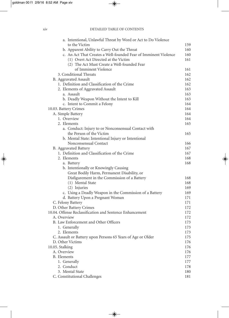#### xiv DETAILED TABLE OF CONTENTS

| a. Intentional, Unlawful Threat by Word or Act to Do Violence                        |            |
|--------------------------------------------------------------------------------------|------------|
| to the Victim                                                                        | 159        |
| b. Apparent Ability to Carry Out the Threat                                          | 160        |
| c. An Act That Creates a Well-founded Fear of Imminent Violence                      | 160        |
| (1) Overt Act Directed at the Victim                                                 | 161        |
| (2) The Act Must Create a Well-founded Fear                                          |            |
| of Imminent Violence                                                                 | 161        |
| 3. Conditional Threats                                                               | 162        |
| B. Aggravated Assault                                                                | 162        |
| 1. Definition and Classification of the Crime                                        | 162        |
| 2. Elements of Aggravated Assault                                                    | 163        |
| a. Assault                                                                           | 163        |
| b. Deadly Weapon Without the Intent to Kill                                          | 163        |
| c. Intent to Commit a Felony                                                         | 164        |
| 10.03. Battery Crimes                                                                | 164        |
| A. Simple Battery                                                                    | 164        |
| 1. Overview                                                                          | 164        |
| 2. Elements                                                                          | 165        |
| a. Conduct: Injury to or Nonconsensual Contact with                                  |            |
| the Person of the Victim                                                             | 165        |
| b. Mental State: Intentional Injury or Intentional                                   |            |
| Nonconsensual Contact                                                                | 166        |
| B. Aggravated Battery                                                                | 167        |
| 1. Definition and Classification of the Crime                                        | 167        |
| 2. Elements                                                                          | 168<br>168 |
| a. Battery                                                                           |            |
| b. Intentionally or Knowingly Causing<br>Great Bodily Harm, Permanent Disability, or |            |
| Disfigurement in the Commission of a Battery                                         | 168        |
| (1) Mental State                                                                     | 168        |
| (2) Injuries                                                                         | 169        |
| c. Using a Deadly Weapon in the Commission of a Battery                              | 169        |
| d. Battery Upon a Pregnant Woman                                                     | 171        |
| C. Felony Battery                                                                    | 171        |
| D. Other Battery Crimes                                                              | 172        |
| 10.04. Offense Reclassification and Sentence Enhancement                             | 172        |
| A. Overview                                                                          | 172        |
| B. Law Enforcement and Other Officers                                                | 173        |
| 1. Generally                                                                         | 173        |
| 2. Elements                                                                          | 173        |
| C. Assault or Battery upon Persons 65 Years of Age or Older                          | 175        |
| D. Other Victims                                                                     | 176        |
| 10.05. Stalking                                                                      | 176        |
| A. Overview                                                                          | 176        |
| <b>B.</b> Elements                                                                   | 177        |
| 1. Generally                                                                         | 177        |
| 2. Conduct                                                                           | 178        |
| 3. Mental State                                                                      | 180        |
| C. Constitutional Challenges                                                         | 181        |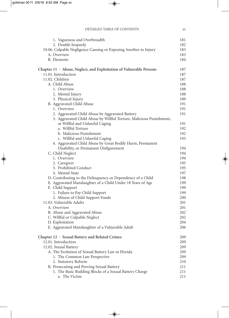| 1. Vagueness and Overbreadth                                        | 181 |
|---------------------------------------------------------------------|-----|
| 2. Double Jeopardy                                                  | 182 |
| 10.06. Culpable Negligence Causing or Exposing Another to Injury    | 183 |
| A. Overview                                                         | 183 |
| B. Elements                                                         | 184 |
| Chapter 11 · Abuse, Neglect, and Exploitation of Vulnerable Persons | 187 |
| 11.01. Introduction                                                 | 187 |
| 11.02. Children                                                     | 187 |
| A. Child Abuse                                                      | 188 |
| 1. Overview                                                         | 188 |
| 2. Mental Injury                                                    | 188 |
| 3. Physical Injury                                                  | 189 |
| B. Aggravated Child Abuse                                           | 191 |
| 1. Overview                                                         | 191 |
| 2. Aggravated Child Abuse by Aggravated Battery                     | 191 |
| 3. Aggravated Child Abuse by Willful Torture, Malicious Punishment, |     |
| or Willful and Unlawful Caging                                      | 191 |
| a. Willful Torture                                                  | 192 |
| b. Malicious Punishment                                             | 192 |
| c. Willful and Unlawful Caging                                      | 193 |
| 4. Aggravated Child Abuse by Great Bodily Harm, Permanent           |     |
| Disability, or Permanent Disfigurement                              | 194 |
| C. Child Neglect                                                    | 194 |
| 1. Overview                                                         | 194 |
| 2. Caregiver                                                        | 195 |
| 3. Prohibited Conduct                                               | 195 |
| 4. Mental State                                                     | 197 |
| D. Contributing to the Delinquency or Dependency of a Child         | 198 |
| E. Aggravated Manslaughter of a Child Under 18 Years of Age         | 199 |
| F. Child Support                                                    | 199 |
| 1. Failure to Pay Child Support                                     | 199 |
| 2. Misuse of Child Support Funds                                    | 200 |
| 11.03. Vulnerable Adults                                            | 201 |
| A. Overview                                                         | 201 |
| B. Abuse and Aggravated Abuse                                       | 202 |
| C. Willful or Culpable Neglect                                      | 202 |
| D. Exploitation                                                     | 204 |
| E. Aggravated Manslaughter of a Vulnerable Adult                    | 206 |
| Chapter 12 · Sexual Battery and Related Crimes                      | 209 |
| 12.01. Introduction                                                 | 209 |
| 12.02. Sexual Battery                                               | 209 |
| A. The Evolution of Sexual Battery Law in Florida                   | 209 |
| 1. The Common Law Perspective                                       | 209 |
| 2. Statutory Reform                                                 | 210 |
| B. Prosecuting and Proving Sexual Battery                           | 211 |
| 1. The Basic Building Blocks of a Sexual Battery Charge             | 211 |
| a. The Victim                                                       | 211 |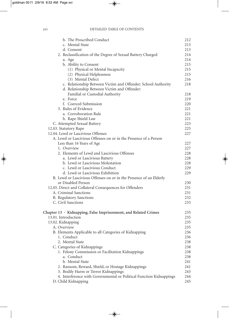#### xvi DETAILED TABLE OF CONTENTS

| b. The Proscribed Conduct                                             | 212 |
|-----------------------------------------------------------------------|-----|
| c. Mental State                                                       | 213 |
| d. Consent                                                            | 213 |
| 2. Reclassification of the Degree of Sexual Battery Charged           | 214 |
| a. Age                                                                | 214 |
| b. Ability to Consent                                                 | 215 |
| (1) Physical or Mental Incapacity                                     | 215 |
| (2) Physical Helplessness                                             | 215 |
| (3) Mental Defect                                                     | 216 |
| c. Relationship Between Victim and Offender: School Authority         | 218 |
| d. Relationship Between Victim and Offender:                          |     |
| Familial or Custodial Authority                                       | 218 |
| e. Force                                                              | 219 |
| f. Coerced Submission                                                 | 220 |
| 3. Rules of Evidence                                                  | 221 |
| a. Corroboration Rule                                                 | 221 |
| b. Rape Shield Law                                                    | 221 |
| C. Attempted Sexual Battery                                           | 223 |
| 12.03. Statutory Rape                                                 | 225 |
| 12.04. Lewd or Lascivious Offenses                                    | 227 |
| A. Lewd or Lascivious Offenses on or in the Presence of a Person      |     |
| Less than 16 Years of Age                                             | 227 |
| 1. Overview                                                           | 227 |
| 2. Elements of Lewd and Lascivious Offenses                           | 228 |
| a. Lewd or Lascivious Battery                                         | 228 |
| b. Lewd or Lascivious Molestation                                     | 228 |
| c. Lewd or Lascivious Conduct                                         | 229 |
| d. Lewd or Lascivious Exhibition                                      | 229 |
| B. Lewd or Lascivious Offenses on or in the Presence of an Elderly    |     |
| or Disabled Person                                                    | 230 |
| 12.05. Direct and Collateral Consequences for Offenders               | 231 |
| A. Criminal Sanctions                                                 | 231 |
| <b>B.</b> Regulatory Sanctions                                        | 232 |
| C. Civil Sanctions                                                    | 233 |
|                                                                       |     |
| Chapter $13 \cdot$ Kidnapping, False Imprisonment, and Related Crimes | 235 |
| 13.01. Introduction                                                   | 235 |
| 13.02. Kidnapping                                                     | 235 |
| A. Overview                                                           | 235 |
| B. Elements Applicable to all Categories of Kidnapping                | 236 |
| 1. Conduct                                                            | 236 |
| 2. Mental State                                                       | 238 |
| C. Categories of Kidnappings                                          | 238 |
| 1. Felony Commission or Facilitation Kidnappings                      | 238 |
| a. Conduct                                                            | 238 |
| b. Mental State                                                       | 241 |
| 2. Ransom, Reward, Shield, or Hostage Kidnappings                     | 241 |
| 3. Bodily Harm or Terror Kidnappings                                  | 243 |
| 4. Interference with Governmental or Political Function Kidnappings   | 244 |
| D. Child Kidnapping                                                   | 245 |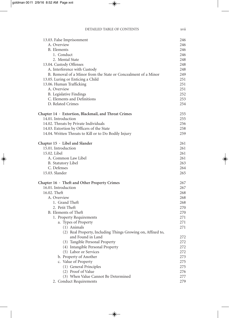| 13.03. False Imprisonment                                          | 246        |
|--------------------------------------------------------------------|------------|
| A. Overview                                                        | 246        |
| <b>B.</b> Elements                                                 | 246        |
| 1. Conduct                                                         | 246        |
| 2. Mental State                                                    | 248        |
| 13.04. Custody Offenses                                            | 248        |
| A. Interference with Custody                                       | 248        |
| B. Removal of a Minor from the State or Concealment of a Minor     | 249        |
| 13.05. Luring or Enticing a Child                                  | 251        |
| 13.06. Human Trafficking                                           | 251        |
| A. Overview                                                        | 251        |
| <b>B.</b> Legislative Findings                                     | 252        |
| C. Elements and Definitions                                        | 253        |
| D. Related Crimes                                                  | 254        |
| Chapter 14 · Extortion, Blackmail, and Threat Crimes               | 255        |
| 14.01. Introduction                                                | 255        |
| 14.02. Threats by Private Individuals                              | 256        |
| 14.03. Extortion by Officers of the State                          | 258        |
| 14.04. Written Threats to Kill or to Do Bodily Injury              | 259        |
| Chapter $15 \cdot$ Libel and Slander                               | 261        |
| 15.01. Introduction                                                | 261        |
| 15.02. Libel                                                       | 261        |
| A. Common Law Libel                                                | 261        |
| B. Statutory Libel                                                 | 263        |
| C. Defenses                                                        | 264        |
| 15.03. Slander                                                     | 265        |
| Chapter $16 \cdot$ Theft and Other Property Crimes                 | 267        |
| 16.01. Introduction                                                | 267        |
| 16.02. Theft                                                       | 268        |
| A. Overview                                                        | 268        |
| 1. Grand Theft                                                     | 268        |
| 2. Petit Theft                                                     | 270        |
| B. Elements of Theft                                               | 270        |
| 1. Property Requirements                                           | 271        |
| a. Types of Property                                               | $271\,$    |
| (1) Animals                                                        | 271        |
| (2) Real Property, Including Things Growing on, Affixed to,        |            |
| and Found in Land                                                  | 272        |
| (3) Tangible Personal Property<br>(4) Intangible Personal Property | 272<br>272 |
|                                                                    | 272        |
| (5) Labor or Services<br>b. Property of Another                    | 273        |
|                                                                    |            |
| c. Value of Property                                               | 275<br>275 |
| (1) General Principles<br>(2) Proof of Value                       | 276        |
| (3) When Value Cannot Be Determined                                | 277        |
| 2. Conduct Requirements                                            | 279        |
|                                                                    |            |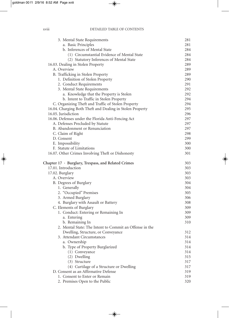| 3. Mental State Requirements                              | 281 |
|-----------------------------------------------------------|-----|
| a. Basic Principles                                       | 281 |
| b. Inferences of Mental State                             | 284 |
| (1) Circumstantial Evidence of Mental State               | 284 |
| (2) Statutory Inferences of Mental State                  | 284 |
| 16.03. Dealing in Stolen Property                         | 289 |
| A. Overview                                               | 289 |
| B. Trafficking in Stolen Property                         | 289 |
| 1. Definition of Stolen Property                          | 290 |
| 2. Conduct Requirements                                   | 291 |
| 3. Mental State Requirements                              | 292 |
| a. Knowledge that the Property is Stolen                  | 292 |
| b. Intent to Traffic in Stolen Property                   | 294 |
| C. Organizing Theft and Traffic of Stolen Property        | 294 |
| 16.04. Charging Both Theft and Dealing in Stolen Property | 295 |
| 16.05. Jurisdiction                                       | 296 |
| 16.06. Defenses under the Florida Anti-Fencing Act        | 297 |
| A. Defenses Precluded by Statute                          | 297 |
| B. Abandonment or Renunciation                            | 297 |
| C. Claim of Right                                         | 298 |
| D. Consent                                                | 299 |
| E. Impossibility                                          | 300 |
| F. Statute of Limitations                                 | 300 |
| 16.07. Other Crimes Involving Theft or Dishonesty         | 301 |
| Chapter $17 \cdot$ Burglary, Trespass, and Related Crimes | 303 |
| 17.01. Introduction                                       | 303 |
| 17.02. Burglary                                           | 303 |
| A. Overview                                               | 303 |
| B. Degrees of Burglary                                    | 304 |
| 1. Generally                                              | 304 |
| 2. "Occupied" Premises                                    | 305 |
| 3. Armed Burglary                                         | 306 |
| 4. Burglary with Assault or Battery                       | 308 |
| C. Elements of Burglary                                   | 309 |
| 1. Conduct: Entering or Remaining In                      | 309 |
| a. Entering                                               | 309 |
| b. Remaining In                                           | 310 |
| 2. Mental State: The Intent to Commit an Offense in the   |     |
| Dwelling, Structure, or Conveyance                        | 312 |
| 3. Attendant Circumstances                                | 314 |
| a. Ownership                                              | 314 |
| b. Type of Property Burglarized                           | 314 |
| (1) Conveyance                                            | 314 |
| (2) Dwelling                                              | 315 |
| (3) Structure                                             | 317 |
| (4) Curtilage of a Structure or Dwelling                  | 317 |
| D. Consent as an Affirmative Defense                      | 319 |
| 1. Consent to Enter or Remain                             | 319 |
| 2. Premises Open to the Public                            | 320 |
|                                                           |     |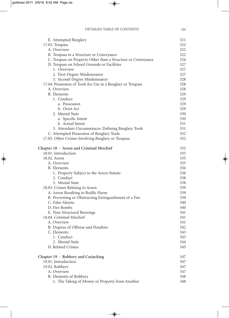| E. Attempted Burglary                                        | 321        |
|--------------------------------------------------------------|------------|
| 17.03. Trespass                                              | 322        |
| A. Overview                                                  | 322        |
| B. Trespass in a Structure or Conveyance                     | 322        |
| C. Trespass on Property Other than a Structure or Conveyance | 324        |
| D. Trespass on School Grounds or Facilities                  | 327        |
| 1. Overview                                                  | 327        |
| 2. First-Degree Misdemeanor                                  | 327        |
| 3. Second-Degree Misdemeanor                                 | 328        |
| 17.04. Possession of Tools for Use in a Burglary or Trespass | 328        |
| A. Overview                                                  | 328        |
| <b>B.</b> Elements                                           | 329        |
| 1. Conduct                                                   | 329        |
| a. Possession                                                | 329        |
| b. Overt Act                                                 | 329        |
| 2. Mental State                                              | 330        |
| a. Specific Intent                                           | 330        |
| b. Actual Intent                                             | 331        |
| 3. Attendant Circumstances: Defining Burglary Tools          | 331        |
| C. Attempted Possession of Burglary Tools                    | 332        |
| 17.05. Other Crimes Involving Burglary or Trespass           | 332        |
| Chapter 18 · Arson and Criminal Mischief                     | 335        |
| 18.01. Introduction                                          | 335        |
| 18.02. Arson                                                 | 335        |
| A. Overview                                                  | 335        |
| B. Elements                                                  | 336        |
| 1. Property Subject to the Arson Statute                     | 336        |
| 2. Conduct                                                   | 338        |
| 3. Mental State                                              | 338        |
| 18.03. Crimes Relating to Arson                              | 339        |
| A. Arson Resulting in Bodily Harm                            | 339        |
| B. Preventing or Obstructing Extinguishment of a Fire        | 339        |
| C. False Alarms<br>D. Fire Bombs                             | 340        |
|                                                              | 340        |
| E. Non-Structural Burnings<br>18.04. Criminal Mischief       | 341        |
| A. Overview                                                  | 341<br>341 |
| B. Degrees of Offense and Penalties                          | 342        |
| C. Elements                                                  | 343        |
| 1. Conduct                                                   | 343        |
| 2. Mental State                                              | 344        |
| D. Related Crimes                                            | 345        |
|                                                              |            |
| Chapter 19 · Robbery and Carjacking                          | 347        |
| 19.01. Introduction                                          | 347        |
| 19.02. Robbery                                               | 347        |
| A. Overview                                                  | 347        |
| B. Elements of Robbery                                       | 348        |
| 1. The Taking of Money or Property from Another              | 348        |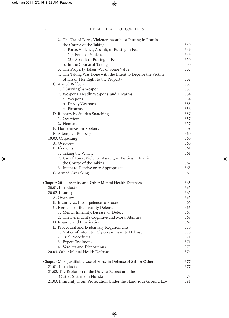#### xx DETAILED TABLE OF CONTENTS

| 2. The Use of Force, Violence, Assault, or Putting in Fear in            |     |
|--------------------------------------------------------------------------|-----|
| the Course of the Taking                                                 | 349 |
| a. Force, Violence, Assault, or Putting in Fear                          | 349 |
| (1) Force or Violence                                                    | 349 |
| (2) Assault or Putting in Fear                                           | 350 |
| b. In the Course of Taking                                               | 350 |
| 3. The Property Taken Was of Some Value                                  | 352 |
| 4. The Taking Was Done with the Intent to Deprive the Victim             |     |
| of His or Her Right to the Property                                      | 352 |
| C. Armed Robbery                                                         | 353 |
| 1. "Carrying" a Weapon                                                   | 353 |
| 2. Weapons, Deadly Weapons, and Firearms                                 | 354 |
| a. Weapons                                                               | 354 |
| b. Deadly Weapons                                                        | 355 |
| c. Firearms                                                              | 356 |
| D. Robbery by Sudden Snatching                                           | 357 |
| 1. Overview                                                              | 357 |
| 2. Elements                                                              | 357 |
| E. Home-invasion Robbery                                                 | 359 |
| F. Attempted Robbery                                                     | 360 |
| 19.03. Carjacking                                                        | 360 |
| A. Overview                                                              | 360 |
| <b>B.</b> Elements                                                       | 361 |
| 1. Taking the Vehicle                                                    | 361 |
| 2. Use of Force, Violence, Assault, or Putting in Fear in                |     |
| the Course of the Taking                                                 | 362 |
| 3. Intent to Deprive or to Appropriate                                   | 363 |
| C. Armed Carjacking                                                      | 363 |
| Chapter 20 · Insanity and Other Mental Health Defenses                   | 365 |
| 20.01. Introduction                                                      | 365 |
| 20.02. Insanity                                                          | 365 |
| A. Overview                                                              | 365 |
| B. Insanity vs. Incompetence to Proceed                                  | 366 |
| C. Elements of the Insanity Defense                                      | 366 |
| 1. Mental Infirmity, Disease, or Defect                                  | 367 |
| 2. The Defendant's Cognitive and Moral Abilities                         | 368 |
| D. Insanity and Intoxication                                             | 369 |
| E. Procedural and Evidentiary Requirements                               | 370 |
| 1. Notice of Intent to Rely on an Insanity Defense                       | 370 |
| 2. Trial Procedures                                                      | 371 |
| 3. Expert Testimony                                                      | 371 |
| 4. Verdicts and Dispositions                                             | 373 |
| 20.03. Other Mental Health Defenses                                      | 374 |
| Chapter $21 \cdot$ Justifiable Use of Force in Defense of Self or Others | 377 |
| 21.01. Introduction                                                      | 377 |
| 21.02. The Evolution of the Duty to Retreat and the                      |     |
| Castle Doctrine in Florida                                               | 378 |
| 21.03. Immunity From Prosecution Under the Stand Your Ground Law         | 381 |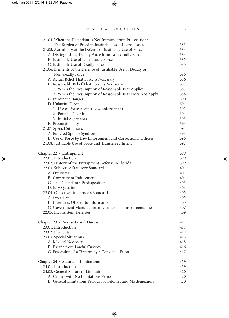| 21.04. When the Defendant is Not Immune from Prosecution:      |     |
|----------------------------------------------------------------|-----|
| The Burden of Proof in Justifiable Use of Force Cases          | 383 |
| 21.05. Availability of the Defense of Justifiable Use of Force | 384 |
| A. Distinguishing Deadly Force from Non-deadly Force           | 384 |
| B. Justifiable Use of Non-deadly Force                         | 385 |
| C. Justifiable Use of Deadly Force                             | 385 |
| 21.06. Elements of the Defense of Justifiable Use of Deadly or |     |
| Non-deadly Force                                               | 386 |
| A. Actual Belief That Force is Necessary                       | 386 |
| B. Reasonable Belief That Force is Necessary                   | 387 |
| 1. When the Presumption of Reasonable Fear Applies             | 387 |
| 2. When the Presumption of Reasonable Fear Does Not Apply      | 388 |
| C. Imminent Danger                                             | 390 |
| D. Unlawful Force                                              | 391 |
| 1. Use of Force Against Law Enforcement                        | 391 |
| 2. Forcible Felonies                                           | 391 |
| 3. Initial Aggressors                                          | 393 |
| E. Proportionality                                             | 394 |
| 21.07 Special Situations                                       | 394 |
| A. Battered Spouse Syndrome                                    | 394 |
| B. Use of Force by Law Enforcement and Correctional Officers   | 396 |
| 21.08. Justifiable Use of Force and Transferred Intent         | 397 |
| Chapter $22 \cdot$ Entrapment                                  | 399 |
| 22.01. Introduction                                            | 399 |
| 22.02. History of the Entrapment Defense in Florida            | 399 |
| 22.03. Subjective Statutory Standard                           | 401 |
| A. Overview                                                    | 401 |
| B. Government Inducement                                       | 401 |
| C. The Defendant's Predisposition                              | 403 |
| D. Jury Question                                               | 404 |
| 22.04. Objective Due Process Standard                          | 405 |
| A. Overview                                                    | 405 |
| B. Incentives Offered to Informants                            | 405 |
| C. Government Manufacture of Crime or Its Instrumentalities    | 407 |
| 22.05. Inconsistent Defenses                                   | 409 |
| Chapter 23 · Necessity and Duress                              | 411 |
| 23.01. Introduction                                            | 411 |
| 23.02. Elements                                                | 412 |
| 23.03. Special Situations                                      | 415 |
| A. Medical Necessity                                           | 415 |
| B. Escape from Lawful Custody                                  | 416 |
| C. Possession of a Firearm by a Convicted Felon                | 417 |
| Chapter $24 \cdot$ Statute of Limitations                      | 419 |
| 24.01. Introduction                                            | 419 |
| 24.02. General Statute of Limitations                          | 420 |
| A. Crimes with No Limitations Period                           | 420 |
| B. General Limitations Periods for Felonies and Misdemeanors   | 420 |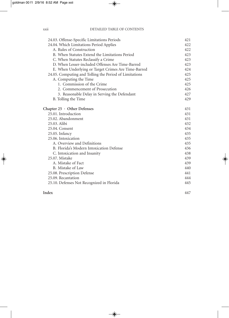| 24.03. Offense-Specific Limitations Periods            | 421 |
|--------------------------------------------------------|-----|
| 24.04. Which Limitations Period Applies                | 422 |
| A. Rules of Construction                               | 422 |
| B. When Statutes Extend the Limitations Period         | 423 |
| C. When Statutes Reclassify a Crime                    | 423 |
| D. When Lesser-included Offenses Are Time-Barred       | 423 |
| E. When Underlying or Target Crimes Are Time-Barred    | 424 |
| 24.05. Computing and Tolling the Period of Limitations | 425 |
| A. Computing the Time                                  | 425 |
| 1. Commission of the Crime                             | 425 |
| 2. Commencement of Prosecution                         | 426 |
| 3. Reasonable Delay in Serving the Defendant           | 427 |
| B. Tolling the Time                                    | 429 |
| Chapter $25 \cdot$ Other Defenses                      | 431 |
| 25.01. Introduction                                    | 431 |
| 25.02. Abandonment                                     | 431 |
| 25.03. Alibi                                           | 432 |
| 25.04. Consent                                         | 434 |
| 25.05. Infancy                                         | 435 |
| 25.06. Intoxication                                    | 435 |
| A. Overview and Definitions                            | 435 |
| B. Florida's Modern Intoxication Defense               | 436 |
| C. Intoxication and Insanity                           | 438 |
| 25.07. Mistake                                         | 439 |
| A. Mistake of Fact                                     | 439 |
| B. Mistake of Law                                      | 440 |
| 25.08. Prescription Defense                            | 441 |
| 25.09. Recantation                                     | 444 |
| 25.10. Defenses Not Recognized in Florida              | 445 |
|                                                        |     |

#### **Index** 447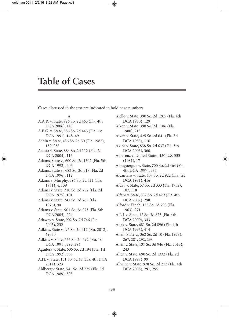### **Table of Cases**

Cases discussed in the text are indicated in bold page numbers.

A A.A.R. v. State, 926 So. 2d 463 (Fla. 4th DCA 2006), 445 A.B.G. v. State, 586 So. 2d 445 (Fla. 1st DCA 1991), **148–49** Achin v. State, 436 So. 2d 30 (Fla. 1982), 139, 258 Acosta v. State, 884 So. 2d 112 (Fla. 2d DCA 2004), 116 Adams, State v., 600 So. 2d 1302 (Fla. 5th DCA 1992), 403 Adams, State v., 683 So. 2d 517 (Fla. 2d DCA 1996), 112 Adams v. Murphy, 394 So. 2d 411 (Fla. 1981), 4, 139 Adams v. State, 310 So. 2d 782 (Fla. 2d DCA 1975), **101** Adams v. State, 341 So. 2d 765 (Fla. 1976), 90 Adams v. State, 901 So. 2d 275 (Fla. 5th DCA 2005), 224 Adaway v. State, 902 So. 2d 746 (Fla. 2005), **232** Adkins, State v., 96 So. 3d 412 (Fla. 2012), **69,** 70 Adkins v. State, 576 So. 2d 392 (Fla. 1st DCA 1991), 292, 294 Aguilera v. State, 606 So. 2d 194 (Fla. 1st DCA 1992), 369 A.H. v. State, 151 So. 3d 48 (Fla. 4th DCA 2014), 323 Ahlberg v. State, 541 So. 2d 775 (Fla. 3d DCA 1989), 308

Aiello v. State, 390 So. 2d 1205 (Fla. 4th DCA 1980), 129 Aiken v. State, 390 So. 2d 1186 (Fla. 1980), 213 Aiken v. State, 425 So. 2d 641 (Fla. 3d DCA 1983), **116** Akins v. State, 838 So. 2d 637 (Fla. 5th DCA 2003), 360 Albernaz v. United States, 450 U.S. 333 (1981), 17 Albuguergue v. State, 700 So. 2d 464 (Fla. 4th DCA 1997), 384 Alcantaro v. State, 407 So. 2d 922 (Fla. 1st DCA 1981), **416** Alday v. State, 57 So. 2d 333 (Fla. 1952), 107, 118 Alfaro v. State, 837 So. 2d 429 (Fla. 4th DCA 2002), 298 Alford v. Finch, 155 So. 2d 790 (Fla. 1963), 271 A.L.J. v. State, 12 So. 3d 873 (Fla. 4th DCA 2009), 343 Aljak v. State, 681 So. 2d 896 (Fla. 4th DCA 1996), 414 Allen, State v., 362 So. 2d 10 (Fla. 1978), 267, 281, 292, 298 Allen v. State, 137 So. 3d 946 (Fla. 2013), 243 Allen v. State, 690 So. 2d 1332 (Fla. 2d DCA 1997), 99 Allwine v. State, 978 So. 2d 272 (Fla. 4th DCA 2008), **291,** 295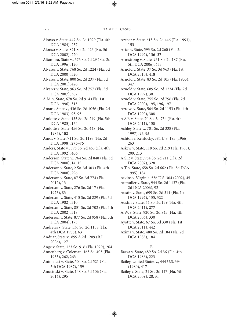Alonso v. State, 447 So. 2d 1029 (Fla. 4th DCA 1984), 257 Alonso v. State, 821 So. 2d 423 (Fla. 3d DCA 2002), 220 Altamura, State v., 676 So. 2d 29 (Fla. 2d DCA 1996), 120 Alvarez v. State, 768 So. 2d 1224 (Fla. 3d DCA 2000), 320 Alvarez v. State, 800 So. 2d 237 (Fla. 3d DCA 2001), 426 Alvarez v. State, 963 So. 2d 757 (Fla. 3d DCA 2007), 362 A.M. v. State, 678 So. 2d 914 (Fla. 1st DCA 1996), 315 Amaro, State v., 436 So. 2d 1056 (Fla. 2d DCA 1983), 93, 95 Amlotte v. State, 435 So. 2d 249 (Fla. 5th DCA 1983), 164 Amlotte v. State, 456 So. 2d 448 (Fla. 1984), **102** Amos v. State, 711 So. 2d 1197 (Fla. 2d DCA 1998), **275–76** Anders, State v., 596 So. 2d 463 (Fla. 4th DCA 1992), **406** Anderson, State v., 764 So. 2d 848 (Fla. 3d DCA 2000), 14, 15 Anderson v. State, 2 So. 3d 303 (Fla. 4th DCA 2008), 296 Anderson v. State, 87 So. 3d 774 (Fla. 2012), 13 Anderson v. State, 276 So. 2d 17 (Fla. 1973), 83 Anderson v. State, 415 So. 2d 829 (Fla. 3d DCA 1982), 310 Anderson v. State, 831 So. 2d 702 (Fla. 4th DCA 2002), 318 Anderson v. State, 877 So. 2d 958 (Fla. 5th DCA 2004), 175 Andrews v. State, 536 So. 2d 1108 (Fla. 4th DCA 1988), 63 Anduar, State v., 899 A.2d 1209 (R.I. 2006), 127 Ange v. State, 123 So. 916 (Fla. 1929), 264 Annenberg v. Coleman, 163 So. 405 (Fla. 1935), 262, 263 Antonacci v. State, 504 So. 2d 521 (Fla. 5th DCA 1987), 159 Anucinski v. State, 148 So. 3d 106 (Fla. 2014), 295

Archer v. State, 613 So. 2d 446 (Fla. 1993), **153** Arias v. State, 593 So. 2d 260 (Fla. 3d DCA 1992), **136–37** Armstrong v. State, 931 So. 2d 187 (Fla. 5th DCA 2006), 433 Arnold v. State, 37 So. 3d 963 (Fla. 1st DCA 2010), **418** Arnold v. State, 83 So. 2d 105 (Fla. 1955), 347 Arnold v. State, 689 So. 2d 1234 (Fla. 2d DCA 1997), 301 Arnold v. State, 755 So. 2d 796 (Fla. 2d DCA 2000), 195, **196,** 197 Arroyo v. State, 564 So. 2d 1153 (Fla. 4th DCA 1990), 308 A.S.F. v. State, 70 So. 3d 754 (Fla. 4th DCA 2011), 150 Ashley, State v., 701 So. 2d 338 (Fla. 1997), 93, **95** Ashton v. Kentucky, 384 U.S. 195 (1966), 263 Askew v. State, 118 So. 2d 219 (Fla. 1960), 209, 213 A.S.P. v. State, 964 So. 2d 211 (Fla. 2d DCA 2007), 328 A.T. v. State, 658 So. 2d 662 (Fla. 3d DCA 1995), 184 Atkins v.Virginia, 536 U.S. 304 (2002), 45 Aumuller v. State, 944 So. 2d 1137 (Fla. 2d DCA 2006), 92 Austin v. State, 699 So. 2d 314 (Fla. 1st DCA 1997), 135, 322 Austin v State, 64 So. 3d 139 (Fla. 4th DCA 2011), **277** A.W. v. State, 920 So. 2d 845 (Fla. 4th DCA 2006), 330 Ayotte v. State, 67 So. 3d 330 (Fla. 1st DCA 2011), 442 Azima v. State, 480 So. 2d 184 (Fla. 2d DCA 1985), 184 B Baeza v. State, 489 So. 2d 36 (Fla. 4th DCA 1986), 223

Bailey, United States v., 444 U.S. 394 (1980), 417

Bailey v. State, 21 So. 3d 147 (Fla. 5th DCA 2009), 28, 31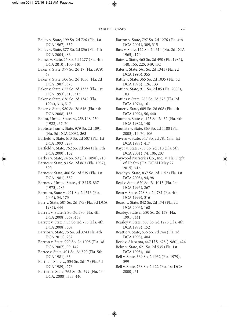Bailey v. State, 199 So. 2d 726 (Fla. 1st DCA 1967), 352 Bailey v. State, 877 So. 2d 836 (Fla. 4th DCA 2004), 86 Baines v. State, 25 So. 3d 1277 (Fla. 4th DCA 2010), **100–101** Baker v. State, 377 So. 2d 17 (Fla. 1979), 68 Baker v. State, 506 So. 2d 1056 (Fla. 2d DCA 1987), 378 Baker v. State, 622 So. 2d 1333 (Fla. 1st DCA 1993), 310, 313 Baker v. State, 636 So. 2d 1342 (Fla. 1994), 313, 317 Baker v. State, 980 So. 2d 616 (Fla. 4th DCA 2008), 188 Balint, United States v., 258 U.S. 250 (1922), 67, 70 Baptiste-Jean v. State, 979 So. 2d 1091 (Fla. 3d DCA 2008), **363** Barfield v. State, 613 So. 2d 507 (Fla. 1st DCA 1993), 287 Barfield v. State, 762 So. 2d 564 (Fla. 5th DCA 2000), **152** Barker v. State, 24 So. 69 (Fla. 1898), 210 Barnes v. State, 93 So. 2d 863 (Fla. 1957), 390 Barnes v. State, 406 So. 2d 539 (Fla. 1st DCA 1981), 389 Barnes v. United States, 412 U.S. 837 (1973), 286 Barnum, State v., 921 So. 2d 513 (Fla. 2005), 34, 173 Barr v. State, 507 So. 2d 175 (Fla. 3d DCA 1987), 444 Barrett v. State, 2 So. 3d 370 (Fla. 4th DCA 2008), 369, 438 Barrett v. State, 983 So. 2d 795 (Fla. 4th DCA 2008), **307** Barrios v. State, 75 So. 3d 374 (Fla. 4th DCA 2011), 282 Barron v. State, 990 So. 2d 1098 (Fla. 3d DCA 2007), 99, 147 Bartee v. State, 401 So. 2d 890 (Fla. 5th DCA 1981), 63 Barthell, State v., 554 So. 2d 17 (Fla. 3d DCA 1989), 276 Bartlett v. State, 765 So. 2d 799 (Fla. 1st DCA. 2000), 353, 440

Barton v. State, 797 So. 2d 1276 (Fla. 4th DCA 2001), 309, 315 Bass v. State, 172 So. 2d 614 (Fla. 2d DCA 1965), 170 Bates v. State, 465 So. 2d 490 (Fla. 1985), 140, 155, **225,** 349, 432 Bates v. State, 561 So. 2d 1341 (Fla. 2d DCA 1990), 355 Battle v. State, 365 So. 2d 1035 (Fla. 3d DCA 1978), 126, 133 Battle v. State, 911 So. 2d 85 (Fla. 2005), 103 Battles v. State, 288 So. 2d 573 (Fla. 2d DCA 1974), 161 Bauer v. State, 609 So. 2d 608 (Fla. 4th DCA 1992), 56, 440 Bauman, State v., 425 So. 2d 32 (Fla. 4th DCA 1982), 140 Bautista v. State, 863 So. 2d 1180 (Fla. 2003), 14, 70, 106 Bavero v. State, 347 So. 2d 781 (Fla. 1st DCA 1977), 417 Bayer v. State, 788 So. 2d 310 (Fla. 5th DCA 2001), 74, 106, 207 Baywood Nurseries Co., Inc., v. Fla. Dep't of Health (Fla. DOAH May 27, 2015), 416 Beachy v. State, 837 So. 2d 1152 (Fla. 1st DCA 2003), 94, 98 Beal v. State, 620 So. 2d 1015 (Fla. 1st DCA 1993), 267 Bean v. State, 728 So. 2d 781 (Fla. 4th DCA 1999), 316 Beard v. State, 842 So. 2d 174 (Fla. 2d DCA 2003), 168 Beasley, State v., 580 So. 2d 139 (Fla. 1991), 441 Beasley v. State, 360 So. 2d 1275 (Fla. 4th DCA 1978), 152 Beattie v. State, 636 So. 2d 744 (Fla. 2d DCA 1993), 404 Beck v. Alabama, 447 U.S. 625 (1980), **424** Behn v. State, 621 So. 2d 535 (Fla. 1st DCA 1993), 108 Bell v. State, 369 So. 2d 932 (Fla. 1979), 399 Bell v. State, 768 So. 2d 22 (Fla. 1st DCA 2000), 61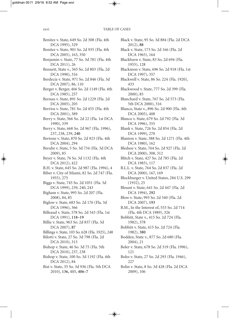Benitez v. State, 649 So. 2d 308 (Fla. 4th DCA 1995), 329 Benitez v. State, 901 So. 2d 935 (Fla. 4th DCA 2005), 163, 350 Benjamin v. State, 77 So. 3d 781 (Fla. 4th DCA 2011), 26 Bennett, State v., 565 So. 2d 803 (Fla. 2d DCA 1990), 316 Berdecia v. State, 971 So. 2d 846 (Fla. 3d DCA 2007), 86, 110 Berger v. Berger, 466 So. 2d 1149 (Fla. 4th DCA 1985), 257 Bernau v. State, 891 So. 2d 1229 (Fla. 2d DCA 2005), 205 Berrios v. State, 781 So. 2d 455 (Fla. 4th DCA 2001), 389 Berry v. State, 566 So. 2d 22 (Fla. 1st DCA 1990), 339 Berry v. State, 668 So. 2d 967 (Fla. 1996), 237, 238, 239, **240** Bertone v. State, 870 So. 2d 923 (Fla. 4th DCA 2004), 294 Berube v. State, 5 So. 3d 734 (Fla. 3d DCA 2009), 85 Beyer v. State, 76 So. 3d 1132 (Fla. 4th DCA 2012), 422 B.H. v. State, 645 So. 2d 987 (Fla. 1994), 4 Biber v. City of Miami, 82 So. 2d 747 (Fla. 1955), 275 Biggs v. State, 745 So. 2d 1051 (Fla. 3d DCA 1999), 239, 240, 243 Bigham v. State, 995 So. 2d 207 (Fla. 2008), 84, 85 Biglow v. State, 683 So. 2d 176 (Fla. 3d DCA 1996), 366 Billeaud v. State, 578 So. 2d 343 (Fla. 1st DCA 1991), **118–19** Billie v. State, 963 So. 2d 837 (Fla. 3d DCA 2007), **87** Billings v. State, 103 So. 628 (Fla. 1925), 248 Bilotti v. State, 27 So. 3d 798 (Fla. 2d DCA 2010), 313 Bishop v. State, 46 So. 3d 75 (Fla. 5th DCA 2010), 237, 238 Bishop v. State, 100 So. 3d 1192 (Fla. 4th DCA 2012), 84 Bist v. State, 35 So. 3d 936 (Fla. 5th DCA 2010), **136,** 405, **406–7**

Black v. State, 95 So. 3d 884 (Fla. 2d DCA 2012), **88** Black v. State, 173 So. 2d 166 (Fla. 2d DCA 1965), 164 Blackburn v. State, 83 So. 2d 694 (Fla. 1955), 128 Blackmon v. State, 696 So. 2d 918 (Fla. 1st DCA 1997), 357 Blackwell v. State, 86 So. 224 (Fla. 1920), 433 Blackwood v. State, 777 So. 2d 399 (Fla. 2000), 85 Blanchard v. State, 767 So. 2d 573 (Fla. 5th DCA 2000), 316 Blanco, State v., 896 So. 2d 900 (Fla. 4th DCA 2005), 408 Blanco v. State, 679 So. 2d 792 (Fla. 3d DCA 1996), 355 Blank v. State, 726 So. 2d 854 (Fla. 2d DCA 1999), 270 Blanton v. State, 388 So. 2d 1271 (Fla. 4th DCA 1980), 162 Bledsoe v. State, 764 So. 2d 927 (Fla. 2d DCA 2000), 308, 312 Blitch v. State, 427 So. 2d 785 (Fla. 2d DCA 1983), 117 B.L.L. v. State, 764 So. 2d 837 (Fla. 2d DCA 2000), 167, 169 Blockburger v. United States, 284 U.S. 299 (1932), 25 Blount v. State, 641 So. 2d 447 (Fla. 2d DCA 1994), **292** Blow v. State, 993 So. 2d 540 (Fla. 2d DCA 2007), **193** B.M., In the Interest of, 553 So. 2d 714 (Fla. 4th DCA 1989), 326 Bobbitt, State v., 415 So. 2d 724 (Fla. 1982), 378 Bobbitt v. State, 415 So. 2d 724 (Fla. 1982), **380** Bodden, State v., 877 So. 2d 680 (Fla. 2004), 21 Boler v. State, 678 So. 2d 319 (Fla. 1996), 121 Boles v. State, 27 So. 2d 293 (Fla. 1946), 227 Bolin v. State, 8 So. 3d 428 (Fla. 2d DCA 2009), 106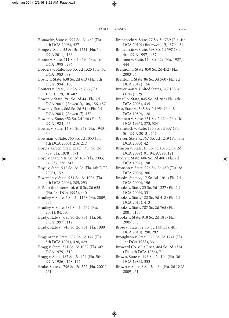- Bonawitz, State v., 997 So. 2d 460 (Fla. 4th DCA 2008), 427
- Bonge v. State, 53 So. 3d 1231 (Fla. 1st DCA 2011), 166
- Boone v. State, 711 So. 2d 594 (Fla. 1st DCA 1998), 286
- Borders v. State, 433 So. 2d 1325 (Fla. 3d DCA 1983), 89
- Bostic v. State, 638 So. 2d 613 (Fla. 5th DCA 1994), 166
- Bouters v. State, 659 So. 2d 235 (Fla. 1995), 179, **181–82**
- Bowen v. State, 791 So. 2d 44 (Fla. 2d DCA 2001) (*Bowen I*), 108, 156, 157
- Bowen v. State, 868 So. 2d 541 (Fla. 2d DCA 2003) (*Bowen II*), 157
- Bowers v. State, 452 So. 2d 146 (Fla. 2d DCA 1984), 33
- Bowles v. State, 14 So. 2d 269 (Fla. 1943), 300
- Bowman v. State, 760 So. 2d 1053 (Fla. 4th DCA 2000), 216, 217
- Boyd v. Green, State ex rel., 355 So. 2d 789 (Fla. 1978), 371
- Boyd v. State, 910 So. 2d 167 (Fla. 2005), 84, 237, 238, 243
- Boyd v. State, 912 So. 2d 26 (Fla. 4th DCA 2005), 152
- Bozeman v. State, 931 So. 2d 1006 (Fla. 4th DCA 2006), 285, 293
- B.P., In the Interest of, 610 So. 2d 625 (Fla. 1st DCA 1992), 440
- Bradley v. State, 3 So. 3d 1168 (Fla. 2009), 354
- Bradley v. State, 787 So. 2d 732 (Fla. 2001), 84, 131
- Brady, State v., 685 So. 2d 984 (Fla. 5th DCA 1997), 112
- Brady, State v., 745 So. 2d 954 (Fla. 1999), 89
- Bragenzer v. State, 582 So. 2d 142 (Fla. 5th DCA 1991), 428, 429
- Bragg v. State, 371 So. 2d 1082 (Fla. 4th DCA 1979), 310
- Bragg v. State, 487 So. 2d 424 (Fla. 5th DCA 1986), 128, 142
- Brake, State v., 796 So. 2d 522 (Fla. 2001), 251
- Brancaccio v. State, 27 So. 3d 739 (Fla. 4th DCA 2010) (*Brancaccio II*)*,* 370, 439
- Brancaccio v. State, 698 So. 2d 597 (Fla. 4th DCA 1997), 437
- Brannen v. State, 114 So. 429 (Fla. 1927), 444
- Brannon v. State, 850 So. 2d 452 (Fla. 2003), 6
- Branton v. State, 86 So. 3d 560 (Fla. 2d DCA 2012), 156
- Braverman v. United States, 317 U.S. 49 (1942), 129
- Brazill v. State, 845 So. 2d 282 (Fla. 4th DCA 2003), 435
- Brea, State v., 545 So. 2d 954 (Fla. 3d DCA 1989), 128
- Brennan v. State, 651 So. 2d 244 (Fla. 3d DCA 1995), 273, 324
- Bretherick v. State, 135 So. 3d 337 (Fla. 5th DCA 2013), 247
- Brewer, State v., 767 So. 2d 1249 (Fla. 5th DCA 2000), 42
- Brinson v. State, 18 So. 3d 1075 (Fla. 2d DCA 2009), 91, 94, 97, 98, 121
- Broers v. State, 606 So. 2d 480 (Fla. 2d DCA 1992), 198
- Bronson v. State, 926 So. 2d 480 (Fla. 2d DCA 2006), 286
- Brooks, State v., 17 So. 3d 1261 (Fla. 2d DCA 2009), **196**
- Brooks v. State, 23 So. 3d 1227 (Fla. 2d DCA 2009), 331
- Brooks v. State, 122 So. 3d 418 (Fla. 2d DCA 2013), 413
- Brooks v. State, 787 So. 2d 765 (Fla. 2001), 130
- Brooks v. State, 918 So. 2d 181 (Fla. 2005), 96
- Brose v. State, 32 So. 3d 144 (Fla. 4th DCA 2010), 290, **292**
- Broughton v. State, 528 So. 2d 1241 (Fla. 1st DCA 1988), **331**
- Broward Co. v. La Rosa, 484 So. 2d 1374 (Fla. 4th DCA 1986), 7
- Brown, State v., 496 So. 2d 194 (Fla. 3d DCA 1986), 353
- Brown v. State, 8 So. 3d 464 (Fla. 2d DCA 2009), 51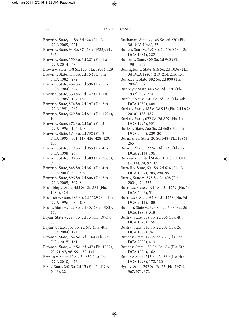Brown v. State, 11 So. 3d 428 (Fla. 2d DCA 2009), 221 Brown v. State, 94 So. 874 (Fla. 1922), **61,** 397 Brown v. State, 150 So. 3d 281 (Fla. 1st DCA 2014), 67 Brown v. State, 178 So. 153 (Fla. 1938), 129 Brown v. State, 414 So. 2d 15 (Fla. 5th DCA 1982), 272 Brown v. State, 454 So. 2d 596 (Fla. 5th DCA 1984), 377 Brown v. State, 550 So. 2d 142 (Fla. 1st DCA 1989), 127, 138 Brown v. State, 574 So. 2d 297 (Fla. 5th DCA 1991), 287 Brown v. State, 629 So. 2d 841 (Fla. 1994), 19 Brown v. State, 672 So. 2d 861 (Fla. 3d DCA 1996), 156, 158 Brown v. State, 674 So. 2d 738 (Fla. 2d DCA 1995), 301, 419, 426, 428, 429, 430 Brown v. State, 719 So. 2d 955 (Fla. 4th DCA 1998), 239 Brown v. State, 790 So. 2d 389 (Fla. 2000), **89,** 90 Brown v. State, 848 So. 2d 361 (Fla. 4th DCA 2003), 358, 359 Brown v. State, 896 So. 2d 808 (Fla. 5th DCA 2005), **307–8** Brumbley v. State, 453 So. 2d 381 (Fla. 1984), 424 Brunner v. State, 683 So. 2d 1129 (Fla. 4th DCA 1996), 370, 438 Bruns, State v., 429 So. 2d 307 (Fla. 1983), 440 Bryan, State v., 287 So. 2d 73 (Fla. 1973), 88 Bryan v. State, 865 So. 2d 677 (Fla. 4th DCA 2004), 174 Bryant v. State, 154 So. 3d 1164 (Fla. 2d DCA 2015), 161 Bryant v. State, 412 So. 2d 347 (Fla. 1982), 90, 94, 97, **98–99,** 152, 431 Bryson v. State, 42 So. 3d 852 (Fla. 1st DCA 2010), 423 B.S. v. State, 862 So. 2d 15 (Fla. 2d DCA

2003), 22

Buchanan, State v., 189 So. 2d 270 (Fla. 3d DCA 1966), 52 Buffett, State v., 397 So. 2d 1060 (Fla. 2d DCA 1981), 282 Buford v. State, 403 So. 2d 943 (Fla. 1981), 232 Bullington v. State, 616 So. 2d 1036 (Fla. 3d DCA 1993), 213, 214, 216, 434 Bunkley v. State, 882 So. 2d 890 (Fla. 2004), 307 Bunney v. State, 603 So. 2d 1270 (Fla. 1992), 367, 374 Burch, State v., 545 So. 2d 279 (Fla. 4th DCA 1989), 408 Burke v. State, 48 So. 3d 943 (Fla. 2d DCA 2010), 188, 189 Burke v. State, 672 So. 2d 829 (Fla. 1st DCA 1995), 331 Burks v. State, 766 So. 2d 468 (Fla. 5th DCA 2000), **229–30** Burnham v. State, 20 So. 548 (Fla. 1896), 265 Burns v. State, 132 So. 3d 1238 (Fla. 1st DCA 2014), 196 Burrage v. United States, 134 S. Ct. 881 (2014), **74,** 92, **97** Burrell v. State, 601 So. 2d 628 (Fla. 2d DCA 1992), 289, **294–95** Burris, State v., 875 So. 2d 408 (Fla. 2004), 70, 353 Burrows, State v., 940 So. 2d 1259 (Fla. 1st DCA 2006), 51 Burrows v. State, 62 So. 3d 1258 (Fla. 3d DCA 2011), 188 Burston, State v., 693 So. 2d 600 (Fla. 2d DCA 1997), 318 Bush v. State, 359 So. 2d 556 (Fla. 4th DCA 1978), 156 Bush v. State, 543 So. 2d 283 (Fla. 2d DCA 1989), 76 Butler v. State, 14 So. 3d 269 (Fla. 1st DCA 2009), 413 Butler v. State, 632 So. 2d 684 (Fla. 5th DCA 1994), 162 Butler v. State, 715 So. 2d 339 (Fla. 4th DCA 1998), 178, 180 Byrd v. State, 297 So. 2d 22 (Fla. 1974), 367, 371, 372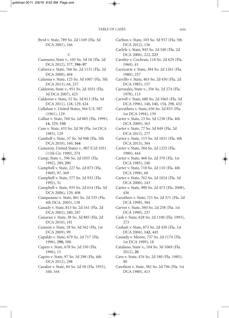Byrd v. State, 789 So. 2d 1169 (Fla. 3d DCA 2001), 166

#### C

- Caamano, State v., 105 So. 3d 18 (Fla. 2d DCA 2012), 377, **396–97**
- Cabrera v. State, 766 So. 2d 1131 (Fla. 2d DCA 2000), 404
- Calamia v. State, 125 So. 3d 1007 (Fla. 5th DCA 2013), 64, 257
- Calderon, State v., 951 So. 2d 1031 (Fla. 3d DCA 2007), 423
- Calderon v. State, 52 So. 3d 813 (Fla. 3d DCA 2011), 128, 129, 424
- Callahan v. United States, 364 U.S. 587 (1961), 129
- Calliar v. State, 760 So. 2d 885 (Fla. 1999), **14,** 329, **330**
- Cam v. State, 433 So. 2d 38 (Fla. 1st DCA 1983), 129
- Cambell v. State, 37 So. 3d 948 (Fla. 5th DCA 2010), 160, **164**
- Cameron, United States v., 907 F.2d 1051 (11th Cir. 1990), 374
- Camp, State v., 596 So. 2d 1055 (Fla. 1992), 289, **291**
- Campbell v. State, 227 So. 2d 873 (Fla. 1969), 97, 369
- Campbell v. State, 577 So. 2d 932 (Fla. 1992), 51
- Campbell v. State, 935 So. 2d 614 (Fla. 3d DCA 2006), 129, 408
- Campusano v. State, 861 So. 2d 535 (Fla. 4th DCA. 2003), 138
- Canady v. State, 813 So. 2d 161 (Fla. 2d DCA 2002), 280, 287
- Canavan v. State, 38 So. 3d 885 (Fla. 2d DCA 2010), 181
- Cannon v. State, 18 So. 3d 562 (Fla. 1st DCA 2009), 99
- Capaldo v. State, 679 So. 2d 717 (Fla. 1996), **290,** 300
- Capers v. State, 678 So. 2d 330 (Fla. 1996), 15
- Capiro v. State, 97 So. 3d 298 (Fla. 4th DCA 2012), 298
- Caraker v. State, 84 So. 2d 50 (Fla. 1955), 160, 164
- Carlton v. State, 103 So. 3d 937 (Fla. 5th DCA 2012), 136
- Carlyle v. State, 945 So. 2d 540 (Fla. 2d DCA 2006), 222, **223**
- Carnley v. Cochran, 118 So. 2d 629 (Fla. 1960), 41
- Carricarte v. State, 384 So. 2d 1261 (Fla. 1980), 257
- Carrillo v. State, 463 So. 2d 450 (Fla. 2d DCA 1985), 157
- Carrizales, State v., 356 So. 2d 274 (Fla. 1978), 113
- Carroll v. State, 680 So. 2d 1065 (Fla. 3d DCA 1996), 140, **141,** 154, 298, 432
- Carruthers v. State, 636 So. 2d 853 (Fla. 1st DCA 1994), 139
- Carter v. State, 23 So. 3d 1238 (Fla. 4th DCA 2009), 363
- Carter v. State, 77 So. 3d 849 (Fla. 2d DCA 2012), 277
- Carter v. State, 115 So. 3d 1031 (Fla. 4th DCA 2013), 384
- Carter v. State, 384 So. 2d 1255 (Fla. 1980), 444
- Carter v. State, 468 So. 2d 370 (Fla. 1st DCA 1985), 240
- Carter v. State, 710 So. 2d 110 (Fla. 4th DCA 1998), 68
- Carter v. State, 762 So. 2d 1024 (Fla. 3d DCA 2000), 243
- Carter v. State, 980 So. 2d 473 (Fla. 2008), 436
- Caruthers v. State, 721 So. 2d 371 (Fla. 2d DCA 1998), 384
- Carver v. State, 560 So. 2d 258 (Fla. 1st DCA 1990), 237
- Cash v. State, 628 So. 2d 1100 (Fla. 1993), 273
- Cashatt v. State, 873 So. 2d 430 (Fla. 1st DCA 2004), **142,** 445
- Cassady v. Moore, 737 So. 2d 1174 (Fla. 1st DCA 1999), 18
- Catalano, State v., 104 So. 3d 1069 (Fla. 2012), **20**
- Cave v. State, 476 So. 2d 180 (Fla. 1985), 90
- Cawthon v. State, 382 So. 2d 796 (Fla. 1st DCA 1980), 413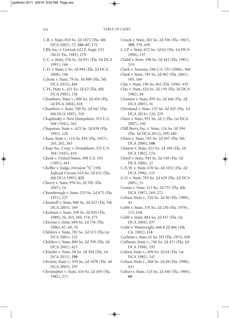C.B. v. State, 810 So. 2d 1072 (Fla. 4th DCA 2002), 57, **166–67,** 172 CBS, Inc. v. Garrod, 622 F. Supp. 532 (M.D. Fla. 1985), 279 C.C. v. State, 576 So. 2d 951 (Fla. 3d DCA 1991), 166 C.D. v. State, 2 So. 3d 994 (Fla. 2d DCA 2008), 148 Celeste v. State, 79 So. 3d 898 (Fla. 5th DCA 2012), 444 C.H., State v., 421 So. 2d 62 (Fla. 4th DCA 1982), 158 Chambers, State v., 890 So. 2d 456 (Fla. 2d DCA 2004), 418 Chambers v. State, 700 So. 2d 441 (Fla. 4th DCA 1997), 318 Chaplinsky v. New Hampshire, 315 U.S. 568 (1942), 262 Chapman, State v., 625 So. 2d 838 (Fla. 1993), 120 Chase, State v., 114 So. 856 (Fla. 1927), 261, 262, 265 Chase Sec. Corp. v. Donaldson, 325 U.S. 304 (1945), 419 Cheek v. United States, 498 U.S. 192 (1991), 441 Cheffer v. Judge, Division "S," 15th Judicial Circuit, 614 So. 2d 632 (Fla. 4th DCA 1993), **425** Cherry v. State, 959 So. 2d 702 (Fla. 2007), 14 Chesebrough v. State, 255 So. 2d 675 (Fla. 1971), 227 Chesnoff v. State, 840 So. 2d 423 (Fla. 5th DCA 2003), 169 Chestnut v. State, 538 So. 2d 820 (Fla. 1989), 24, 365, 369, 374, 375 Chicone v. State, 684 So. 2d 736 (Fla. 1996), 67, 69, 70 Childers v. State, 782 So. 2d 513 (Fla.1st DCA 2001), 132 Childers v. State, 800 So. 2d 709 (Fla. 2d DCA 2001), 423 Chisolm v. State, 58 So. 3d 304 (Fla. 1st DCA 2011), **190** Christie, State v., 939 So. 2d 1078 (Fla. 3d DCA 2005), 195 Christopher v. State, 416 So. 2d 450 (Fla. 1982), 371

Cirack v. State, 201 So. 2d 706 (Fla. 1967), **369,** 370, 438 C.J.P. v. State, 672 So. 2d 62 (Fla. 1st DCA 1996), 157 Cladd v. State, 398 So. 2d 442 (Fla. 1981), 314 Clark v. Arizona, 548 U.S. 735 (2006), 368 Clark v. State, 783 So. 2d 967 (Fla. 2001), 165, 168 Clay v. State, 196 So. 462 (Fla. 1940), 435 Clay v. State, 424 So. 2d 139 (Fla. 3d DCA 1982), 84 Clement v. State, 895 So. 2d 446 (Fla. 2d DCA 2005), 16 Cleveland v. State, 135 So. 3d 425 (Fla. 1st DCA 2014), 126, 229 Cliett v. State, 951 So. 2d 3 (Fla. 1st DCA 2007), 350 Cliff Berry, Inc. v. State, 116 So. 3d 394 (Fla. 3d DCA 2012), 299, 440 Clines v. State, 765 So. 2d 947 (Fla. 5th DCA 2000), **188** Clinton v. State, 421 So. 2d 186 (Fla. 2d DCA 1982), 174 Cloyd v. State, 943 So. 2d 149 (Fla. 3d DCA 2006), 22 C.N.W. v. State, 670 So. 2d 1052 (Fla. 2d DCA 1996), 155 C.O. v. State, 785 So. 2d 629 (Fla. 2d DCA 2001), 51 Coates v. State, 513 So. 2d 757 (Fla. 4th DCA 1987), 269, 272 Coban, State v., 520 So. 2d 40 (Fla. 1988), 43 Cobb v. State, 376 So. 2d 230 (Fla. 1979), 113, **114** Cobb v. State, 884 So. 2d 437 (Fla. 1st DCA 2004), 437 Cobb v. Wainwright, 666 F.2d 966 (5th Cir. 1982), **114** Cochran v. State, 61 So. 187 (Fla. 1913), 438 Coffman, State v., 746 So. 2d 471 (Fla. 2d DCA 1998), 193 Cohen, State v., 409 So. 2d 64 (Fla. 1st DCA 1982), 142 Cohen, State v., 568 So. 2d 49 (Fla. 1990), 431 Cohen v. State, 125 So. 2d 560 (Fla. 1960), **68**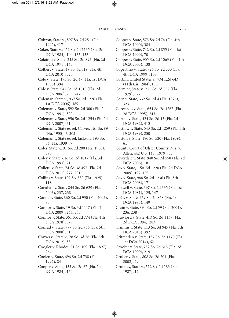Cohron, State v., 597 So. 2d 251 (Fla. 1992), 417 Coker, State v., 452 So. 2d 1135 (Fla. 2d DCA 1984), 104, 135, **136** Colainni v. State, 245 So. 2d 893 (Fla. 2d DCA 1971), 163 Colbert v. State, 49 So. 3d 819 (Fla. 4th DCA 2010), 320 Cole v. State, 193 So. 2d 47 (Fla. 1st DCA 1966), 394 Cole v. State, 942 So. 2d 1010 (Fla. 2d DCA 2006), 239, 247 Coleman, State v., 937 So. 2d 1226 (Fla. 1st DCA 2006), **189** Coleman v. State, 592 So. 2d 300 (Fla. 2d DCA 1991), 320 Coleman v. State, 956 So. 2d 1254 (Fla. 2d DCA 2007), 31 Coleman v. State ex rel. Carver, 161 So. 89 (Fla. 1935), 7, 303 Coleman v. State ex rel. Jackson*,* 193 So. 84 (Fla. 1939), 7 Coles, State v., 91 So. 2d 200 (Fla. 1956), 390 Coley v. State, 616 So. 2d 1017 (Fla. 3d DCA 1993), 216 Colletti v. State, 74 So. 3d 497 (Fla. 2d DCA 2011), 277, 281 Collins v. State, 102 So. 880 (Fla. 1925), **118** Conahan v. State, 844 So. 2d 629 (Fla. 2003), 237, 238 Conde v. State, 860 So. 2d 930 (Fla. 2003), 85 Connor v. State, 19 So. 3d 1117 (Fla. 2d DCA 2009), **244,** 247 Connor v. State, 361 So. 2d 774 (Fla. 4th DCA 1978), 379 Conrad v. State, 977 So. 2d 766 (Fla. 5th DCA 2008), 313 Converse, State v., 78 So. 3d 78 (Fla. 5th DCA 2012), 38 Coogler v. Rhodes, 21 So. 109 (Fla. 1897), 264 Coolen v. State, 696 So. 2d 738 (Fla. 1997), 84 Cooper v. State, 453 So. 2d 67 (Fla. 1st DCA 1984), 164

Cooper v. State, 573 So. 2d 74 (Fla. 4th DCA 1990), 384 Cooper v. State, 742 So. 2d 855 (Fla. 1st DCA 1999), 70 Cooper v. State, 905 So. 2d 1063 (Fla. 4th DCA 2005), 138 Copertino v. State, 726 So. 2d 330 (Fla. 4th DCA 1999), 108 Corbin, United States v., 734 F.2d 643 (11th Cir. 1984), 133 Cormier, State v., 375 So. 2d 852 (Fla. 1979), 327 Corn v. State, 332 So. 2d 4 (Fla. 1976), 323 Coronado v. State, 654 So. 2d 1267 (Fla. 2d DCA 1995), 243 Corujo v. State, 424 So. 2d 43 (Fla. 2d DCA 1982), 413 Costlow v. State, 543 So. 2d 1259 (Fla. 5th DCA 1989), 250 Coston v. State, 190 So. 520 (Fla. 1939), **61** County Court of Ulster County, N.Y. v. Allen, 442 U.S. 140 (1979), 35 Coverdale v. State, 940 So. 2d 558 (Fla. 2d DCA 2006), 181 Cox v. State, 1 So. 3d 1220 (Fla. 2d DCA 2009), **192,** 193 Cox v. State, 988 So. 2d 1236 (Fla. 5th DCA 2008), 171 Coxwell v. State, 397 So. 2d 335 (Fla. 1st DCA 1981), 125, 147 C.P.P. v. State, 479 So. 2d 858 (Fla. 1st DCA 1985), 149 Crain v. State, 894 So. 2d 59 (Fla. 2004), 236, 238 Crawford v. State, 453 So. 2d 1139 (Fla. 2d DCA 1984), 283 Crimins v. State, 113 So. 3d 945 (Fla. 5th DCA 2013), 392 Crittenden v. State, 137 So. 3d 1170 (Fla. 1st DCA 2014), 62 Crocker v. State, 752 So. 2d 615 (Fla. 2d DCA 1999), 219 Cruller v. State, 808 So. 2d 201 (Fla. 2002), 29 Crumley, State v., 512 So. 2d 183 (Fla. 1987), 17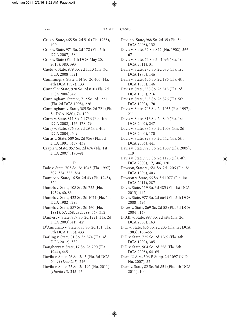Cruz v. State, 465 So. 2d 516 (Fla. 1985), **400** Cruz v. State, 971 So. 2d 178 (Fla. 5th DCA 2007), 384 Cruz v. State (Fla. 4th DCA May 20, 2015), 383, 393 Cueto v. State, 979 So. 2d 1113 (Fla. 3d DCA 2008), 321 Cummings v. State, 514 So. 2d 406 (Fla. 4th DCA 1987), 133 Cunnell v. State, 920 So. 2d 810 (Fla. 2d DCA 2006), 429 Cunningham, State v., 712 So. 2d 1221 (Fla. 2d DCA 1998), 226 Cunningham v. State, 385 So. 2d 721 (Fla. 3d DCA 1980), 74, 109 Curry v. State, 811 So. 2d 736 (Fla. 4th DCA 2002), 176, **178–79** Curry v. State, 876 So. 2d 29 (Fla. 4th DCA 2004), 409 Curtis v. State, 589 So. 2d 956 (Fla. 3d DCA 1991), 437, 438 Czapla v. State, 957 So. 2d 676 (Fla. 1st DCA 2007), **190–91** D Dale v. State, 703 So. 2d 1045 (Fla. 1997), 307, **354,** 355, 364 Damico v. State, 16 So. 2d 43 (Fla. 1943), 320 Daniels v. State, 108 So. 2d 755 (Fla. 1959), 60, 83

Daniels v. State, 422 So. 2d 1024 (Fla. 1st DCA 1982), 295

Daniels v. State, 587 So. 2d 460 (Fla. 1991), 57, 268, 282, 299, 347, 352

Dankert v. State, 859 So. 2d 1221 (Fla. 2d DCA 2003), 419, 429

D'Annunzio v. State, 683 So. 2d 151 (Fla. 5th DCA 1996), 433

Darling v. State*,* 81 So. 3d 574 (Fla. 3d DCA 2012), 382

Daugherty v. State, 17 So. 2d 290 (Fla. 1944), 445

Davila v. State, 26 So. 3d 5 (Fla. 3d DCA 2009) (*Davila I*), 246

Davila v. State, 75 So. 3d 192 (Fla. 2011) (*Davila II*)*,* **245–46**

Davila v. State, 988 So. 2d 35 (Fla. 3d DCA 2008), 132 Davis v. State, 32 So. 822 (Fla. 1902), **366– 67** Davis v. State, 74 So. 3d 1096 (Fla. 1st DCA 2011), 31 Davis v. State, 275 So. 2d 575 (Fla. 1st DCA 1973), 146 Davis v. State, 436 So. 2d 196 (Fla. 4th DCA 1983), 146 Davis v. State, 538 So. 2d 515 (Fla. 2d DCA 1989), **216** Davis v. State, 565 So. 2d 826 (Fla. 5th DCA 1990), **170** Davis v. State, 703 So. 2d 1055 (Fla. 1997), 211 Davis v. State, 816 So. 2d 840 (Fla. 1st DCA 2002), 247 Davis v. State, 884 So. 2d 1058 (Fla. 2d DCA 2004), 170 Davis v. State, 928 So. 2d 442 (Fla. 5th DCA 2006), 441 Davis v. State, 928 So. 2d 1089 (Fla. 2005), 119 Davis v. State, 988 So. 2d 1125 (Fla. 4th DCA 2008), **17, 306,** 320 Dawson, State v., 681 So. 2d 1206 (Fla. 3d DCA 1996), 403 Dawson v. State, 66 So. 3d 1077 (Fla. 1st DCA 2011), 287 Day v. State, 119 So. 3d 485 (Fla. 1st DCA 2013), 442 Day v. State, 977 So. 2d 664 (Fla. 5th DCA 2008), 426 Dayes v. State, 869 So. 2d 58 (Fla. 3d DCA 2004), 147 D.B.B. v. State, 997 So. 2d 484 (Fla. 2d DCA 2008), 163 D.C. v. State, 436 So. 2d 203 (Fla. 1st DCA 1983), **165–66** D.E. v. State, 725 So. 2d 1269 (Fla. 4th DCA 1999), 305 D.E. v. State, 904 So. 2d 558 (Fla. 5th DCA 2005), 64–65 Dean, U.S. v., 506 F. Supp. 2d 1097 (N.D. Fla. 2007), 52

Dean v. State, 82 So. 3d 851 (Fla. 4th DCA 2011), 100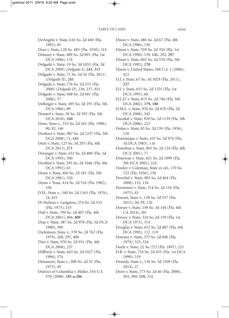DeAngelo v. State, 616 So. 2d 440 (Fla. 1993), 85 Dees v. State, 128 So. 485 (Fla. 1930), 314 Delaney v. State, 489 So. 2d 891 (Fla. 1st DCA 1986), 174 Delgado v. State, 19 So. 3d 1055 (Fla. 3d DCA 2009) (*Delgado I*), **241, 311** Delgado v. State, 71 So. 3d 54 (Fla. 2011) (*Delgado II*)*,* **241** Delgado v. State, 776 So. 2d 233 (Fla. 2000) (*Delgado II*)*,* 236, 237, **311** Delgado v. State, 948 So. 2d 681 (Fla. 2006), 57 Dellinger v. State, 495 So. 2d 197 (Fla. 5th DCA 1986), 89 Denard v. State, 30 So. 3d 595 (Fla. 5th DCA 2010), **160** Dene, State v., 533 So. 2d 265 (Fla. 1988), 90, 92, 146 Denhart v. State, 987 So. 2d 1257 (Fla. 5th DCA 2008), 71, 440 Dent v. State, 125 So. 3d 205 (Fla. 4th DCA 2013), **271** Deranger v. State, 652 So. 2d 400 (Fla. 2d DCA 1995), 300 Desilien v. State, 595 So. 2d 1046 (Fla. 4th DCA 1992), 63 Desin v. State, 404 So. 2d 181 (Fla. 5th DCA 1981), 320 Desin v. State, 414 So. 2d 516 (Fla. 1982), 330 D.H., State v., 340 So. 2d 1163 (Fla. 1976), 24, 435 Di Stefano v. Langston, 274 So. 2d 533 (Fla. 1973), 133 Dial v. State, 799 So. 2d 407 (Fla. 4th DCA 2001), 404, **409** Diaz v. State, 387 So. 2d 978 (Fla. 3d DCA 1980), 389 Dickinson, State v., 370 So. 2d 762 (Fla. 1979), 268, 297, 400 Diez v. State, 970 So. 2d 931 (Fla. 4th DCA 2008), 237 Dillbeck v. State, 643 So. 2d 1027 (Fla. 1994), 374 Dinsmore, State v., 308 So. 2d 32 (Fla. 1975), 49 District of Columbia v. Heller, 554 U.S. 570 (2008), **185 n.286**

DCA 1986), 130 Dixon v. State, 559 So. 2d 354 (Fla. 1st DCA 1990), 139, **141,** 292, **297** Dixon v. State, 603 So. 2d 570 (Fla. 5th DCA 1992), **170** Dixon v. United States, 548 U.S. 1 (2006), 412 D.J. v. State, 67 So. 3d 1029 (Fla. 2011), **327** D.J. v. State, 651 So. 2d 1255 (Fla. 1st DCA 1995), 60 D.L.D. v. State, 815 So. 2d 746 (Fla. 5th DCA 2002), **179, 180** D.M.L. v. State, 976 So. 2d 670 (Fla. 2d DCA 2008), 345 Docekal v. State, 929 So. 2d 1139 (Fla. 5th DCA 2006), 223 Dolan v. State, 85 So. 2d 139 (Fla. 1956), 110 Dominique v. State, 435 So. 2d 974 (Fla. 3d DCA 1983), 116 Donohue v. State, 801 So. 2d 124 (Fla. 4th DCA 2001), 77 Donovan v. State, 821 So. 2d 1099 (Fla. 5th DCA 2002), 224 Dooley v. Coleman, State ex rel., 170 So. 722 (Fla. 1936), 150 Doorbal v. State, 983 So. 2d 464 (Fla. 2008), 132, 134 Dorminey v. State, 314 So. 2d 134 (Fla. 1975), 43 Dorsett, State v., 158 So. 3d 557 (Fla. 2015), 50, 59, 120 Dorsey v. State, 149 So. 3d 144 (Fla. 4th CA 2014), 381 Dorsey v. State, 324 So. 2d 159 (Fla. 1st DCA 1975), 314 Douglas v. State, 652 So. 2d 887 (Fla. 4th DCA 1995), 117, 119 Downer v. State, 375 So. 2d 840 (Fla. 1979), 323, 324 Doyle v. State, 22 So. 272 (Fla. 1897), 221 D.R. v. State, 734 So. 2d 455 (Fla. 1st DCA 1999), 319 Drawdy, State v., 136 So. 3d 1209 (Fla. 2014), 27 Drew v. State, 773 So. 2d 46 (Fla. 2000), 303, 309, **310,** 314

Dixon v. State, 486 So. 2d 67 (Fla. 4th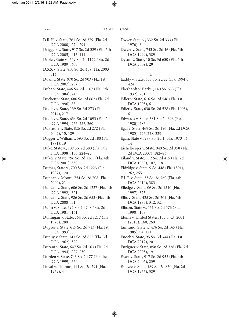D.R.H. v. State, 761 So. 2d 379 (Fla. 2d DCA 2000), 274, 291 Driggers v. State, 917 So. 2d 329 (Fla. 5th DCA 2005), 413, 414 Drolet, State v., 549 So. 2d 1172 (Fla. 2d DCA 1989), 403 D.S.S. v. State, 850 So. 2d 459 (Fla. 2003), 314 Duan v. State, 970 So. 2d 903 (Fla. 1st DCA 2007), 257 Duba v. State, 446 So. 2d 1167 (Fla. 5th DCA 1984), 243 Duckett v. State, 686 So. 2d 662 (Fla. 2d DCA 1996), 88 Dudley v. State, 139 So. 3d 273 (Fla. 2014), 217 Dudley v. State, 634 So. 2d 1093 (Fla. 2d DCA 1994), 256, 257, 260 DuFresne v. State, 826 So. 2d 272 (Fla. 2002), **15,** 189 Dugger v. Williams, 593 So. 2d 180 (Fla. 1991), 19 Duke, State v., 709 So. 2d 580 (Fla. 5th DCA 1998), 136, **224–25** Dukes v. State, 796 So. 2d 1265 (Fla. 4th DCA 2001), 330 Dumas, State v., 700 So. 2d 1223 (Fla. 1997), 120 Duncan v. Moore, 754 So. 2d 708 (Fla. 2000), 21 Duncan v. State, 606 So. 2d 1227 (Fla. 4th DCA 1992), 321 Duncan v. State, 986 So. 2d 653 (Fla. 4th DCA 2008), 51 Dunn v. State, 397 So. 2d 748 (Fla. 2d DCA 1981), 161 Dunnigan v. State, 364 So. 2d 1217 (Fla. 1978), 280 Dupree v. State, 615 So. 2d 713 (Fla. 1st DCA 1993), 85 Dupuy v. State, 141 So. 2d 825 (Fla. 3d DCA 1962), 399 Durant v. State, 647 So. 2d 163 (Fla. 2d DCA 1994), 227, 230 Durden v. State, 743 So. 2d 77 (Fla. 1st DCA 1999), 364 Duval v. Thomas, 114 So. 2d 791 (Fla. 1959), 4

Dwyer, State v., 332 So. 2d 333 (Fla. 1976), 6

Dwyer v. State, 743 So. 2d 46 (Fla. 5th DCA 1999), 389

Dyson v. State, 10 So. 3d 650 (Fla. 5th DCA 2009), **29**

#### E

- Eaddy v. State, 638 So. 2d 22 (Fla. 1994), 424
- Eberhardt v. Barker, 140 So. 633 (Fla. 1932), 261

Edler v. State, 616 So. 2d 546 (Fla. 1st DCA 1993), 61

Edler v. State, 630 So. 2d 528 (Fla. 1993), 61

Edwards v. State, 381 So. 2d 696 (Fla. 1980), 286

- Egal v. State, 469 So. 2d 196 (Fla. 2d DCA 1985), 227, 228, 229
- Egan, State v., 287 So. 2d 1 (Fla. 1973), 4, 14

Eichelberger v. State, 949 So. 2d 358 (Fla. 2d DCA 2007), **182–83**

Eiland v. State, 112 So. 2d 415 (Fla. 2d DCA 1959), 107, 118

- Eldridge v. State, 9 So. 448 (Fla. 1891), 262, 265
- E.L.F. v. State, 33 So. 3d 760 (Fla. 4th DCA 2010), 383
- Elledge v. State, 06 So. 2d 1340 (Fla. 1997), 375
- Ellis v. State, 425 So. 2d 201 (Fla. 5th DCA 1983), 312, 321
- Ellison, State v., 561 So. 2d 576 (Fla. 1990), 108
- Elonis v. United States, 135 S. Ct. 2001 (2015), 160, 260
- Enmund, State v., 476 So. 2d 165 (Fla. 1985), 94, 121
- Enoch v. State, 95 So. 3d 344 (Fla. 1st DCA 2012), 20
- Enriguez v. State, 858 So. 2d 338 (Fla. 2d DCA 2003), 19
- Essex v. State, 917 So. 2d 953 (Fla. 4th DCA 2005), 239
- Estevez v. State, 189 So. 2d 830 (Fla. 2d DCA 1966), 329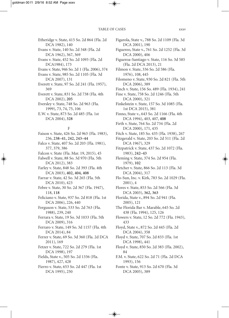Etheridge v. State, 415 So. 2d 864 (Fla. 2d DCA 1982), 140 Evans v. State, 140 So. 2d 348 (Fla. 2d DCA 1962), 367, 369 Evans v. State, 452 So. 2d 1093 (Fla. 2d DCA1984), 173 Evans v. State, 946 So. 2d 1 (Fla. 2006), 374 Evans v. State, 985 So. 2d 1105 (Fla. 3d DCA 2007), 131 Everett v. State, 97 So. 2d 241 (Fla. 1957), 369 Everett v. State, 831 So. 2d 738 (Fla. 4th DCA 2002), **205** Eversley v. State, 748 So. 2d 963 (Fla. 1999), 73, 74, 75, 106 E.W. v. State, 873 So. 2d 485 (Fla. 1st DCA 2004), **328** F Faison v. State, 426 So. 2d 963 (Fla. 1983), 236, **238–41, 242, 243–44** Falco v. State, 407 So. 2d 203 (Fla. 1981), 377, 379, 386 Falcon v. State (Fla. Mar. 19, 2015), 45 Falwell v. State, 88 So. 3d 970 (Fla. 5th DCA 2012), 383 Farley v. State, 848 So. 2d 393 (Fla. 4th DCA 2003), **402, 404, 408**

Farrar v. State, 42 So. 3d 265 (Fla. 5th DCA 2010), 423

Febre v. State, 30 So. 2d 367 (Fla. 1947), 118, **118**

Feliciano v. State, 937 So. 2d 818 (Fla. 1st DCA 2006), 226, 440

Ferguson v. State, 533 So. 2d 763 (Fla. 1988), 239, 240

Ferrara v. State, 19 So. 3d 1033 (Fla. 5th DCA 2009), 316

Ferraro v. State, 149 So. 3d 1157 (Fla. 4th DCA 2014), 84

Ferrer v. State, 69 So. 3d 360 (Fla. 2d DCA 2011), 169

Fetzer v. State, 722 So. 2d 279 (Fla. 1st DCA 1998), 197

Fields, State v., 505 So. 2d 1336 (Fla. 1987), 427, 428

Fierro v. State, 653 So. 2d 447 (Fla. 1st DCA 1995), 250

Figarola, State v., 788 So. 2d 1109 (Fla. 3d DCA 2001), 190 Figuereo, State v., 761 So. 2d 1252 (Fla. 3d DCA 2000), 406 Figueroa-Santiago v. State, 116 So. 3d 585 (Fla. 2d DCA 2013), 21 Filmon v. State, 336 So. 2d 586 (Fla. 1976), 108, 445 Filomeno v. State, 930 So. 2d 821 (Fla. 5th DCA 2006), 389 Finch v. State, 156 So. 489 (Fla. 1934), 241 Fine v. State, 758 So. 2d 1246 (Fla. 5th DCA 2000), 321 Finkelstein v. State, 157 So. 3d 1085 (Fla. 1st DCA 2015), 381 Finno, State v., 643 So. 2d 1166 (Fla. 4th DCA 1994), 403, 407, **408** Firth v. State, 764 So. 2d 734 (Fla. 2d DCA 2000), 171, 435 Fitch v. State, 185 So. 435 (Fla. 1938), 267 Fitzgerald v. State, 203 So. 2d 511 (Fla. 2d DCA 1967), 329 Fitzpatrick v. State, 437 So. 2d 1072 (Fla. 1983), **242–43** Fleming v. State, 374 So. 2d 954 (Fla. 1979), **102** Fletcher v. State, 866 So. 2d 113 (Fla. 3d DCA 2004), 317 Flo-Sun, Inc. v. Kirk, 783 So. 2d 1029 (Fla. 2001), 4 Flores v. State, 853 So. 2d 566 (Fla. 3d DCA 2003), **362, 363** Florida, State v., 894 So. 2d 941 (Fla. 2005), 121 The Florida Bar v. Marable, 645 So. 2d 438 (Fla. 1994), 125, 126 Flowers v. State, 12 So. 2d 772 (Fla. 1943), 433 Floyd, State v., 872 So. 2d 445 (Fla. 2d DCA 2004), 358 Floyd v. State, 707 So. 2d 833 (Fla. 1st DCA 1998), 441 Floyd v. State, 850 So. 2d 383 (Fla. 2002), 84 F.M. v. State, 622 So. 2d 71 (Fla. 2d DCA 1993), 156 Fonte v. State, 913 So. 2d 670 (Fla. 3d DCA 2005), 389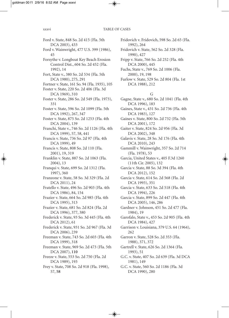Ford v. State, 848 So. 2d 415 (Fla. 5th DCA 2003), 433 Ford v. Wainwright, 477 U.S. 399 (1986), 45 Forsythe v. Longboat Key Beach Erosion Control Dist., 604 So. 2d 452 (Fla. 1992), 14 Fort, State v., 380 So. 2d 534 (Fla. 5th DCA 1980), 275, 291 Fortner v. State, 161 So. 94 (Fla. 1935), 105 Foster v. State, 220 So. 2d 406 (Fla. 3d DCA 1969), 310 Foster v. State, 286 So. 2d 549 (Fla. 1973), 331 Foster v. State, 596 So. 2d 1099 (Fla. 5th DCA 1992), 267, 347 Foster v. State, 875 So. 2d 1253 (Fla. 4th DCA 2004), 139 Franchi, State v., 746 So. 2d 1126 (Fla. 4th DCA 1999), 57, 58, 441 Francis v. State, 736 So. 2d 97 (Fla. 4th DCA 1999), 49 Francis v. State, 808 So. 2d 110 (Fla. 2001), 19, 319 Franklin v. State, 887 So. 2d 1063 (Fla. 2004), 13 Franqui v. State, 699 So. 2d 1312 (Fla. 1997), 360 Franzone v. State, 58 So. 3d 329 (Fla. 2d DCA 2011), 24 Fratello v. State, 496 So. 2d 903 (Fla. 4th DCA 1986), 84, 154 Frazier v. State, 664 So. 2d 985 (Fla. 4th DCA 1995), 313 Frazier v. State, 681 So. 2d 824 (Fla. 2d DCA 1996), 377, 380 Frederick v. State, 93 So. 3d 445 (Fla. 4th DCA 2012), 61 Frederick v. State, 931 So. 2d 967 (Fla. 3d DCA 2006), 239 Freeman v. State, 743 So. 2d 603 (Fla. 4th DCA 1999), 318 Freeman v. State, 969 So. 2d 473 (Fla. 5th DCA 2007), **110** Freeze v. State, 553 So. 2d 750 (Fla. 2d DCA 1989), 193 Frey v. State, 708 So. 2d 918 (Fla. 1998), 57, **58**

Fridovich v. Fridovich, 598 So. 2d 65 (Fla. 1992), 264

Fridovich v. State, 562 So. 2d 328 (Fla. 1990), 427

Fripp v. State, 766 So. 2d 252 (Fla. 4th DCA 2000), 445

Fuchs, State v., 769 So. 2d 1006 (Fla. 2000), 19, 198

Furlow v. State, 529 So. 2d 804 (Fla. 1st DCA 1988), 212

#### G

Gagne, State v., 680 So. 2d 1041 (Fla. 4th DCA 1996), 183

Gaines, State v., 431 So. 2d 736 (Fla. 4th DCA 1983), 127

Gaines v. State, 800 So. 2d 732 (Fla. 5th DCA 2001), 172

Gaiter v. State, 824 So. 2d 956 (Fla. 3d DCA 2002), 348

Galavis v. State, 28 So. 3d 176 (Fla. 4th DCA 2010), 243

Gammill v. Wainwright, 357 So. 2d 714 (Fla. 1978), 53

Garcia, United States v., 405 F.3d 1260 (11th Cir. 2005), 132

Garcia v. State, 88 So. 3d 394 (Fla. 4th DCA 2012), 152

Garcia v. State, 614 So. 2d 568 (Fla. 2d DCA 1993), 351

Garcia v. State, 633 So. 2d 518 (Fla. 4th DCA 1994), 226

Garcia v. State, 899 So. 2d 447 (Fla. 4th DCA 2005), 146, 286

Gardner v. Johnson, 451 So. 2d 477 (Fla. 1984), 19

Garofalo, State v., 453 So. 2d 905 (Fla. 4th DCA 1984), 427

Garrison v. Louisiana, 379 U.S. 64 (1964), 262

Garron v. State, 528 So. 2d 353 (Fla. 1988), 371, 372

Gartrell v. State, 626 So. 2d 1364 (Fla. 1993), 51

G.C. v. State, 407 So. 2d 639 (Fla. 3d DCA 1981), 149

G.C. v. State, 560 So. 2d 1186 (Fla. 3d DCA 1990), 280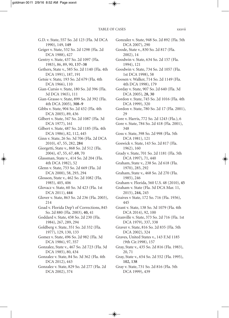G.D. v. State, 557 So. 2d 123 (Fla. 3d DCA 1990), 149, **149** Geiger v. State, 532 So. 2d 1298 (Fla. 2d DCA 1988), 427 Gentry v. State, 437 So. 2d 1097 (Fla. 1983), 86, 89, 90, **137–38** Gethers, State v., 585 So. 2d 1140 (Fla. 4th DCA 1991), 187, 191 Getsie v. State*,* 193 So. 2d 679 (Fla. 4th DCA 1966), 110 Gian-Cursio v. State, 180 So. 2d 396 (Fla. 3d DCA 1965), 111 Gian-Grasso v. State, 899 So. 2d 392 (Fla. 4th DCA 2005), **308–9** Gibbs v. State, 904 So. 2d 432 (Fla. 4th DCA 2005), 89, 436 Gilbert v. State, 347 So. 2d 1087 (Fla. 3d DCA 1977), 161 Gilbert v. State, 487 So. 2d 1185 (Fla. 4th DCA 1986), 82, 112, 445 Ginn v. State, 26 So. 3d 706 (Fla. 2d DCA 2010), 47, 55, 282, **284** Giorgetti, State v., 868 So. 2d 512 (Fla. 2004), 47, 55, 67, **69,** 70 Glassman, State v., 414 So. 2d 204 (Fla. 4th DCA 1982), 52 Glenn v. State, 753 So. 2d 669 (Fla. 2d DCA 2000), 58, 293, 294 Glosson, State v., 462 So. 2d 1082 (Fla. 1985), 405, 406 Glovacz v. State, 60 So. 3d 423 (Fla. 1st DCA 2011), **444** Glover v. State, 863 So. 2d 236 (Fla. 2003), 214 Goad v. Florida Dep't of Corrections, 845 So. 2d 880 (Fla. 2003), **40,** 41 Goddard v. State, 458 So. 2d 230 (Fla. 1984), 267, 289, 294 Goldberg v. State, 351 So. 2d 332 (Fla. 1977), 129, 130, 133 Gomez v. State, 496 So. 2d 982 (Fla. 3d DCA 1986), 97, 357 Gonzalez, State v., 467 So. 2d 723 (Fla. 3d DCA 1985), 80, 434 Gonzalez v. State, 84 So. 3d 362 (Fla. 4th DCA 2012), 443 Gonzalez v. State, 829 So. 2d 277 (Fla. 2d DCA 2002), 374

Gonzalez v. State, 948 So. 2d 892 (Fla. 5th DCA 2007), 290 Goode, State v., 830 So. 2d 817 (Fla. 2002), 14 Goodwin v. State, 634 So. 2d 157 (Fla. 1994), 121 Goodwin v. State, 734 So. 2d 1057 (Fla. 1st DCA 1998), 58 Goosen v. Walker, 714 So. 2d 1149 (Fla. 4th DCA 1998), 179 Gorday v. State, 907 So. 2d 640 (Fla. 3d DCA 2005), **28, 30** Gordon v. State, 745 So. 2d 1016 (Fla. 4th DCA 1999), 320 Gordon v. State, 780 So. 2d 17 (Fla. 2001), 29 Gore v. Harris, 772 So. 2d 1243 (Fla.), 6 Gore v. State, 784 So. 2d 418 (Fla. 2001), 348 Goss v. State, 398 So. 2d 998 (Fla. 5th DCA 1981), 121 Goswick v. State, 143 So. 2d 817 (Fla. 1962), 160 Grady v. State, 701 So. 2d 1181 (Fla. 5th DCA 1997), 71, 440 Graham, State v., 238 So. 2d 618 (Fla. 1970), 285, 292 Graham, State v., 468 So. 2d 270 (Fla. 1985), 246 Graham v. Florida, 560 U.S. 48 (2010), **45** Graham v. State (Fla. 3d DCA Mar. 11, 2015), **244,** 245 Graives v State, 172 So. 716 (Fla. 1936), 445 Grant v. State, 138 So. 3d 1079 (Fla. 4th DCA 2014), 92, 100 Granville v. State, 373 So. 2d 716 (Fla. 1st DCA 1979), 337, 338 Graver v. State, 816 So. 2d 835 (Fla. 5th DCA 2002), 324 Graves, United States v., 143 F.3d 1185 (9th Cir.1998), 157 Gray, State v., 435 So. 2d 816 (Fla. 1983), 20, 71 Gray, State v., 654 So. 2d 552 (Fla. 1995), **102, 138** Gray v. State, 731 So. 2d 816 (Fla. 5th DCA 1999), 439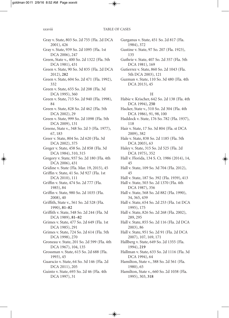#### xxxviii TABLE OF CASES

Gray v. State, 803 So. 2d 755 (Fla. 2d DCA 2001), 426 Gray v. State, 939 So. 2d 1095 (Fla. 1st DCA 2006), 247 Green, State v., 400 So. 2d 1322 (Fla. 5th DCA 1981), 431 Green v. State, 90 So. 3d 835 (Fla. 2d DCA 2012), **282** Green v. State, 604 So. 2d 471 (Fla. 1992), 332 Green v. State, 655 So. 2d 208 (Fla. 3d DCA 1995), 360 Green v. State, 715 So. 2d 940 (Fla. 1998), 84 Green v. State, 828 So. 2d 462 (Fla. 5th DCA 2002), 29 Green v. State, 999 So. 2d 1098 (Fla. 5th DCA 2009), 131 Greene, State v., 348 So. 2d 3 (Fla. 1977), 67, 183 Greer v. State, 804 So. 2d 620 (Fla. 3d DCA 2002), 375 Greger v. State, 458 So. 2d 858 (Fla. 3d DCA 1984), 310, 315 Gregory v. State, 937 So. 2d 180 (Fla. 4th DCA 2006), 431 Gridine v. State (Fla. Mar. 19, 2015), 45 Griffin v. State, 41 So. 3d 927 (Fla. 1st DCA 2010), 111 Griffin v. State, 474 So. 2d 777 (Fla. 1985), 84 Griffin v. State, 980 So. 2d 1035 (Fla. 2008), 40 Griffith, State v., 561 So. 2d 528 (Fla. 1990), **81–82** Griffith v. State, 548 So. 2d 244 (Fla. 3d DCA 1989), **81–82** Grimes v. State, 477 So. 2d 649 (Fla. 1st DCA 1985), 291 Grimes v. State, 724 So. 2d 614 (Fla. 5th DCA 1998), 270 Groneau v. State, 201 So. 2d 599 (Fla. 4th DCA 1967), 104, 135 Grossman v. State, 615 So. 2d 688 (Fla. 1993), 45 Guarscio v. State, 64 So. 3d 146 (Fla. 2d DCA 2011), 205 Guinto v. State, 693 So. 2d 46 (Fla. 4th DCA 1997), 31

Gurganus v. State, 451 So. 2d 817 (Fla. 1984), 372

Gustine v. State, 97 So. 207 (Fla. 1923), 135

Guthrie v. State, 407 So. 2d 357 (Fla. 5th DCA 1981), 169

Gutierrez v. State, 860 So. 2d 1043 (Fla. 5th DCA 2003), 121

Guzman v. State, 110 So. 3d 480 (Fla. 4th DCA 2013), 45

#### H

- Habie v. Krischer, 642 So. 2d 138 (Fla. 4th DCA 1994), **250**
- Hacker, State v., 510 So. 2d 304 (Fla. 4th DCA 1986), 91, 98, 100
- Haddock v. State, 176 So. 782 (Fla. 1937), 118
- Hair v. State, 17 So. 3d 804 (Fla. st DCA 2009), 382
- Hale v. State, 838 So. 2d 1185 (Fla. 5th DCA 2003), 63
- Haley v. State, 315 So. 2d 525 (Fla. 2d DCA 1975), 352
- Hall v. Florida, 134 S. Ct. 1986 (2014), 14, 45
- Hall v. State, 109 So. 3d 704 (Fla. 2012), 45
- Hall v. State, 187 So. 392 (Fla. 1939), 413
- Hall v. State, 503 So. 2d 1370 (Fla. 4th DCA 1987), 356
- Hall v. State, 568 So. 2d 882 (Fla. 1990), 34, 365, 439
- Hall v. State, 654 So. 2d 253 (Fla. 1st DCA 1995), 175
- Hall v. State, 826 So. 2d 268 (Fla. 2002), 289, 295
- Hall v. State, 855 So. 2d 116 (Fla. 2d DCA 2003), 86
- Hall v. State, 951 So. 2d 91 (Fla. 2d DCA 2007), 107, 169, 171
- Hallberg v. State, 649 So. 2d 1355 (Fla. 1994), **219**
- Hallman v. State, 633 So. 2d 1116 (Fla. 3d DCA 1994), 64
- Hamilton, State v., 388 So. 2d 561 (Fla. 1980), 65
- Hamilton, State v., 660 So. 2d 1038 (Fla. 1995), 303, **318**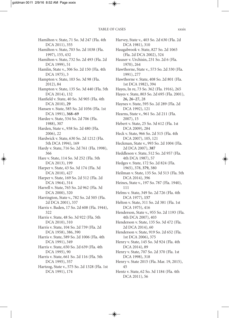Hamilton v. State, 71 So. 3d 247 (Fla. 4th DCA 2011), 355 Hamilton v. State, 703 So. 2d 1038 (Fla. 1997), 155, 432 Hamilton v. State, 732 So. 2d 493 (Fla. 2d DCA 1999), 51 Hamlin, State v., 306 So. 2d 150 (Fla. 4th DCA 1975), 3 Hampton v. State, 103 So. 3d 98 (Fla. 2012), 84 Hampton v. State, 135 So. 3d 440 (Fla. 5th DCA 2014), 132 Hanfield v. State, 40 So. 3d 905 (Fla. 4th DCA 2010), **29** Hansen v. State, 585 So. 2d 1056 (Fla. 1st DCA 1991), **368–69** Hardee v. State, 534 So. 2d 706 (Fla. 1988), 307 Harden, State v., 938 So. 2d 480 (Fla. 2006), 22 Hardwick v. State, 630 So. 2d 1212 (Fla. 5th DCA 1994), 169 Hardy v. State, 716 So. 2d 761 (Fla. 1998), 366 Hare v. State, 114 So. 3d 252 (Fla. 5th DCA 2013), 199 Harper v. State, 43 So. 3d 174 (Fla. 3d DCA 2010), 427 Harper v. State, 169 So. 2d 512 (Fla. 2d DCA 1964), 314 Harrell v. State, 765 So. 2d 962 (Fla. 3d DCA 2000), 320 Harrington, State v., 782 So. 2d 505 (Fla. 2d DCA 2001), 337 Harris v. Baden, 17 So. 2d 608 (Fla. 1944), 322 Harris v. State, 48 So. 3d 922 (Fla. 5th DCA 2010), 310 Harris v. State, 104 So. 2d 739 (Fla. 2d DCA 1958), 386, 390 Harris v. State, 589 So. 2d 1006 (Fla. 4th DCA 1991), 349 Harris v. State, 650 So. 2d 639 (Fla. 4th DCA 1995), 90 Harris v. State, 661 So. 2d 116 (Fla. 5th DCA 1995), 357 Hartzog, State v., 575 So. 2d 1328 (Fla. 1st DCA 1991), 174

Harvey, State v., 403 So. 2d 630 (Fla. 2d DCA 1981), 310 Haugabrook v. State, 827 So. 2d 1065 (Fla. 2d DCA 2002), 324 Hauser v. Urchisin, 231 So. 2d 6 (Fla. 1970), 264 Hawthorne, State v., 573 So. 2d 330 (Fla. 1991), 277 Hawthorne v. State, 408 So. 2d 801 (Fla. 1st DCA 1982), 394 Hayes, In re, 73 So. 362 (Fla. 1916), 265 Hayes v. State, 803 So. 2d 695 (Fla. 2001), **26, 26–27,** 28 Haynes v. State, 595 So. 2d 289 (Fla. 2d DCA 1992), 121 Hearns, State v., 961 So. 2d 211 (Fla. 2007), 15 Hebert v. State, 25 So. 3d 612 (Fla. 1st DCA 2009), 284 Heck v. State, 966 So. 2d 515 (Fla. 4th DCA 2007), 105, 121 Heckman, State v., 993 So. 2d 1004 (Fla. 2d DCA 2007), **387** Heddleson v. State, 512 So. 2d 957 (Fla. 4th DCA 1987), 57 Hedges v. State, 172 So. 2d 824 (Fla. 1965), 378, **379,** 380 Heilman v. State, 135 So. 3d 513 (Fla. 5th DCA 2014), 396 Heines, State v., 197 So. 787 (Fla. 1940), 111 Helms v. State, 349 So. 2d 726 (Fla. 4th DCA 1977), **157** Helton v. State, 311 So. 2d 381 (Fla. 1st DCA 1975), 416 Henderson, State v., 955 So. 2d 1193 (Fla. 4th DCA 2007), 403 Henderson v. State, 135 So. 3d 472 (Fla. 2d DCA 2014), 60 Henderson v. State, 919 So. 2d 652 (Fla. 1st DCA 2006), 375 Henry v. State, 145 So. 3d 924 (Fla. 4th DCA 2014), 89 Henry v. State, 707 So. 2d 370 (Fla. 1st DCA 1998), 318 Henry v. State 2015 (Fla. Mar. 19, 2015), 45 Hentz v. State, 62 So. 3d 1184 (Fla. 4th DCA 2011), 56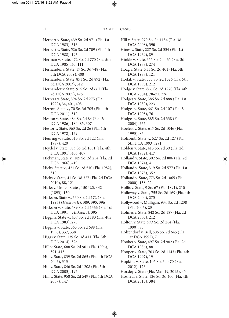Herbert v. State, 439 So. 2d 971 (Fla. 1st DCA 1983), 316 Herbert v. State, 526 So. 2d 709 (Fla. 4th DCA 1988), 193 Herman v. State, 472 So. 2d 770 (Fla. 5th DCA 1985), **50, 111** Hernandez v. State, 17 So. 3d 748 (Fla. 5th DCA 2009), 408 Hernandez v. State, 851 So. 2d 892 (Fla. 3d DCA 2003), **312** Hernandez v. State, 915 So. 2d 667 (Fla. 2d DCA 2005), 426 Herrera v. State, 594 So. 2d 275 (Fla. 1992), 34, 401, 403 Herron, State v., 70 So. 3d 705 (Fla. 4th DCA 2011), 312 Heston v. State, 484 So. 2d 84 (Fla. 2d DCA 1986), **184–85,** 307 Hestor v. State, 363 So. 2d 26 (Fla. 4th DCA 1978), 139 Heuring v. State, 513 So. 2d 122 (Fla. 1987), 420 Heydel v. State, 583 So. 2d 1051 (Fla. 4th DCA 1991), 406, 407 Hickman, State v., 189 So. 2d 254 (Fla. 2d DCA 1966), 419 Hicks, State v., 421 So. 2d 510 (Fla. 1982), 319 Hicks v. State, 41 So. 3d 327 (Fla. 2d DCA 2010), **88,** 121 Hicks v. United States, 150 U.S. 442 (1893), **150** Hickson, State v., 630 So. 2d 172 (Fla. 1993) (*Hickson II*)*,* 389, **395,** 396 Hickson v. State, 589 So. 2d 1366 (Fla. 1st DCA 1991) (*Hickson I*), 395 Higgins, State v., 437 So. 2d 180 (Fla. 4th DCA 1983), 275 Higgins v. State, 565 So. 2d 698 (Fla. 1990), 337, 338 Higgs v. State, 139 So. 3d 411 (Fla. 5th DCA 2014), 326 Hill v. State, 688 So. 2d 901 (Fla. 1996), 391, 413 Hill v. State, 839 So. 2d 865 (Fla. 4th DCA 2003), 313 Hill v. State, 846 So. 2d 1208 (Fla. 5th DCA 2003), 197 Hill v. State, 958 So. 2d 549 (Fla. 4th DCA

2007), 147

Hill v. State, 979 So. 2d 1134 (Fla. 3d DCA 2008), **390**

Hines v. State, 227 So. 2d 334 (Fla. 1st DCA 1969), 89

- Hinkle v. State, 355 So. 2d 465 (Fla. 3d DCA 1978), 274
- Hoag v. State, 511 So. 2d 401 (Fla. 5th DCA 1987), 121
- Hodak v. State, 555 So. 2d 1326 (Fla. 5th DCA 1990), 212
- Hodge v. State, 866 So. 2d 1270 (Fla. 4th DCA 2004), **70–71,** 226
- Hodges v. State, 386 So. 2d 888 (Fla. 1st DCA 1980), 223
- Hodges v. State, 661 So. 2d 107 (Fla. 3d DCA 1995), **76**
- Hodges v. State, 885 So. 2d 338 (Fla. 2004), 367
- Hoefert v. State, 617 So. 2d 1046 (Fla. 1993), 85
- Holcomb, State v., 627 So. 2d 127 (Fla. 5th DCA 1993), 291
- Holden v. State, 415 So. 2d 39 (Fla. 2d DCA 1982), **417**
- Holland v. State, 302 So. 2d 806 (Fla. 2d DCA 1974), 4
- Holland v. State, 319 So. 2d 577 (Fla. 1st DCA 1975), 352
- Holland v. State, 773 So. 2d 1065 (Fla. 2000), **138,** 224
- Hollis v. State, 9 So. 67 (Fla. 1891), 210
- Holloway v. State, 755 So. 2d 169 (Fla. 4th DCA 2000), 275
- Hollywood v. Mulligan, 934 So. 2d 1238 (Fla. 2006), **23**
- Holmes v. State, 842 So. 2d 187 (Fla. 2d DCA 2003), 212
- Holton v. State, 573 So. 2d 284 (Fla. 1990), 85
- Holzendorf v. Bell, 606 So. 2d 645 (Fla. 1st DCA 1992), 7
- Hooker v. State, 497 So. 2d 982 (Fla. 2d DCA 1986), 88
- Hooper v. State, 703 So. 2d 1143 (Fla. 4th DCA 1997), 19
- Hopkins v. State, 105 So. 3d 470 (Fla. 2012), 176
- Horsley v. State (Fla. Mar. 19, 2015), 45
- Hosnedl v. State, 126 So. 3d 400 (Fla. 4th DCA 2013), 384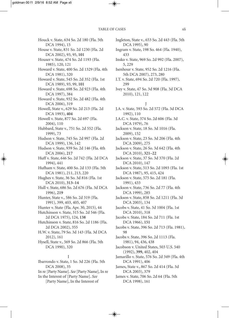Houck v. State, 634 So. 2d 180 (Fla. 5th DCA 1994), 15 House v. State, 831 So. 2d 1230 (Fla. 2d DCA 2002), 93, 95, **101** Houser v. State, 474 So. 2d 1193 (Fla. 1985), 120, 121 Howard v. State, 400 So. 2d 1329 (Fla. 4th DCA 1981), 320 Howard v. State, 545 So. 2d 352 (Fla. 1st DCA 1989), 93, 99, **101** Howard v. State, 698 So. 2d 923 (Fla. 4th DCA 1997), 384 Howard v. State, 932 So. 2d 482 (Fla. 4th DCA 2006), 319 Howell, State v., 629 So. 2d 213 (Fla. 2d DCA 1993), **404** Howell v. State, 877 So. 2d 697 (Fla. 2004), 110 Hubbard, State v., 751 So. 2d 552 (Fla. 1999), 73 Hudson v. State, 745 So. 2d 997 (Fla. 2d DCA 1999), 136, 142 Hudson v. State, 939 So. 2d 146 (Fla. 4th DCA 2006), **217** Huff v. State, 646 So. 2d 742 (Fla. 2d DCA 1994), 441 Hufham v. State, 400 So. 2d 133 (Fla. 5th DCA 1981), 211, 213, 220 Hughes v. State, 36 So. 3d 816 (Fla. 1st DCA 2010), **313–14** Hull v. State, 686 So. 2d 676 (Fla. 3d DCA 1996), **219** Hunter, State v., 586 So. 2d 319 (Fla. 1991), 399, 403, 405, 407 Hunter v. State (Fla. Apr. 30, 2015), 44 Hutchinson v. State, 315 So. 2d 546 (Fla. 2d DCA 1975), 124, **138** Hutchinson v. State, 816 So. 2d 1186 (Fla. 2d DCA 2002), 355 H.W. v. State, 79 So. 3d 143 (Fla. 3d DCA 2012), 161 Hysell, State v., 569 So. 2d 866 (Fla. 5th DCA 1990), 320 I Ibarrondo v. State, 1 So. 3d 226 (Fla. 5th DCA 2008), 35

- In re [Party Name]. *See* [Party Name], In re
- In the Interest of [Party Name]. *See* [Party Name], In the Interest of
- Ingleton, State v., 653 So. 2d 443 (Fla. 5th DCA 1995), 90
- Ingram v. State, 198 So. 464 (Fla. 1940), 433
- Insko v. State, 969 So. 2d 992 (Fla. 2007), 5, 229
- Isenhour v. State, 952 So. 2d 1216 (Fla. 5th DCA 2007), 273, 280
- I.T. v. State, 694 So. 2d 720 (Fla. 1997), 299
- Ivey v. State, 47 So. 3d 908 (Fla. 3d DCA 2010), 121, 122

#### J

- J.A. v. State*,* 593 So. 2d 572 (Fla. 3d DCA 1992), 110
- J.A.C. v. State, 374 So. 2d 606 (Fla. 3d DCA 1979), 76
- Jackson v. State, 18 So. 3d 1016 (Fla. 2009), 152
- Jackson v. State, 23 So. 3d 206 (Fla. 4th DCA 2009), 275
- Jackson v. State, 26 So. 3d 642 (Fla. 4th DCA 2010), **321–22**
- Jackson v. State, 37 So. 3d 370 (Fla. 2d DCA 2010), 147
- Jackson v. State, 513 So. 2d 1093 (Fla. 1st DCA 1987), 95, 415, 424
- Jackson v. State, 575 So. 2d 181 (Fla. 1991), 433
- Jackson v. State, 736 So. 2d 77 (Fla. 4th DCA 1999), 285
- Jackson v. State, 858 So. 2d 1211 (Fla. 3d DCA 2003), 134
- Jacobs v. State, 41 So. 3d 1004 (Fla. 1st DCA 2010), 318
- Jacobs v. State, 184 So. 2d 711 (Fla. 1st DCA 1966), **151**
- Jacobs v. State, 396 So. 2d 713 (Fla. 1981), 98
- Jacobs v. State, 396 So. 2d 1113 (Fla. 1981), 94, 436, 438
- Jacobson v. United States, 503 U.S. 540 (1992), **399,** 402, 404
- Jamarillo v. State, 576 So. 2d 349 (Fla. 4th DCA 1991), 406
- James, State v., 867 So. 2d 414 (Fla. 3d DCA 2003), 379
- James v. State, 706 So. 2d 64 (Fla. 5th DCA 1998), 161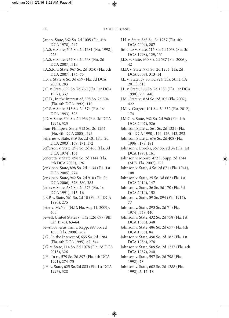Jane v. State, 362 So. 2d 1005 (Fla. 4th DCA 1978), 247 J.A.S. v. State, 705 So. 2d 1381 (Fla. 1998), 226 J.A.S. v. State, 952 So. 2d 638 (Fla. 2d DCA 2007), 313 J.A.S.R. v. State, 967 So. 2d 1050 (Fla. 5th DCA 2007), **174–75** J.B. v. State, 6 So. 3d 659 (Fla. 3d DCA 2009), 283 J.C. v. State, 695 So. 2d 765 (Fla. 1st DCA 1997), 337 J.C.D., In the Interest of, 598 So. 2d 304 (Fla. 4th DCA 1992), 110 J.C.S. v. State, 613 So. 2d 574 (Fla. 1st DCA 1993), 328 J.D. v. State, 604 So. 2d 936 (Fla. 3d DCA 1992), 323 Jean-Phillipe v. State, 913 So. 2d 1264 (Fla. 4th DCA 2005), 293 Jefferies v. State, 849 So. 2d 401 (Fla. 2d DCA 2003), 169, 171, 172 Jefferson v. State, 298 So. 2d 465 (Fla. 3d DCA 1974), 164 Jenerette v. State, 898 So. 2d 1144 (Fla. 5th DCA 2005), 126 Jenkins v. State, 898 So. 2d 1134 (Fla. 1st DCA 2005), **274** Jenkins v. State, 942 So. 2d 910 (Fla. 2d DCA 2006), 378, 380, 383 Jenks v. State, 582 So. 2d 676 (Fla. 1st DCA 1991), **415–16** J.E.P. v. State, 561 So. 2d 10 (Fla. 3d DCA 1990), 275 Jeter v. McNeil (N.D. Fla. Aug 11, 2009), 405 Jewell, United States v., 532 F.2d 697 (9th Cir. 1976), **63–64** Jews For Jesus, Inc. v. Rapp, 997 So. 2d 1098 (Fla. 2008), 262 J.G., In the Interest of, 655 So. 2d 1284 (Fla. 4th DCA 1995), **62,** 344 J.G. v. State, 114 So. 3d 1078 (Fla. 2d DCA 2013), 326 J.H., In re, 579 So. 2d 897 (Fla. 4th DCA 1991), 274–75 J.H. v. State, 625 So. 2d 883 (Fla. 1st DCA

1993), 328

J.H. v. State, 868 So. 2d 1237 (Fla. 4th DCA 2004), **287** Jimenez v. State, 715 So. 2d 1038 (Fla. 3d DCA 1998), 129, 131 J.I.S. v. State, 930 So. 2d 587 (Fla. 2006), 42 J.J.D. v. State, 973 So. 2d 1254 (Fla. 2d DCA 2008), **313–14** J.L. v. State, 57 So. 3d 924 (Fla. 5th DCA 2011), 318 J.L. v. State, 566 So. 2d 1383 (Fla. 1st DCA 1990), 299, 440 J.M., State v., 824 So. 2d 105 (Fla. 2002), 422 J.M. v. Gargett, 101 So. 3d 352 (Fla. 2012), 174 J.M.C. v. State, 962 So. 2d 960 (Fla. 4th DCA 2007), 326 Johnson, State v., 561 So. 2d 1321 (Fla.

- 4th DCA 1990), 124, 126, 142, 292 Johnson, State v., 676 So. 2d 408 (Fla.
- 1996), 178, 181 Johnson v. Brooks, 567 So. 2d 34 (Fla. 1st DCA 1990), 161
- Johnson v. Moore, 472 F. Supp. 2d 1344 (M.D. Fla. 2007), 222
- Johnson v. State, 4 So. 2d 671 (Fla. 1941), 108
- Johnson v. State, 25 So. 3d 662 (Fla. 1st DCA 2010), 147
- Johnson v. State, 36 So. 3d 170 (Fla. 3d DCA 2010), 152
- Johnson v. State, 59 So. 894 (Fla. 1912), 77
- Johnson v. State, 293 So. 2d 71 (Fla. 1974), 348, 440
- Johnson v. State, 432 So. 2d 758 (Fla. 1st DCA 1983), 348
- Johnson v. State, 486 So. 2d 657 (Fla. 4th DCA 1986), 84

Johnson v. State, 490 So. 2d 182 (Fla. 1st DCA 1986), 278

Johnson v. State, 509 So. 2d 1237 (Fla. 4th DCA 1987), 240

- Johnson v. State, 597 So. 2d 798 (Fla. 1992), **28**
- Johnson v. State, 602 So. 2d 1288 (Fla. 1992), **5, 17–18**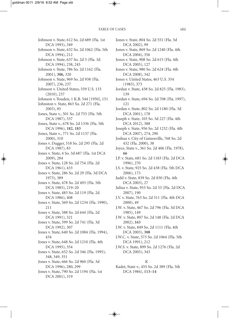Johnson v. State, 612 So. 2d 689 (Fla. 1st DCA 1993), 349 Johnson v. State, 632 So. 2d 1062 (Fla. 5th DCA 1994), 212 Johnson v. State, 637 So. 2d 3 (Fla. 3d DCA 1994), 238, 245 Johnson v. State, 786 So. 2d 1162 (Fla. 2001), **306,** 320 Johnson v. State, 969 So. 2d 938 (Fla. 2007), 236, 237 Johnson v. United States, 559 U.S. 133 (2010), 237 Johnson v. Youden, 1 K.B. 544 [1950], 151 Johnston v. State, 863 So. 2d 271 (Fla. 2003), 85 Jones, State v., 501 So. 2d 753 (Fla. 5th DCA 1987), 337 Jones, State v., 678 So. 2d 1336 (Fla. 5th DCA 1996), **182, 183** Jones, State v., 771 So. 2d 1137 (Fla. 2000), 310 Jones v. Dugger, 518 So. 2d 295 (Fla. 2d DCA 1987), 83 Jones v. State, 4 So. 3d 687 (Fla. 1st DCA 2009), 284 Jones v. State, 128 So. 2d 754 (Fla. 2d DCA 1961), 433 Jones v. State, 286 So. 2d 29 (Fla. 3d DCA 1973), 389 Jones v. State, 478 So. 2d 493 (Fla. 5th DCA 1985), 219–20 Jones v. State, 483 So. 2d 119 (Fla. 2d DCA 1986), 408 Jones v. State, 569 So. 2d 1234 (Fla. 1990), 211 Jones v. State, 588 So. 2d 644 (Fla. 2d DCA 1991), 321 Jones v. State, 599 So. 2d 741 (Fla. 3d DCA 1992), 307 Jones v. State, 640 So. 2d 1084 (Fla. 1994), 434 Jones v. State, 648 So. 2d 1210 (Fla. 4th DCA 1995), 354 Jones v. State, 652 So. 2d 346 (Fla. 1995), 348, 349, 351 Jones v. State, 666 So. 2d 960 (Fla. 3d DCA 1996), 280, 299 Jones v. State, 790 So. 2d 1194 (Fla. 1st DCA 2001), 319

Jones v. State, 804 So. 2d 551 (Fla. 3d DCA 2002), 99 Jones v. State, 869 So. 2d 1240 (Fla. 4th DCA 2004), 356 Jones v. State, 908 So. 2d 615 (Fla. 4th DCA 2005), 127 Jones v. State, 980 So. 2d 624 (Fla. 4th DCA 2008), 342 Jones v. United States, 463 U.S. 354 (1983), 373 Jordan v. State, 438 So. 2d 825 (Fla. 1983), 139 Jordan v. State, 694 So. 2d 708 (Fla. 1997), 121 Jordan v. State, 802 So. 2d 1180 (Fla. 3d DCA 2001), 178 Joseph v. State, 103 So. 3d 227 (Fla. 4th DCA 2012), 388 Joseph v. State, 956 So. 2d 1232 (Fla. 4th DCA 2007), 274, 290 Joshua v. City of Gainesville, 768 So. 2d 432 (Fla. 2000), 38 Joyce, State v., 361 So. 2d 406 (Fla. 1978), **66** J.P. v. State, 681 So. 2d 1183 (Fla. 2d DCA 1996), 270 J.S. v. State, 925 So. 2d 438 (Fla. 5th DCA 2006), 173 Judd v. State, 839 So. 2d 830 (Fla. 4th DCA 2003), 27 Julius v. State, 953 So. 2d 33 (Fla. 2d DCA 2007), 190 J.V. v. State, 763 So. 2d 511 (Fla. 4th DCA 2000), 49 J.W. v. State, 467 So. 2d 796 (Fla. 3d DCA 1985), 149 J.W. v. State, 807 So. 2d 148 (Fla. 2d DCA 2002), **163** J.W. v. State, 849 So. 2d 1111 (Fla. 4th DCA 2003), **308** J.W.C. v. State, 573 So. 2d 1064 (Fla. 5th DCA 1991), 212 J.W.S. v. State, 899 So. 2d 1276 (Fla. 2d DCA 2005), 343

K

Kadet, State v., 455 So. 2d 389 (Fla. 5th DCA 1984), **113–14**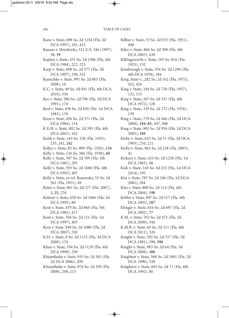Kane v. State, 698 So. 2d 1254 (Fla. 2d DCA 1997), 101, 432 Kansas v. Hendricks, 521 U.S. 346 (1997), 38, **39** Kaplan v. State, 451 So. 2d 1386 (Fla. 4th DCA 1984), 222, 223 Karp v. State, 698 So. 2d 577 (Fla. 3d DCA 1997), 330, 332 Kasischke v. State, 991 So. 2d 803 (Fla. 2008), 16 K.C. v. State, 49 So. 3d 841 (Fla. 4th DCA 2010), 356 Kee v. State, 580 So. 2d 796 (Fla. 3d DCA 1991), 174 Keel v. State, 438 So. 2d 850 (Fla. 1st DCA 1983), 139 Keen v. State, 456 So. 2d 571 (Fla. 2d DCA 1984), 214 K.E.H. v. State, 802 So. 2d 395 (Fla. 4th DCA 2001), 162 Keith v. State, 163 So. 136 (Fla. 1935), 235, 241, **242** Kelley v. State, 83 So. 909 (Fla. 1920), **154** Kelly v. State, 126 So. 366 (Fla. 1930), **60** Kelly v. State, 397 So. 2d 709 (Fla. 5th DCA 1981), 295 Kelly v. State, 593 So. 2d 1060 (Fla. 4th DCA 1992), 407 Kelly v. State, ex rel. Rosowsky, 55 So. 2d 561 (Fla. 1951), 49 Kelso v. State, 961 So. 2d 277 (Fla. 2007), 5, **25,** 276 Keltner v. State, 650 So. 2d 1066 (Fla. 2d DCA 1995), 89 Kent v. State, 479 So. 2d 866 (Fla. 5th DCA 1985), 417 Kent v. State, 704 So. 2d 121 (Fla. 1st DCA 1997), 403 Keys v. State, 949 So. 2d 1080 (Fla. 2d DCA 2007), 330 K.H. v. State, 8 So. 3d 1155 (Fla. 3d DCA 2009), 174 Khan v. State, 704 So. 2d 1129 (Fla. 4th DCA 1998), 250 Khianthalat v. State, 935 So. 2d 583 (Fla. 2d DCA 2006), 209 Khianthalat v. State, 974 So. 2d 359 (Fla. 2008), 209, 213

Kilbee v. State, 53 So. 2d 533 (Fla. 1951), 440 Kiley v. State, 860 So. 2d 509 (Fla. 4th DCA 2003), 439 Killingsworth v. State, 105 So. 834 (Fla. 1925), 152 Kimbrough v. State, 356 So. 2d 1294 (Fla. 4th DCA 1978), 184 King, State v., 282 So. 2d 162 (Fla. 1973), 422, 426 King v. State, 104 So. 2d 730 (Fla. 1957), 132, 133 King v. State, 267 So. 2d 351 (Fla. 4th DCA 1972), 128 King v. State, 339 So. 2d 172 (Fla. 1976), 139 King v. State, 779 So. 2d 466 (Fla. 2d DCA 2000), **184–85,** 307, 308 King v. State, 903 So. 2d 954 (Fla. 2d DCA 2005), **189** Kirby v. State, 625 So. 2d 51 (Fla. 3d DCA 1993), 210, 221 Kirby v. State, 863 So. 2d 238 (Fla. 2003), 42 Kirksey v. State, 433 So. 2d 1236 (Fla. 1st DCA 1983), **16** Kish v. State, 145 So. 3d 225 (Fla. 1st DCA 2014), 195 Kist v. State, 787 So. 2d 106 (Fla. 2d DCA 2001), 284 Kito v. State, 888 So. 2d 114 (Fla. 4th DCA 2004), **198** Kittles v. State, 897 So. 2d 517 (Fla. 4th DCA 2005), **287** Klinger v. State, 816 So. 2d 697 (Fla. 2d DCA 2002), **77** K.M. v. State, 763 So. 2d 472 (Fla. 2d DCA 2000), 340 K.M.B. v. State, 69 So. 3d 311 (Fla. 4th DCA 2011), 326 Knight v. State, 392 So. 2d 337 (Fla. 3d DCA 1981), 390, **390** Knight v. State, 983 So. 2d 64 (Fla. 3d DCA 2008), **306** Knighten v. State, 568 So. 2d 1001 (Fla. 2d

DCA 1990), 338 Knighton v. State, 603 So. 2d 71 (Fla. 4th DCA 1992), 80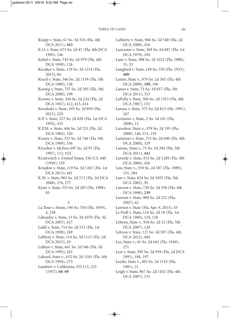Knipp v. State, 67 So. 3d 376 (Fla. 4th DCA 2011), **443** K.O. v. State, 673 So. 2d 47 (Fla. 4th DCA 1995), 146 Kobel v. State, 745 So. 2d 979 (Fla. 4th DCA 1999), 126 Kocaker v. State, 119 So. 3d 1214 (Fla. 2013), 84 Kocol v. State, 546 So. 2d 1159 (Fla. 5th DCA 1989), 128 Koenig v. State, 757 So. 2d 595 (Fla. 5th DCA 2000), 199 Koontz v. State, 204 So. 2d 224 (Fla. 2d DCA 1967), 412, 413, 414 Kovaleski v. State, 103 So. 3d 859 (Fla. 2012), 220 K.P. v. State, 327 So. 2d 820 (Fla. 1st DCA 1976), 435 K.P.M. v. State, 446 So. 2d 723 (Fla. 2d DCA 1984), 320 Krantz v. State, 553 So. 2d 746 (Fla. 5th DCA 1989), 336 Krischer v. McIver, 697 So. 2d 97 (Fla. 1997), 112, **112** Krulewitch v. United States, 336 U.S. 440 (1949), 129 Krupkin v. State, 119 So. 3d 1267 (Fla. 1st DCA 2013), 441 K.W. v. State, 983 So. 2d 713 (Fla. 2d DCA 2008), 276, 277 Kyser v. State, 533 So. 2d 285 (Fla. 1988), 95 L La Tour v. Stone, 190 So. 704 (Fla. 1939), 4, 258 Labrador v. State, 13 So. 3d 1070 (Fla. 3d DCA 2007), 427 Ladd v. State, 714 So. 2d 533 (Fla. 1st DCA 1998), 249 Lafferty v. State, 114 So. 3d 1115 (Fla. 2d DCA 2013), 29 Lafleur v. State, 661 So. 2d 346 (Fla. 3d DCA 1995), 245 Lahurd, State v., 632 So. 2d 1101 (Fla. 4th

DCA 1994), 273 Lambert v. California, 355 U.S. 225 (1957), **68–69**

LaMorte v. State, 984 So. 2d 548 (Fla. 2d DCA 2008), 426 Lancaster v. State, 369 So. 2d 687 (Fla. 1st DCA 1979), 294 Lane v. State, 388 So. 2d 1022 (Fla. 1980), 31, 32 Langford v. State, 149 So. 570 (Fla. 1933), **400** Lanier, State v., 979 So. 2d 365 (Fla. 4th DCA 2008), **189,** 196 Lanzo v. State, 73 So. 3d 817 (Fla. 5th DCA 2011), 313 LaPolla v. State, 504 So. 2d 1353 (Fla. 4th DCA 1987), 131 Lareau v. State, 573 So. 2d 813 (Fla. 1991), 167 Larimore v. State, 2 So. 3d 101 (Fla. 2008), 15 Larzelere, State v., 979 So. 2d 195 (Fla. 2008), 146, 151, 154 Latimore v. State, 753 So. 2d 690 (Fla. 4th DCA 2000), 329 Latona, State v., 75 So. 3d 394 (Fla. 5th DCA 2011), **442** Laverde v. State, 933 So. 2d 1289 (Fla. 4th DCA 2006), 426 Law, State v., 559 So. 2d 187 (Fla. 1989), 131, 284 Law v. State, 824 So. 2d 1055 (Fla. 5th DCA 2002), **31** Lawson v. State, 720 So. 2d 558 (Fla. 4th DCA 1998), **239** Lawson v. State, 969 So. 2d 222 (Fla. 2007), 42 Lawton v. State (Fla. Apr. 9, 2015), 45 Le Prell v. State, 124 So. 2d 18 (Fla. 1st DCA 1960), 124, 128 Lebron, State v., 954 So. 2d 52 (Fla. 5th DCA 2007), 120 Lebron v. State, 127 So. 3d 597 (Fla. 4th DCA 2012), 404 Lee, State v., 41 So. 2d 662 (Fla. 1949), 271 Leet v. State, 595 So. 2d 959 (Fla. 2d DCA 1991), 184, 197 Leicht, State v., 402 So. 2d 1153 (Fla. 1981), 21 Leigh v. State, 967 So. 2d 1102 (Fla. 4th DCA 2007), 131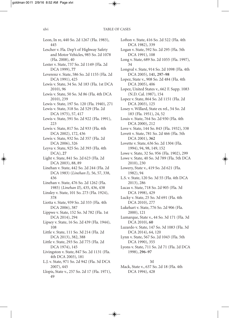Leon, In re, 440 So. 2d 1267 (Fla. 1983), 445 Lescher v. Fla. Dep't of Highway Safety and Motor Vehicles, 985 So. 2d 1078 (Fla. 2008), 40 Lester v. State, 737 So. 2d 1149 (Fla. 2d DCA 1999), **77** Leverenz v. State, 586 So. 2d 1155 (Fla. 2d DCA 1991), 425 Lewis v. State, 34 So. 3d 183 (Fla. 1st DCA 2010), 96 Lewis v. State, 50 So. 3d 86 (Fla. 4th DCA 2010), 239 Lewis v. State, 197 So. 120 (Fla. 1940), 271 Lewis v. State, 318 So. 2d 529 (Fla. 2d DCA 1975), 57, 417 Lewis v. State, 591 So. 2d 922 (Fla. 1991), 223 Lewis v. State, 817 So. 2d 933 (Fla. 4th DCA 2002), 172, 436 Lewis v. State, 932 So. 2d 357 (Fla. 2d DCA 2006), 326 Leyva v. State, 925 So. 2d 393 (Fla. 4th DCA), **27** Light v. State, 841 So. 2d 623 (Fla. 2d DCA 2003), 88, 89 Linehan v. State, 442 So. 2d 244 (Fla. 2d DCA 1983) (*Linehan I*)*,* 56, 57, 338, 436 Linehan v. State, 476 So. 2d 1262 (Fla. 1985) (*Linehan II*), 435, 436, 438 Linsley v. State, 101 So. 273 (Fla. 1924), 378 Liotta v. State, 939 So. 2d 333 (Fla. 4th DCA 2006), 387 Lippwe v. State, 152 So. 3d 782 (Fla. 1st DCA 2014), 294 Lipsey v. State, 16 So. 2d 439 (Fla. 1944), 108 Little v. State, 111 So. 3d 214 (Fla. 2d DCA 2013), 382, 388 Little v. State, 293 So. 2d 775 (Fla. 2d DCA 1974), 145 Livingston v. State, 847 So. 2d 1131 (Fla. 4th DCA 2003), 181 L.J. v. State, 971 So. 2d 942 (Fla. 3d DCA 2007), 445 Llopis, State v., 257 So. 2d 17 (Fla. 1971), 49

Lofton v. State, 416 So. 2d 522 (Fla. 4th DCA 1982), 339 Logan v. State, 592 So. 2d 295 (Fla. 5th DCA 1991), 108 Long v. State, 689 So. 2d 1055 (Fla. 1997), 34 Longval v. State, 914 So. 2d 1098 (Fla. 4th DCA 2005), **141, 297–98** Lopez, State v., 908 So. 2d 484 (Fla. 4th DCA 2005), 406 Lopez, United States v., 662 F. Supp. 1083 (N.D. Cal. 1987), 154 Lopez v. State, 864 So. 2d 1151 (Fla. 2d DCA 2003), 125 Losey v. Willard, State ex rel., 54 So. 2d 183 (Fla. 1951), 24, 52 Louis v. State, 764 So. 2d 930 (Fla. 4th DCA 2000), 212 Love v. State, 144 So. 843 (Fla. 1932), 338 Lovett v. State, 781 So. 2d 466 (Fla. 5th DCA 2001), **362** Lovette v. State, 636 So. 2d 1304 (Fla. 1994), 94, 98, 149, 152 Lowe v. State, 32 So. 956 (Fla. 1902), 299 Lowe v. State, 40 So. 3d 789 (Fla. 5th DCA 2010), 230 Lowery, State v., 419 So. 2d 621 (Fla. 1982), 94 L.S. v. State, 120 So. 3d 55 (Fla. 4th DCA 2013), 286 Lucas v. State, 718 So. 2d 905 (Fla. 3d DCA 1998), 429 Lucky v. State, 25 So. 3d 691 (Fla. 4th DCA 2010), 277 Lukehart v. State, 776 So. 2d 906 (Fla. 2000), 121 Lumarque, State v., 44 So. 3d 171 (Fla. 3d DCA 2010), **60** Luzardo v. State, 147 So. 3d 1083 (Fla. 3d DCA 2014), 64, 120 Lynn v. State, 567 So. 2d 1043 (Fla. 5th DCA 1990), 355 Lyons v. State, 711 So. 2d 71 (Fla. 2d DCA 1998), **296–97**

#### M

Mack, State v., 637 So. 2d 18 (Fla. 4th DCA 1994), 428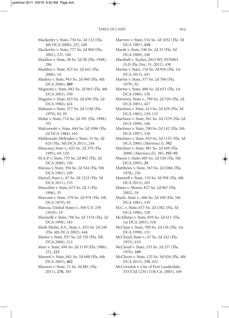- Mackerley v. State, 754 So. 2d 132 (Fla. 4th DCA 2000), 237, 240
- Mackerley v. State, 777 So. 2d 969 (Fla. 2001), 237, 240
- Maddox v. State, 38 So. 2d 58 (Fla. 1948), 284
- Maddox v. State, 923 So. 2d 442 (Fla. 2006), 14
- Madera v. State, 943 So. 2d 960 (Fla. 4th DCA 2006), **409**
- Magnotti v. State, 842 So. 2d 963 (Fla. 4th DCA 2003), 350
- Maguire v. State, 453 So. 2d 438 (Fla. 2d DCA 1984), 424
- Mahaun v. State, 377 So. 2d 1158 (Fla. 1979), 93, 95
- Mahn v. State, 714 So. 2d 391 (Fla. 1998), 351
- Malczewski v. State, 444 So. 2d 1096 (Fla. 2d DCA 1984), 165
- Maldonado Melendez v. State, 51 So. 3d 624 (Fla. 5th DCA 2011), 244
- Mancuso, State v., 652 So. 2d 370 (Fla. 1995), 69, 120
- M.A.P. v. State, 755 So. 2d 802 (Fla. 2d DCA 2000), 330
- Marasa v. State, 394 So. 2d 544 (Fla. 5th DCA 1981), 109
- Marcel, State v., 67 So. 3d 1223 (Fla. 3d DCA 2011), 233
- Marcolini v. State, 673 So. 2d 3 (Fla. 1996), 35
- Marcum v. State, 379 So. 2d 974 (Fla. 5th DCA 1979), 93
- Marcus, United States v., 560 U.S. 258 (2010), 19
- Marinelli v. State, 706 So. 2d 1374 (Fla. 2d DCA 1998), 183
- Mark Marks, P.A., State v., 833 So. 2d 249 (Fla. 4th DCA 2002), 444
- Marles v. State, 937 So. 2d 720 (Fla. 5th DCA 2006), 212
- Marr v. State, 494 So. 2d 1139 (Fla. 1986), 221, **223**
- Marreel v. State, 841 So. 2d 600 (Fla. 4th DCA 2003), **402**
- Marrero v. State, 71 So. 3d 881 (Fla. 2011), **278,** 343
- Marrero v. State, 516 So. 2d 1052 (Fla. 3d DCA 1987), **418** Marsh v. State, 546 So. 2d 33 (Fla. 3d DCA 1989), 240 Marshall v. Tucker, 2012 WL 9570403 (S.D. Fla. Dec. 31, 2012), 438 Martin v. State, 110 So. 3d 936 (Fla. 1st DCA 2013), 431 Martin v. State, 377 So. 2d 706 (Fla. 1979), 92 Martin v. State, 488 So. 2d 653 (Fla. 1st DCA 1986), 130 Martinez, State v., 790 So. 2d 520 (Fla. 2d DCA 2001), 427 Martinez v. State, 413 So. 2d 429 (Fla. 3d DCA 1982), 129, 133 Martinez v. State, 561 So. 2d 1279 (Fla. 2d DCA 1990), 160 Martinez v. State, 700 So. 2d 142 (Fla. 5th DCA 1997), 318 Martinez v. State, 933 So. 2d 1155 (Fla. 3d DCA 2006) (*Martinez I*)*,* **392** Martinez v. State, 981 So. 2d 449 (Fla. 2008) (*Martinez II*)*,* 383, **392–93** Mason v. State, 665 So. 2d 328 (Fla. 5th DCA 1995), **29** Matthews v. State, 363 So. 2d 1066 (Fla. 1978), 256 Maxwell v. State, 110 So. 3d 958 (Fla. 4th DCA 2013), 203 Mayes v. Moore, 827 So. 2d 967 (Fla. 2002), 18 Mayle, State v., 406 So. 2d 108 (Fla. 5th DCA 1981), 339 M.C. v. State, 677 So. 2d 1382 (Fla. 3d DCA 1996), 328 McAllister v. State, 859 So. 2d 611 (Fla. 1st DCA 2003), 318 McClain v. State, 709 So. 2d 136 (Fla. 1st DCA 1998), 131 McCloud, State v., 67 So. 2d 242 (Fla. 1953), 419 McCloud v. State, 335 So. 2d 257 (Fla. 1976), **349** McClover v. State, 125 So. 3d 926 (Fla. 4th DCA 2013), 298, 432
- McCormick v. City of Fort Lauderdale, 333 F.3d 1234 (11th Cir. 2003), 169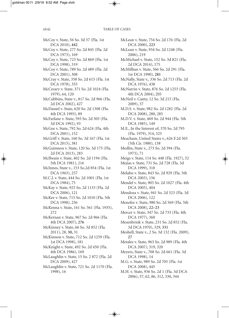McCoy v. State, 56 So. 3d 37 (Fla. 1st DCA 2010), **442** McCoy v. State, 277 So. 2d 845 (Fla. 2d DCA 1973), 169 McCoy v. State, 723 So. 2d 869 (Fla. 1st DCA 1998), 319 McCoy v. State, 789 So. 2d 489 (Fla. 2d DCA 2001), 308 McCray v. State, 358 So. 2d 615 (Fla. 1st DCA 1978), 355 McCreary v. State, 371 So. 2d 1024 (Fla. 1979), 64, 120 McCubbins, State v., 817 So. 2d 966 (Fla. 2d DCA 2002), 427 McDaniel v. State, 620 So. 2d 1308 (Fla. 4th DCA 1993), 89 McFarlane v. State, 593 So. 2d 305 (Fla. 3d DCA 1992), 93 McGee v. State, 792 So. 2d 624 (Fla. 4th DCA 2001), 152 McGriff v. State, 160 So. 3d 167 (Fla. 1st DCA 2015), 381 McGuinness v. State, 120 So. 3d 175 (Fla. 2d DCA 2013), 283 McIlwain v. State, 402 So. 2d 1194 (Fla. 5th DCA 1981), 216 McInnes, State v., 153 So.2d 854 (Fla. 1st DCA 1963), 257 M.C.J. v. State, 444 So. 2d 1001 (Fla. 1st DCA 1984), 75 McKay v. State, 925 So. 2d 1133 (Fla. 2d DCA 2006), 121 McKee v. State, 715 So. 2d 1010 (Fla. 5th DCA 1998), 256 McKenna v. State, 161 So. 561 (Fla. 1935), 272 McKernan v. State, 967 So. 2d 966 (Fla. 4th DCA 2007), **276** McKinney v. State, 66 So. 3d 852 (Fla. 2011), 28, **30,** 31 McKinnon v. State, 712 So. 2d 1259 (Fla. 1st DCA 1998), 181 McKnight v. State, 492 So. 2d 450 (Fla. 4th DCA 1986), 169 McLaughlin v. State, 15 So. 2 872 (Fla. 2d DCA 2009), 427 McLaughlin v. State, 721 So. 2d 1170 (Fla. 1998), 16

McLean v. State, 754 So. 2d 176 (Fla. 2d DCA 2000), **223**

McLean v. State, 934 So. 2d 1248 (Fla. 2006), 219

McMichael v. State, 152 So. 3d 821 (Fla. 2d DCA 2014), 175

McMillian v. State, 566 So. 2d 291 (Fla. 1st DCA 1990), **281**

McNally, State v., 336 So. 2d 713 (Fla. 2d DCA 1976), 438

McNarrin v. State, 876 So. 2d 1253 (Fla. 4th DCA 2004), 205

McNeil v. Canty, 12 So. 3d 215 (Fla. 2009), 37

M.D.S. v. State, 982 So. 2d 1282 (Fla. 2d DCA 2008), 280, 285

M.D.V. v. State, 469 So. 2d 944 (Fla. 5th DCA 1985), 149

M.E., In the Interest of, 370 So. 2d 795 (Fla. 1979), 314, 325

Meacham, United States v., 626 F.2d 503 (5th Cir. 1980), 138

Medlin, State v., 273 So. 2d 394 (Fla. 1973), 71

Meigs v. State, 114 So. 448 (Fla. 1927), 52

Mejias v. State, 731 So. 2d 728 (Fla. 3d DCA 1999), 318

Melahn v. State, 843 So. 2d 929 (Fla. 5th DCA 2003), 156

Mendel v. State, 903 So. 2d 1027 (Fla. 4th DCA 2005), 404

Mendoza v. State, 941 So. 2d 523 (Fla. 3d DCA 2006), 122

Menefee v. State, 980 So. 2d 569 (Fla. 5th DCA 2008), **22–23**

Mercer v. State, 347 So. 2d 733 (Fla. 4th DCA 1977), 360

Mesenbrink v. State, 231 So. 2d 852 (Fla. 3d DCA 1970), 329, **331**

Meshell, State v., 2 So. 3d 132 (Fla. 2009), **27**

Metales v. State, 963 So. 2d 989 (Fla. 4th DCA 2007), 319, 320

Meyers, State v., 708 So. 2d 661 (Fla. 3d DCA 1998), 14

M.G. v. State, 989 So. 2d 705 (Fla. 1st DCA 2008), 445

M.H. v. State, 936 So. 2d 1 (Fla. 3d DCA 2006), 57, 62, 86, 312, 330, 344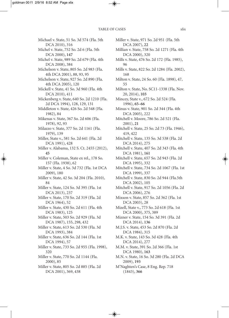Michael v. State, 51 So. 3d 574 (Fla. 5th DCA 2010), 316

- Michel v. State, 752 So. 2d 6 (Fla. 5th DCA 2000), **147**
- Michel v. State, 989 So. 2d 679 (Fla. 4th DCA 2008), 384
- Michelson v. State, 805 So. 2d 983 (Fla. 4th DCA 2001), 88, 93, 95
- Michelson v. State, 927 So. 2d 890 (Fla. 4th DCA 2005), 120
- Mickell v. State, 41 So. 3d 960 (Fla. 4th DCA 2010), 411
- Mickenberg v. State, 640 So. 2d 1210 (Fla. 2d DCA 1994), 128, 129, 131
- Middleton v. State, 426 So. 2d 548 (Fla. 1982), 84
- Mikenas v. State, 367 So. 2d 606 (Fla. 1978), 92, 93
- Milazzo v. State, 377 So. 2d 1161 (Fla. 1979), 139
- Miller, State v., 581 So. 2d 641 (Fla. 2d DCA 1991), 428
- Miller v. Alabama, 132 S. Ct. 2455 (2012), **45**
- Miller v. Coleman, State ex rel., 178 So. 157 (Fla. 1938), 62
- Miller v. State, 4 So. 3d 732 (Fla. 1st DCA 2009), 180
- Miller v. State, 42 So. 3d 204 (Fla. 2010), 84
- Miller v. State, 124 So. 3d 395 (Fla. 1st DCA 2013), 237
- Miller v. State, 170 So. 2d 319 (Fla. 2d DCA 1964), 52
- Miller v. State, 430 So. 2d 611 (Fla. 4th DCA 1983), 125
- Miller v. State, 503 So. 2d 929 (Fla. 3d DCA 1987), 155, 298, 432
- Miller v. State, 613 So. 2d 530 (Fla. 3d DCA 1993), 384
- Miller v. State, 636 So. 2d 144 (Fla. 1st DCA 1994), 57
- Miller v. State, 733 So. 2d 955 (Fla. 1998), 320
- Miller v. State, 770 So. 2d 1144 (Fla. 2000), 85
- Miller v. State, 805 So. 2d 885 (Fla. 2d DCA 2001), 369, 438

Miller v. State, 971 So. 2d 951 (Fla. 5th DCA 2007), **22** Millian v. State, 758 So. 2d 1271 (Fla. 4th DCA 2000), 320 Mills v. State, 476 So. 2d 172 (Fla. 1985), 96 Mills v. State, 822 So. 2d 1284 (Fla. 2002), 168 Milton v. State, 24 So. 60 (Fla. 1898), 47, 55 Milton v. State, No. SC11-1338 (Fla. Nov. 20, 2014), **103** Mincey, State v., 672 So. 2d 524 (Fla. 1996), **65–66** Minus v. State, 901 So. 2d 344 (Fla. 4th DCA 2005), 222 Mitchell v. Moore, 786 So. 2d 521 (Fla. 2001), **21** Mitchell v. State, 25 So. 2d 73 (Fla. 1946), 419, 422 Mitchell v. State, 135 So. 3d 538 (Fla. 2d DCA 2014), 275 Mitchell v. State, 407 So. 2d 343 (Fla. 4th DCA 1981), **161** Mitchell v. State, 657 So. 2d 943 (Fla. 2d DCA 1995), 332 Mitchell v. State, 734 So. 2d 1067 (Fla. 1st DCA 1999), 337 Mitchell v. State, 830 So. 2d 944 (Fla.5th DCA 2002), 105 Mitchell v. State, 917 So. 2d 1056 (Fla. 2d DCA 2006), 276 Mixson v. State, 857 So. 2d 362 (Fla. 1st DCA 2003), 28 Mizell, State v., 773 So. 2d 618 (Fla. 1st DCA 2000), 375, 389 Mizner v. State, 154 So. 3d 391 (Fla. 2d DCA 2014), **136** M.J.S. v. State, 453 So. 2d 870 (Fla. 2d DCA 1984), 315 M.K. v. State, 143 So. 3d 428 (Fla. 4th DCA 2014), 277 M.M. v. State, 391 So. 2d 366 (Fla. 1st DCA 1980), **163** M.N. v. State, 16 So. 3d 280 (Fla. 2d DCA 2009), **193**

M'Naghten's Case, 8 Eng. Rep. 718 (1843), **366**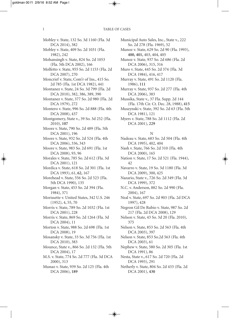Mobley v. State, 132 So. 3d 1160 (Fla. 3d DCA 2014), 382 Mobley v. State, 409 So. 2d 1031 (Fla. 1982), 242 Mohansingh v. State, 824 So. 2d 1053 (Fla. 5th DCA 2002), 166 Molfetto v. State, 955 So. 2d 1153 (Fla. 2d DCA 2007), 270 Moncrief v. State, Com'r of Ins., 415 So. 2d 785 (Fla. 1st DCA 1982), 441 Montanez v. State, 24 So. 3d 799 (Fla. 2d DCA 2010), 382, 386, 389, 390 Montanez v. State, 377 So. 2d 980 (Fla. 2d DCA 1979), 272 Montero v. State, 996 So. 2d 888 (Fla. 4th DCA 2008), 437 Montgomery, State v., 39 So. 3d 252 (Fla. 2010), **107** Moore v. State, 790 So. 2d 489 (Fla. 5th DCA 2001), 196 Moore v. State, 932 So. 2d 524 (Fla. 4th DCA 2006), 336, 343 Moore v. State, 983 So. 2d 691 (Fla. 1st DCA 2008), 93, 96 Morales v. State, 785 So. 2d 612 (Fla. 3d DCA 2001), 121 Mordica v. State, 618 So. 2d 301 (Fla. 1st DCA 1993), 61, **62,** 167 Morehead v. State, 556 So. 2d 523 (Fla. 5th DCA 1990), 135 Morgan v. State, 453 So. 2d 394 (Fla. 1984), 371 Morissette v. United States, 342 U.S. 246 (1952), 4, 55, 70 Morris v. State, 789 So. 2d 1032 (Fla. 1st DCA 2001), 228 Morris v. State, 869 So. 2d 1264 (Fla. 3d DCA 2004), 11 Morton v. State, 988 So. 2d 698 (Fla. 1st DCA 2008), 19 Mosansky v. State, 33 So. 3d 756 (Fla. 1st DCA 2010), 383 Mounce, State v., 866 So. 2d 132 (Fla. 5th DCA 2004), 17 M.S. v. State, 774 So. 2d 777 (Fla. 3d DCA 2000), 313 Munao v. State, 939 So. 2d 125 (Fla. 4th DCA 2006), **189**

Municipal Auto Sales, Inc., State v., 222 So. 2d 278 (Fla. 1969), 52

Munoz v. State, 629 So. 2d 90 (Fla. 1993), **400, 401,** 403, 404, 405

Munoz v. State, 937 So. 2d 686 (Fla. 2d DCA 2006), 315, 316

Muro v. State, 445 So. 2d 374 (Fla. 3d DCA 1984), 416, 417

Murray v. State, 491 So. 2d 1120 (Fla. 1986), **111**

Murray v. State, 937 So. 2d 277 (Fla. 4th DCA 2006), 383

Mussika, State v., 37 Fla. Supp. 2d 144 (Fla. 17th Cir. Ct. Dec. 28, 1988), **415**

Muszynski v. State, 392 So. 2d 63 (Fla. 5th DCA 1981), 121

Myers v. State, 788 So. 2d 1112 (Fla. 2d DCA 2001), **229**

#### N

Nadeau v. State, 683 So. 2d 504 (Fla. 4th DCA 1995), 402, 404

Nash v. State, 766 So. 2d 310 (Fla. 4th DCA 2000), 165

Nation v. State, 17 So. 2d 521 (Fla. 1944), 42

Navarro v. State, 19 So. 3d 1180 (Fla. 3d DCA 2009), 300, 425

Nazario, State v., 726 So. 2d 349 (Fla. 3d DCA 1999), 372

N.C. v. Anderson, 882 So. 2d 990 (Fla. 2004), 167

Neal v. State, 697 So. 2d 903 (Fla. 2d DCA 1997), 428

Negron Gil De Rubio v. State, 987 So. 2d 217 (Fla. 2d DCA 2008), 129

Nelson v. State, 43 So. 3d 20 (Fla. 2010), 375

Nelson v. State, 853 So. 2d 563 (Fla. 4th DCA 2003), 397

Nelson v. State, 853 So.2d 563 (Fla. 4th DCA 2003), 61

Nephew v. State, 580 So. 2d 305 (Fla. 1st DCA 1991), 86

- Nesta, State v., 617 So. 2d 720 (Fla. 2d DCA 1993), 291
- Netherly v. State, 804 So. 2d 433 (Fla. 2d DCA 2001), **430**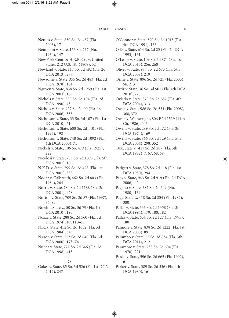Nettles v. State, 850 So. 2d 487 (Fla. 2003), 17 Neumann v. State, 156 So. 237 (Fla. 1934), 147 New York Cent. & H.R.R. Co. v. United States, 212 U.S. 481 (1909), 52 Newland v. State, 117 So. 3d 482 (Fla. 2d DCA 2013), 277 Newsome v. State, 355 So. 2d 483 (Fla. 2d DCA 1978), 164 Nguyen v. State, 858 So. 2d 1259 (Fla. 1st DCA 2003), 169 Nichols v. State, 559 So. 2d 104 (Fla. 2d DCA 1990), 43 Nichols v. State, 927 So. 2d 90 (Fla. 1st DCA 2006), 358 Nicholson v. State, 33 So. 3d 107 (Fla. 1st DCA 2010), 51 Nicholson v. State, 600 So. 2d 1101 (Fla. 1992), 192 Nicholson v. State, 748 So. 2d 1092 (Fla. 4th DCA 2000), **71** Nickels v. State, 106 So. 479 (Fla. 1925), 222 Nicolosi v. State, 783 So. 2d 1095 (Fla. 5th DCA 2001), 10 N.K.D. v. State, 799 So. 2d 428 (Fla. 1st DCA 2001), 338 Nodar v. Galbreath, 462 So. 2d 803 (Fla. 1984), 264 Norris v. State, 784 So. 2d 1188 (Fla. 2d DCA 2001), 428 Norton v. State, 709 So. 2d 87 (Fla. 1997), 84, 85 Nowlin, State v., 50 So. 3d 79 (Fla. 1st DCA 2010), 195 Nozza v. State, 288 So. 2d 560 (Fla. 3d DCA 1974), **49, 110–11** N.R. v. State, 452 So. 2d 1052 (Fla. 3d DCA 1984), 343 Nslson v. State, 753 So. 2d 648 (Fla. 3d DCA 2000), **173–74** Nunez v. State, 721 So. 2d 346 (Fla. 2d DCA 1998), 413

#### O

Oakes v. State, 85 So. 3d 526 (Fla.1st DCA 2012), 247

O'Connor v. State, 590 So. 2d 1018 (Fla. 4th DCA 1991), 133

- O.D. v. State, 614 So. 2d 23 (Fla. 2d DCA 1993), 161
- O'Leary v. State, 109 So. 3d 874 (Fla. 1st DCA 2013), 256, 260
- Oliver v. State, 977 So. 2d 673 (Fla. 5th DCA 2008), 219
- Orme v. State, 896 So. 2d 725 (Fla. 2005), 56, 213
- Ortiz v. State, 36 So. 3d 901 (Fla. 4th DCA 2010), 278
- Oviedo v. State, 879 So. 2d 682 (Fla. 4th DCA 2004), 313
- Owen v. State, 986 So. 2d 534 (Fla. 2008), 368, 372
- Owen v. Wainwright, 806 F.2d 1519 (11th Cir. 1986), 406
- Owens v. State, 289 So. 2d 472 (Fla. 2d DCA 1974), 169
- Owens v. State, 866 So. 2d 129 (Fla. 5th DCA 2004), 298, 352
- Oxx, State v., 417 So. 2d 287 (Fla. 5th DCA 1982), 7, 67, 68, 69

#### P

- Padgett v. State, 378 So. 2d 118 (Fla. 1st DCA 1980), 294
- Paey v. State, 943 So. 2d 919 (Fla. 2d DCA 2006), 42
- Pagano v. State, 387 So. 2d 349 (Fla. 1980), 139
- Page, State v., 418 So. 2d 254 (Fla. 1982), 380
- Pallas v. State, 636 So. 2d 1358 (Fla. 3d DCA 1994), 179, 180, 182
- Pallas v. State, 654 So. 2d 127 (Fla. 1995), 180
- Palmore v. State, 838 So. 2d 1222 (Fla. 1st DCA 2003), 89
- Palumbo v. State, 52 So. 3d 834 (Fla. 5th DCA 2011), 212
- Paramore v. State, 238 So. 2d 604 (Fla. 1970), 221
- Pardo v. State, 596 So. 2d 665 (Fla. 1992), 6
- Parker v. State, 389 So. 2d 336 (Fla. 4th DCA 1980), 161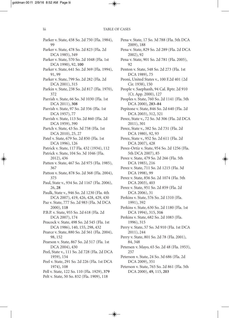Parker v. State, 458 So. 2d 750 (Fla. 1984), 99 Parker v. State, 478 So. 2d 823 (Fla. 2d DCA 1985), 349 Parker v. State, 570 So. 2d 1048 (Fla. 1st DCA 1990), 92, **100** Parker v. State, 641 So. 2d 369 (Fla. 1994), 91, 99 Parker v. State, 799 So. 2d 282 (Fla. 2d DCA 2001), 315 Parkin v. State, 238 So. 2d 817 (Fla. 1970), 372 Parrish v. State, 66 So. 3d 1030 (Fla. 1st DCA 2011), **308** Parrish v. State, 97 So. 2d 356 (Fla. 1st DCA 1957), 77 Parrish v. State, 113 So. 2d 860 (Fla. 2d DCA 1959), 390 Partch v. State, 43 So. 3d 758 (Fla. 1st DCA 2010), 25, 27 Patel v. State, 679 So. 2d 850 (Fla. 1st DCA 1996), 126 Patrick v. State, 117 Fla. 432 (1934), 112 Patrick v. State, 104 So. 3d 1046 (Fla. 2012), 436 Patten v. State, 467 So. 2d 975 (Fla. 1985), 367 Patton v. State, 878 So. 2d 368 (Fla. 2004), 375 Paul, State v., 934 So. 2d 1167 (Fla. 2006), 26, **28** Paulk, State v., 946 So. 2d 1230 (Fla. 4th DCA 2007), 419, 426, 428, 429, 430 Paz v. State, 777 So. 2d 983 (Fla. 3d DCA 2000), **118** P.B.P. v. State, 955 So. 2d 618 (Fla. 2d DCA 2007), 174 Peacock v. State, 498 So. 2d 545 (Fla. 1st DCA 1986), 140, 155, 298, 432 Pearce v. State, 880 So. 2d 561 (Fla. 2004), 98, 152 Pearson v. State, 867 So. 2d 517 (Fla. 1st DCA 2004), 430 Peel, State v., 111 So. 2d 728 (Fla. 2d DCA 1959), 154 Peel v. State, 291 So. 2d 226 (Fla. 1st DCA 1974), 108 Pell v. State, 122 So. 110 (Fla. 1929), **379** Pelt v. State, 50 So. 832 (Fla. 1909), 118

Pena v. State, 17 So. 3d 788 (Fla. 5th DCA 2009), 188 Pena v. State, 829 So. 2d 289 (Fla. 2d DCA 2002), 92 Pena v. State, 901 So. 2d 781 (Fla. 2005), 92 Penton v. State, 548 So. 2d 273 (Fla. 1st DCA 1989), 75 Peoni, United States v., 100 F.2d 401 (2d Cir. 1938), 150 People v. Saephanh, 94 Cal. Rptr. 2d 910 (Ct. App. 2000), 127 Peoples v. State, 760 So. 2d 1141 (Fla. 5th DCA 2000), **283–84** Pepitone v. State, 846 So. 2d 640 (Fla. 2d DCA 2003), 312, 321 Perez, State v., 72 So. 3d 306 (Fla. 2d DCA 2011), 301 Perez, State v., 382 So. 2d 731 (Fla. 2d DCA 1980), 92, 93 Perez, State v., 952 So. 2d 611 (Fla. 2d DCA 2007), 428 Perez-Ortiz v. State, 954 So. 2d 1256 (Fla. 5th DCA 2007), 85 Perez v. State, 479 So. 2d 266 (Fla. 5th DCA 1985), 216 Perez v. State, 711 So. 2d 1215 (Fla. 3d DCA 1998), 99 Perez v. State, 856 So. 2d 1074 (Fla. 5th DCA 2003), 403 Perez v. State, 951 So. 2d 859 (Fla. 2d DCA 2006), 31 Perkins v. State, 576 So. 2d 1310 (Fla. 1991), 392 Perkins v. State, 630 So. 2d 1180 (Fla. 1st DCA 1994), 315, **316** Perkins v. State, 682 So. 2d 1083 (Fla. 1996), 315 Perry v. State, 57 So. 3d 910 (Fla. 1st DCA 2011), 244 Perry v. State, 801 So. 2d 78 (Fla. 2001), 84, 348 Petersen v. Mayo, 65 So. 2d 48 (Fla. 1953), 257 Peterson v. State, 24 So. 3d 686 (Fla. 2d DCA 2009), 351 Peterson v. State, 765 So. 2d 861 (Fla. 5th DCA 2000), **49,** 115, **203**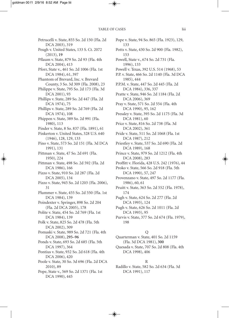Petrucelli v. State, 855 So. 2d 150 (Fla. 2d DCA 2003), 319 Peugh v. United States, 133 S. Ct. 2072 (2013), **19** Pflaum v. State, 879 So. 2d 93 (Fla. 4th DCA 2004), 413 Pforr, State v., 461 So. 2d 1006 (Fla. 1st DCA 1984), 61, 397 Phantom of Brevard, Inc. v. Brevard County, 3 So. 3d 309 (Fla. 2008), 23 Philippe v. State, 795 So. 2d 173 (Fla. 3d DCA 2001), 93 Phillips v. State, 289 So. 2d 447 (Fla. 2d DCA 1974), 75 Phillips v. State, 289 So. 2d 769 (Fla. 2d DCA 1974), 108 Phippen v. State, 389 So. 2d 991 (Fla. 1980), 113 Pinder v. State, 8 So. 837 (Fla. 1891), 61 Pinkerton v. United States, 328 U.S. 640 (1946), 128, 129, 133 Pino v. State, 573 So. 2d 151 (Fla. 3d DCA 1991), 131 Pittman v. State, 47 So. 2d 691 (Fla. 1950), 224 Pittman v. State, 498 So. 2d 592 (Fla. 2d DCA 1986), 166 Pizzo v. State, 910 So. 2d 287 (Fla. 2d DCA 2005), 134 Pizzo v. State, 945 So. 2d 1203 (Fla. 2006), 31 Plummer v. State, 455 So. 2d 550 (Fla. 1st DCA 1984), 139 Poindexter v. Springer, 898 So. 2d 204 (Fla. 2d DCA 2005), 178 Polite v. State, 454 So. 2d 769 (Fla. 1st DCA 1984), 139 Polk v. State, 825 So. 2d 478 (Fla. 5th DCA 2002), 309 Pomaski v. State, 989 So. 2d 721 (Fla. 4th DCA 2008), **295–96** Ponds v. State, 693 So. 2d 685 (Fla. 5th DCA 1997), 364 Pontius v. State, 932 So. 2d 618 (Fla. 4th DCA 2006), 420 Poole v. State, 30 So. 3d 696 (Fla. 2d DCA 2010), 89 Pope, State v., 569 So. 2d 1371 (Fla. 1st DCA 1990), 445

Pope v. State, 94 So. 865 (Fla. 1923), 129, 133 Potts v. State, 430 So. 2d 900 (Fla. 1982), 153 Powell, State v., 674 So. 2d 731 (Fla. 1996), 133 Powell v. Texas, 392 U.S. 514 (1968), 53 P.P. v. State, 466 So. 2d 1140 (Fla. 3d DCA 1985), 444 P.P.M. v. State, 447 So. 2d 445 (Fla. 2d DCA 1984), 336, 337 Pratte v. State, 946 So. 2d 1184 (Fla. 2d DCA 2006), 369 Pray v. State, 571 So. 2d 554 (Fla. 4th DCA 1990), 95, 162 Pressley v. State, 395 So. 2d 1175 (Fla. 3d DCA 1981), 60 Price v. State, 816 So. 2d 738 (Fla. 3d DCA 2002), 361 Pride v. State, 511 So. 2d 1068 (Fla. 1st DCA 1987), 212 Priestley v. State, 537 So. 2d 690 (Fla. 2d DCA 1989), 168 Prince v. State, 979 So. 2d 1212 (Fla. 4th DCA 2008), 283 Proffitt v. Florida, 428 U.S. 242 (1976), 44 Proko v. State, 566 So. 2d 918 (Fla. 5th DCA 1990), 57, 247 Provenzano v. State, 497 So. 2d 1177 (Fla. 1986), 60, 61 Pruitt v. State, 363 So. 2d 552 (Fla. 1978), 174 Pugh v. State, 624 So. 2d 277 (Fla. 2d DCA 1993), 124 Pugh v. State, 626 So. 2d 1011 (Fla. 2d DCA 1993), 95 Purvis v. State, 377 So. 2d 674 (Fla. 1979), 198

#### Q

Quarterman v. State, 401 So. 2d 1159 (Fla. 3d DCA 1981), **300** Quesada v. State, 707 So. 2d 808 (Fla. 4th

DCA 1998), 406

- R
- Radillo v. State, 582 So. 2d 634 (Fla. 3d DCA 1991), 117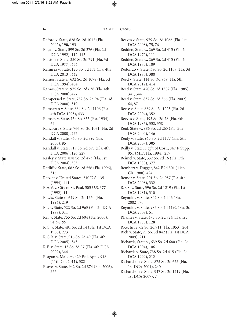Raford v. State, 828 So. 2d 1012 (Fla. 2002), **190,** 193 Ragan v. State, 599 So. 2d 276 (Fla. 2d DCA 1992), 112, 445 Ralston v. State, 350 So. 2d 791 (Fla. 3d DCA 1977), 434 Ramirez v. State, 125 So. 3d 171 (Fla. 4th DCA 2013), 442 Ramos, State v., 632 So. 2d 1078 (Fla. 3d DCA 1994), 404 Ramos, State v., 975 So. 2d 638 (Fla. 4th DCA 2008), 427 Rampersad v. State, 752 So. 2d 94 (Fla. 3d DCA 2000), 319 Ramsaran v. State, 664 So. 2d 1106 (Fla. 4th DCA 1995), 433 Ramsey v. State, 154 So. 855 (Fla. 1934), 64 Rancourt v. State, 766 So. 2d 1071 (Fla. 2d DCA 2000), 237 Randall v. State, 760 So. 2d 892 (Fla. 2000), 85 Randall v. State, 919 So. 2d 695 (Fla. 4th DCA 2006), 126, 229 Rasley v. State, 878 So. 2d 473 (Fla. 1st DCA 2004), 383 Ratliff v. State, 682 So. 2d 556 (Fla. 1996), 316 Ratzlaf v. United States, 510 U.S. 135 (1994), 441 R.A.V. v. City of St. Paul, 505 U.S. 377 (1992), 11 Rawls, State v., 649 So. 2d 1350 (Fla. 1994), 219 Ray v. State, 522 So. 2d 963 (Fla. 3d DCA 1988), 311 Ray v. State, 755 So. 2d 604 (Fla. 2000), 94, 98, 99 R.C. v. State, 481 So. 2d 14 (Fla. 1st DCA 1986), 273 R.C.R. v. State, 916 So. 2d 49 (Fla. 4th DCA 2005), 343 R.E. v. State, 13 So. 3d 97 (Fla. 4th DCA 2009), 344 Reagan v. Mallory, 429 Fed. App'x 918 (11th Cir. 2011), 382 Reaves v. State, 942 So. 2d 874 (Fla. 2006), 375

Reaves v. State, 979 So. 2d 1066 (Fla. 1st DCA 2008), 75, 76 Redden, State v., 269 So. 2d 415 (Fla. 2d DCA 1972), 111 Redden, State v., 269 So. 2d 415 (Fla. 2d DCA 1975), 109 Redondo v. State, 380 So. 2d 1107 (Fla. 3d DCA 1980), 380 Reed v. State, 114 So. 3d 969 (Fla. 5th DCA 2012), 414 Reed v. State, 470 So. 2d 1382 (Fla. 1985), 341, 344 Reed v. State, 837 So. 2d 366 (Fla. 2002), 64, 87 Reese v. State, 869 So. 2d 1225 (Fla. 2d DCA 2004), 352 Reeves v. State, 493 So. 2d 78 (Fla. 4th DCA 1986), 352, 358 Reid, State v., 886 So. 2d 265 (Fla. 5th DCA 2004), 146 Reidy v. State, 965 So. 2d 1177 (Fla. 5th DCA 2007), **305** Reilly v. State, Dep't of Corr., 847 F. Supp. 951 (M.D. Fla. 1994), 259 Reimel v. State, 532 So. 2d 16 (Fla. 5th DCA 1988), 377 Rembert v. Dugger, 842 F.2d 301 (11th Cir. 1988), 424 Remor v. State, 991 So. 2d 957 (Fla. 4th DCA 2008), 332 R.E.S. v. State, 396 So. 2d 1219 (Fla. 1st DCA 1981), 310 Reynolds v. State, 842 So. 2d 46 (Fla. 2002), 70 Reynolds v. State, 983 So. 2d 1192 (Fla. 3d DCA 2008), 51 Rhames v. State, 473 So. 2d 724 (Fla. 1st DCA 1985), 128 Rice, In re, 62 So. 2d 911 (Fla. 1953), 264 Rich v. State, 21 So. 3d 842 (Fla. 1st DCA 2009), 211 Richards, State v., 639 So. 2d 680 (Fla. 2d DCA 1994), 106 Richards v. State, 738 So. 2d 415 (Fla. 2d DCA 1999), 212 Richardson v. State, 875 So. 2d 673 (Fla. 1st DCA 2004), 240 Richardson v. State, 947 So. 2d 1219 (Fla. 1st DCA 2007), 7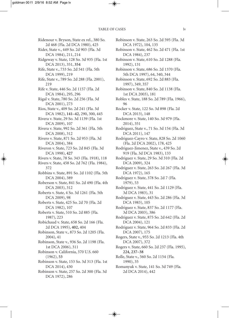Ridenour v. Bryson, State ex rel., 380 So. 2d 468 (Fla. 2d DCA 1980), 425 Rider, State v., 449 So. 2d 903 (Fla. 3d DCA 1984), 211, 214 Ridgeway v. State, 128 So. 3d 935 (Fla. 1st DCA 2013), 351, **354** Rife, State v., 733 So. 2d 541 (Fla. 5th DCA 1999), 219 Rife, State v., 789 So. 2d 288 (Fla. 2001), 219 Rife v. State, 446 So. 2d 1157 (Fla. 2d DCA 1984), 295, 296 Rigal v. State, 780 So. 2d 256 (Fla. 3d DCA 2001), 273 Rios, State v., 409 So. 2d 241 (Fla. 3d DCA 1982), **141–42,** 290, 300, 445 Rivera v. State, 29 So. 3d 1139 (Fla. 1st DCA 2009), 107 Rivera v. State, 992 So. 2d 361 (Fla. 5th DCA 2008), 312 Rivero v. State, 871 So. 2d 953 (Fla. 3d DCA 2004), 384 Riveron v. State, 723 So. 2d 845 (Fla. 3d DCA 1998), **427** Rivers v. State, 78 So. 343 (Fla. 1918), 118 Rivers v. State, 458 So. 2d 762 (Fla. 1984), 372 Robbins v. State, 891 So. 2d 1102 (Fla. 5th DCA 2004), 389 Roberson v. State, 841 So. 2d 490 (Fla. 4th DCA 2003), 312 Roberts v. State, 4 So. 3d 1261 (Fla. 5th DCA 2009), 98 Roberts v. State, 425 So. 2d 70 (Fla. 2d DCA 1982), 107 Roberts v. State, 510 So. 2d 885 (Fla. 1987), 223 Robichaud v. State, 658 So. 2d 166 (Fla. 2d DCA 1995), **402,** 404 Robinson, State v., 873 So. 2d 1205 (Fla. 2004), 41 Robinson, State v., 936 So. 2d 1198 (Fla. 1st DCA 2006), 311 Robinson v. California, 370 U.S. 660 (1962), **53** Robinson v. State, 153 So. 3d 313 (Fla. 1st DCA 2014), 430 Robinson v. State, 257 So. 2d 300 (Fla. 3d DCA 1972), 286

Robinson v. State, 263 So. 2d 595 (Fla. 3d DCA 1972), 104, 135 Robinson v. State, 462 So. 2d 471 (Fla. 1st DCA 1984), 237 Robinson v. State, 610 So. 2d 1288 (Fla. 1992), 131 Robinson v. State, 686 So. 2d 1370 (Fla. 5th DCA 1997), 64, 340, 344 Robinson v. State, 692 So. 2d 883 (Fla. 1997), 349, 357 Robinson v. State, 840 So. 2d 1138 (Fla. 1st DCA 2003), 181 Robles v. State, 188 So. 2d 789 (Fla. 1966), 96 Rocker v. State, 122 So. 3d 898 (Fla. 2d DCA 2013), 148 Rockmore v. State, 140 So. 3d 979 (Fla. 2014), 351 Rodriguez, State v., 71 So. 3d 154 (Fla. 3d DCA 2011), 147 Rodriguez-Cayro v. State, 828 So. 2d 1060 (Fla. 2d DCA 2002), 178, 425 Rodriguez-Jimenez, State v., 439 So. 2d 919 (Fla. 3d DCA 1983), 133 Rodriguez v. State, 29 So. 3d 310 (Fla. 2d DCA 2009), 324 Rodriguez v. State, 263 So. 2d 267 (Fla. 3d DCA 1972), 165 Rodriguez v. State, 378 So. 2d 7 (Fla. 1979), 53 Rodriguez v. State, 441 So. 2d 1129 (Fla. 3d DCA 1983), 31 Rodriguez v. State, 443 So. 2d 286 (Fla. 3d DCA 1983), 105 Rodriguez v. State, 837 So. 2d 1177 (Fla. 3d DCA 2003), 386 Rodriguez v. State, 875 So. 2d 642 (Fla. 2d DCA 2004), 121 Rodriguez v. State, 964 So. 2d 833 (Fla. 2d DCA 2007), 175 Rogers, State v., 955 So. 2d 1213 (Fla. 4th DCA 2007), 372 Rogers v. State, 660 So. 2d 237 (Fla. 1995), **224, 237–38** Rolle, State v., 560 So. 2d 1154 (Fla. 1990), 35 Romanyuk v. State, 141 So. 3d 749 (Fla. 2d DCA 2014), 442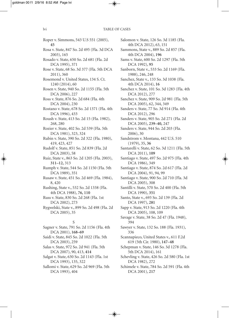Roper v. Simmons, 543 U.S 551 (2005), **45** Rosa v. State, 847 So. 2d 495 (Fla. 3d DCA 2003), 165 Rosado v. State, 650 So. 2d 681 (Fla. 2d DCA 1995), 371 Rose v. State, 68 So. 3d 377 (Fla. 5th DCA 2011), 360 Rosemond v. United States, 134 S. Ct. 1240 (2014), 60 Rosen v. State, 940 So. 2d 1155 (Fla. 5th DCA 2006), 227 Ross v. State, 876 So. 2d 684 (Fla. 4th DCA 2004), 230 Rostano v. State, 678 So. 2d 1371 (Fla. 4th DCA 1996), 433 Roush v. State, 413 So. 2d 15 (Fla. 1982), 268, 280 Rozier v. State, 402 So. 2d 539 (Fla. 5th DCA 1981), 323, 324 Rubin v. State, 390 So. 2d 322 (Fla. 1980), 419, 423, 427 Rudolf v. State, 851 So. 2d 839 (Fla. 2d DCA 2003), 58 Ruiz, State v., 863 So. 2d 1205 (Fla. 2003), **311–12,** 313 Rumph v. State, 544 So. 2d 1150 (Fla. 5th DCA 1989), 351 Rusaw v. State, 451 So. 2d 469 (Fla. 1984), 8, 420 Rushing, State v., 532 So. 2d 1338 (Fla. 4th DCA 1988), **76, 110** Russ v. State, 830 So. 2d 268 (Fla. 1st DCA 2002), 273 Rygwelski, State v., 899 So. 2d 498 (Fla. 2d DCA 2005), 35 S Sagner v. State, 791 So. 2d 1156 (Fla. 4th

- DCA 2001), **168–69** Saidi v. State, 845 So. 2d 1022 (Fla. 5th DCA 2003), 259
- Salas v. State, 972 So. 2d 941 (Fla. 5th DCA 2007), 90, 413, **414**
- Salgat v. State, 630 So. 2d 1143 (Fla. 1st DCA 1993), 135, 322
- Sallomi v. State, 629 So. 2d 969 (Fla. 5th DCA 1993), 404

Salomon v. State, 126 So. 3d 1185 (Fla. 4th DCA 2012), 63, 151

Sammons, State v., 889 So. 2d 857 (Fla. 4th DCA 2004), **196**

- Sams v. State, 600 So. 2d 1297 (Fla. 5th DCA 1992), **95**
- Sanborn, State v., 533 So. 2d 1169 (Fla. 1988), 246, 248
- Sanchez, State v., 133 So. 3d 1038 (Fla. 4th DCA 2014), **16**
- Sanchez v. State, 101 So. 3d 1283 (Fla. 4th DCA 2012), 277
- Sanchez v. State, 909 So. 2d 981 (Fla. 5th DCA 2005), 62, 344, 349
- Sanders v. State, 77 So. 3d 914 (Fla. 4th DCA 2012), 296
- Sanders v. State, 905 So. 2d 271 (Fla. 2d DCA 2005), **239–40,** 247
- Sanders v. State, 944 So. 2d 203 (Fla. 2006), 30
- Sandstrom v. Montana, 442 U.S. 510 (1979), 35, **36**
- Santarelli v. State, 62 So. 3d 1211 (Fla. 5th DCA 2011), **109**
- Santiago v. State, 497 So. 2d 975 (Fla. 4th DCA 1986), 349
- Santiago v. State, 874 So. 2d 617 (Fla. 2d DCA 2004), 91, 94, 99
- Santiago v. State, 900 So. 2d 710 (Fla. 3d DCA 2005), 308
- Santilli v. State, 570 So. 2d 400 (Fla. 5th DCA 1990), **351**
- Santo, State v., 693 So. 2d 139 (Fla. 2d DCA 1997), **281**
- Sapp v. State, 913 So. 2d 1220 (Fla. 4th DCA 2005), 108, 109
- Savage v. State, 38 So. 2d 47 (Fla. 1948), 394
- Sawyer v. State, 132 So. 188 (Fla. 1931), 336
- Scannapieco, United States v., 611 F.2d 619 (5th Cir. 1980), **147–48**
- Schepman v. State, 146 So. 3d 1278 (Fla. 5th DCA 2014), 161
- Schevling v. State, 426 So. 2d 580 (Fla. 1st DCA 1982), 272
- Schimele v. State, 784 So. 2d 591 (Fla. 4th DCA 2001), **217**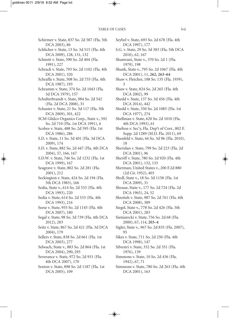Schirmer v. State, 837 So. 2d 587 (Fla. 5th DCA 2003), 86

Schlicher v. State, 13 So. 3d 515 (Fla. 4th DCA 2009), 128, 131, 132

- Schmitt v. State, 590 So. 2d 404 (Fla. 1991), 227
- Schrack v. State, 793 So. 2d 1102 (Fla. 4th DCA 2001), 320
- Schraffa v. State, 508 So. 2d 755 (Fla. 4th DCA 1987), 193
- Schramm v. State, 374 So. 2d 1043 (Fla. 3d DCA 1979), 157
- Schulterbrandt v. State, 984 So. 2d 542 (Fla. 2d DCA 2008), 31
- Schuster v. State, 21 So. 3d 117 (Fla. 5th DCA 2009), 301, 422
- SCM Glidco Organics Corp., State v., 592 So. 2d 710 (Fla. 1st DCA 1991), 4
- Scobee v. State, 488 So. 2d 595 (Fla. 1st DCA 1986), 286
- S.D. v. State, 11 So. 3d 401 (Fla. 3d DCA 2009), 174
- S.D. v. State, 882 So. 2d 447 (Fla. 4th DCA 2004), 57, 166, 167
- S.D.W. v. State, 746 So. 2d 1232 (Fla. 1st DCA 1999), 167
- Seagrave v. State, 802 So. 2d 281 (Fla. 2001), 212
- Seckington v. State, 424 So. 2d 194 (Fla. 5th DCA 1983), 166
- Sedia, State v., 614 So. 2d 533 (Fla. 4th DCA 1993), 220
- Sedia v. State, 614 So. 2d 533 (Fla. 4th DCA 1993), 216
- Seese v. State, 955 So. 2d 1145 (Fla. 4th DCA 2007), 180
- Segal v. State, 98 So. 3d 739 (Fla. 4th DCA 2012), 283
- Seitz v. State, 867 So. 2d 421 (Fla. 3d DCA 2004), 179
- Sellers v. State, 838 So. 2d 661 (Fla. 1st DCA 2003), 277
- Selwach, State v., 883 So. 2d 864 (Fla. 1st DCA 2004), 290, 293
- Severance v. State, 972 So. 2d 931 (Fla. 4th DCA 2007), 170
- Sexton v. State, 898 So. 2d 1187 (Fla. 1st DCA 2005), 109
- Seybel v. State, 693 So. 2d 678 (Fla. 4th DCA 1997), 177
- S.G. v. State, 29 So. 3d 383 (Fla. 5th DCA 2010), 62, 167
- Shamrani, State v., 370 So. 2d 1 (Fla. 1979), 198
- Shank, State v., 795 So. 2d 1067 (Fla. 4th DCA 2001), 11, **262, 263–64**
- Shaw v. Fletcher, 188 So. 135 (Fla. 1939), 3
- Shaw v. State, 824 So. 2d 265 (Fla. 4th DCA 2002), 99
- Shedd v. State, 137 So. 3d 456 (Fla. 4th DCA 2014), 442
- Shedd v. State, 350 So. 2d 1085 (Fla. 1st DCA 1977), 274
- Shellman v. State, 620 So. 2d 1010 (Fla. 4th DCA 1993), 61
- Shelton v. Sec'y, Fla. Dep't of Corr., 802 F. Supp. 2d 1289 (M.D. Fla. 2011), 69
- Shenfeld v. State, 44 So. 3d 96 (Fla. 2010), 18
- Sheridan v. State, 799 So. 2d 223 (Fla. 2d DCA 2001), 96
- Sheriff v. State, 780 So. 2d 920 (Fla. 4th DCA 2001), 132, 133
- Sherman, United States v., 200 F.2d 880 (2d Cir. 1952), 403
- Sholl, State v., 18 So. 3d 1158 (Fla. 1st DCA 2009), 31
- Shouse, State v., 177 So. 2d 724 (Fla. 2d DCA 1965), 24, 52
- Shreiteh v. State, 987 So. 2d 761 (Fla. 4th DCA 2008), 389
- Siegel, State v., 778 So. 2d 426 (Fla. 5th DCA 2001), 283
- Sieniarecki v. State, 756 So. 2d 68 (Fla. 2000), 67, 114, **203–4**
- Sigler, State v., 967 So. 2d 835 (Fla. 2007), 95
- Sikes v. State, 711 So. 2d 250 (Fla. 4th DCA 1998), 147
- Silvestri v. State, 332 So. 2d 351 (Fla. 1976), 139
- Simmons v. State, 10 So. 2d 436 (Fla. 1942), 67, 71
- Simmons v. State, 780 So. 2d 263 (Fla. 4th DCA 2001), 163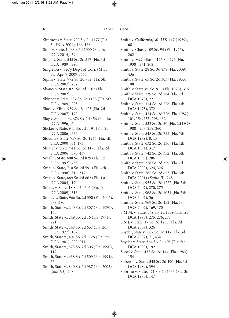Simmons v. State, 790 So. 2d 1177 (Fla. 3d DCA 2001), 166, 168 Sims v. State, 140 So. 3d 1000 (Fla. 1st DCA 2014), 394 Singh v. State, 545 So. 2d 517 (Fla. 3d DCA 1989), 290 Singleton v. Sec'y Dep't of Corr. (M.D. Fla. Apr. 9, 2009), 444 Siplin v. State, 972 So. 2d 982 (Fla. 5th DCA 2007), **282** Skanes v. State, 821 So. 2d 1102 (Fla. 5 DCA 2002), 85 Skipper v. State, 537 So. 2d 1138 (Fla. 5th DCA 1989), 223 Slack v. Kling, 959 So. 2d 425 (Fla. 2d DCA 2007), 179 Slay v. Singletary, 676 So. 2d 456 (Fla. 1st DCA 1996), 7 Slicker v. State, 941 So. 2d 1191 (Fla. 2d DCA 2006), 372 Slocum v. State, 757 So. 2d 1246 (Fla. 4th DCA 2000), 64, 193 Sluyter v. State, 941 So. 2d 1178 (Fla. 2d DCA 2006), 370, 439 Small v. State, 608 So. 2d 829 (Fla. 3d DCA 1992), 433 Small v. State, 710 So. 2d 591 (Fla. 4th DCA 1998), 316, **317** Small v. State, 889 So. 2d 862 (Fla. 1st DCA 2004), 170 Smalls v. State, 18 So. 3d 606 (Fla. 1st DCA 2009), 316 Smiley v. State, 966 So. 2d 330 (Fla. 2007), 378, 380 Smith, State v., 240 So. 2d 807 (Fla. 1970), 160 Smith, State v., 249 So. 2d 16 (Fla. 1971), 221 Smith, State v., 348 So. 2d 637 (Fla. 2d DCA 1977), 162 Smith, State v., 401 So. 2d 1126 (Fla. 5th DCA 1981), 209, 211 Smith, State v., 573 So. 2d 306 (Fla. 1990), 117 Smith, State v., 638 So. 2d 509 (Fla. 1994), 66 Smith, State v., 840 So. 2d 987 (Fla. 2003) (*Smith I*)*,* 248

Smith v. California, 361 U.S. 147 (1959), **68** Smith v. Chase, 109 So. 94 (Fla. 1926), 262 Smith v. McClelland, 126 So. 292 (Fla. 1930), 261, 262 Smith v. State, 28 So. 3d 838 (Fla. 2009), 436 Smith v. State, 65 So. 2d 303 (Fla. 1953), 108 Smith v. State, 85 So. 911 (Fla. 1920), **315** Smith v. State, 239 So. 2d 284 (Fla. 2d DCA 1970), 221 Smith v. State, 314 So. 2d 226 (Fla. 4th DCA 1975), 372 Smith v. State, 424 So. 2d 726 (Fla. 1982), 101, 154, 155, **298,** 432 Smith v. State, 532 So. 2d 50 (Fla. 2d DCA 1988), 257, 259, 260 Smith v. State, 548 So. 2d 755 (Fla. 5th DCA 1989), 8, 43 Smith v. State, 632 So. 2d 136 (Fla. 4th DCA 1994), **317** Smith v. State, 742 So. 2d 352 (Fla. 5th DCA 1999), 286 Smith v. State, 778 So. 2d 329 (Fla. 2d DCA 2000), 324, 326 Smith v. State, 785 So. 2d 623 (Fla. 5th DCA 2001) (*Smith II*)*,* 248 Smith v. State, 955 So. 2d 1227 (Fla. 5th DCA 2007), 270, 275 Smith v. State, 968 So. 2d 1054 (Fla. 5th DCA 2007), 56 Smith v. State, 969 So. 2d 452 (Fla. 1st DCA 2007), 169, 170 S.M.M. v. State, 569 So. 2d 1339 (Fla. 1st DCA 1990), 275, 276, 277 S.N.J. v. State, 17 So. 3d 1258 (Fla. 2d DCA 2009), 326 Snyder, State v., 807 So. 2d 117 (Fla. 3d DCA 2002), 71, 434 Snyder v. State, 564 So. 2d 193 (Fla. 5th DCA 1990), **192** Sobel v. State, 437 So. 2d 144 (Fla. 1983), 154 Soberon v. State, 545 So. 2d 490 (Fla. 3d DCA 1989), 394 Sobrino v. State, 471 So. 2d 1333 (Fla. 3d DCA 1985), 147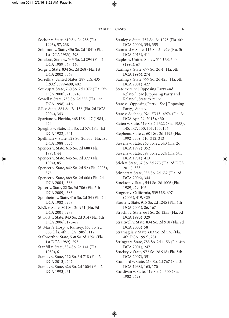Sochor v. State, 619 So. 2d 285 (Fla. 1993), 57, 238 Solomon v. State, 436 So. 2d 1041 (Fla. 1st DCA 1983), 298 Sorakrai, State v., 543 So. 2d 294 (Fla. 2d DCA 1989), 67, 440 Sorge v. State, 834 So. 2d 268 (Fla. 1st DCA 2002), 368 Sorrells v. United States, 287 U.S. 435 (1932), **399–400,** 402 Soukup v. State, 760 So. 2d 1072 (Fla. 5th DCA 2000), 215, 216 Sowell v. State, 738 So. 2d 333 (Fla. 1st DCA 1998), **416** S.P. v. State, 884 So. 2d 136 (Fla. 2d DCA 2004), 343 Spaziano v. Florida, 468 U.S. 447 (1984), 424 Speights v. State, 414 So. 2d 574 (Fla. 1st DCA 1982), 341 Spellman v. State, 529 So. 2d 305 (Fla. 1st DCA 1988), 356 Spencer v. State, 615 So. 2d 688 (Fla. 1993), 44 Spencer v. State, 645 So. 2d 377 (Fla. 1994), 85 Spencer v. State, 842 So. 2d 52 (Fla. 2003), 375 Spencer v. State, 889 So. 2d 868 (Fla. 2d DCA 2004), 366 Spicer v. State, 22 So. 3d 706 (Fla. 5th DCA 2009), 383 Sponheim v. State, 416 So. 2d 54 (Fla. 2d DCA 1982), 258 S.P.S. v. State, 801 So. 2d 951 (Fla. 3d DCA 2001), 278 St. Fort v. State, 943 So. 2d 314 (Fla. 4th DCA 2006), 176–77 St. Mary's Hosp. v. Ramsey, 465 So. 2d 666 (Fla. 4th DCA 1985), 112 Stallworth v. State, 538 So.2d 1296 (Fla. 1st DCA 1989), 295 Stanfill v. State, 384 So. 2d 141 (Fla. 1980), 6 Stanley v. State, 112 So. 3d 718 (Fla. 2d DCA 2013), 247 Stanley v. State, 626 So. 2d 1004 (Fla. 2d DCA 1993), 310

Stanley v. State, 757 So. 2d 1275 (Fla. 4th DCA 2000), 354, 355 Stannard v. State, 113 So. 3d 929 (Fla. 5th DCA 2013), 411 Staples v. United States, 511 U.S. 600 (1994), 67 Starling v. State, 677 So. 2d 4 (Fla. 5th DCA 1996), 274 Starling v. State, 799 So. 2d 425 (Fla. 5th DCA 2001), 427 State ex re. v. [Opposing Party and Relator]. *See* [Opposing Party and Relator], State ex rel. v. State v. [Opposing Party]. *See* [Opposing Party], State v. State v. Soebhag, No. 2D13- 4974 (Fla. 2d DCA Apr. 29, 2015), 430 Staten v. State, 519 So. 2d 622 (Fla. 1988), 145, 147, 150, 151, 155, 156 Stephens, State v., 601 So. 2d 1195 (Fla. 1992), 309, 310, 312, 313 Stevens v. State, 265 So. 2d 540 (Fla. 2d DCA 1972), 352 Stevens v. State, 397 So. 2d 324 (Fla. 5th DCA 1981), **413** Stieh v. State, 67 So. 3d 275 (Fla. 2d DCA 2011), 383 Stinnett v. State, 935 So. 2d 632 (Fla. 2d DCA 2006), 344 Stockton v. State, 544 So. 2d 1006 (Fla. 1989), 79, 106 Stogner v. California, 539 U.S. 607 (2003), 419, 423 Stoute v. State, 915 So. 2d 1245 (Fla. 4th DCA 2005), 86, 167 Strachn v. State, 661 So. 2d 1255 (Fla. 3d DCA 1995), 329 Straitwell v. State, 834 So. 2d 918 (Fla. 2d DCA 2003), 58 Stramaglia v. State, 603 So. 2d 536 (Fla. 4th DCA 1992), 281 Stringer v. State, 783 So. 2d 1153 (Fla. 4th DCA 2001), 247 Stuckey v. State, 972 So. 2d 918 (Fla. 5th DCA 2007), 351 Studdard v. State, 214 So. 2d 767 (Fla. 3d DCA 1968), 163, 170 Sturdivan v. State, 419 So. 2d 300 (Fla.

1982), 429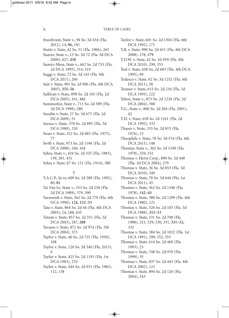Sturdivant, State v., 94 So. 3d 434 (Fla. 2012), 14, **96,** 191

- Stutts v. State, 42 So. 51 (Fla. 1906), 265
- Suarez, State v., 13 So. 3d 72 (Fla. 3d DCA 2009), 427, **430**
- Suarez-Mesa, State v., 662 So. 2d 735 (Fla. 2d DCA 1995), 314, 319

Suggs v. State, 72 So. 3d 145 (Fla. 4th DCA 2011), 260

- Suit v. State, 901 So. 2d 986 (Fla. 4th DCA 2005), **355–56**
- Sullivan v. State, 898 So. 2d 105 (Fla. 2d DCA 2005), 161, **162**
- Summerlot, State v., 711 So. 2d 589 (Fla. 3d DCA 1998), 280
- Sundin v. State, 27 So. 3d 675 (Fla. 2d DCA 2009), 51
- Surace v. State, 378 So. 2d 895 (Fla. 3d DCA 1980), 210
- Swan v. State, 322 So. 2d 485 (Fla. 1975), 77

Swift v. State, 973 So. 2d 1196 (Fla. 2d DCA 2008), 160, 164

- Sykes, State v., 434 So. 2d 325 (Fla. 1983), 139, 281, 431
- Sykes v. State, 67 So. 121 (Fla. 1914), 380

#### T

T.A.C.P., In re, 609 So. 2d 588 (Fla. 1992), 80, **81** Tai Van Le, State v., 553 So. 2d 258 (Fla. 2d DCA 1989), 379, 390 Tarawneh v. State, 562 So. 2d 770 (Fla. 4th DCA 1990), **124, 132–33** Tate v. State, 864 So. 2d 44 (Fla. 4th DCA 2003), 24, 188, 435 Tatum v. State, 857 So. 2d 331 (Fla. 2d DCA 2003), 287, **288** Tavares v. State, 871 So. 2d 974 (Fla. 5th DCA 2004), 373 Taylor v. State, 46 So. 2d 725 (Fla. 1950), 108 Taylor v. State, 120 So. 3d 540 (Fla. 2013), 6 Taylor v. State, 425 So. 2d 1191 (Fla. 1st DCA 1983), 276 Taylor v. State, 444 So. 2d 931 (Fla. 1983),

112, 138

- Taylor v. State, 601 So. 2d 1304 (Fla. 4th DCA 1992), 171
- T.B. v. State, 990 So. 2d 651 (Fla. 4th DCA 2008), 178, **179**
- T.D.W. v. State, 42 So. 3d 959 (Fla. 4th DCA 2010), 299, 353
- Teal v. State, 658 So. 2d 603 (Fla. 4th DCA 1995), 99
- Tedesco v. State, 62 So. 3d 1252 (Fla. 4th DCA 2011), 38
- Teemer v. State, 615 So. 2d 234 (Fla. 3d DCA 1993), 222
- Telesz, State v., 873 So. 2d 1236 (Fla. 2d DCA 2004), 300
- T.G., State v., 800 So. 2d 204 (Fla. 2001), 42
- T.H. v. State, 658 So. 2d 1161 (Fla. 2d DCA 1995), 332
- Thayer v. State, 335 So. 2d 815 (Fla. 1976), 15
- Theophile v. State, 78 So. 3d 574 (Fla. 4th DCA 2011), 148
- Thomas, State v., 362 So. 2d 1348 (Fla. 1978), 329, 332
- Thomas v. Hertz Corp., 890 So. 2d 448 (Fla. 3d DCA 2004), 279
- Thomas v. State, 36 So. 3d 853 (Fla. 3d DCA 2010), 349
- Thomas v. State, 78 So. 3d 644 (Fla. 1st DCA 2011), 45
- Thomas v. State, 362 So. 2d 1348 (Fla. 1978), **142–43**
- Thomas v. State, 380 So. 2d 1299 (Fla. 4th DCA 1980), 121
- Thomas v. State, 526 So. 2d 183 (Fla. 3d DCA 1988), **352–53**
- Thomas v. State, 531 So. 2d 708 (Fla. 1988), 321, 329, 330, 331, **331–32,** 332
- Thomas v. State, 584 So. 2d 1022 (Fla. 1st DCA 1991), 299, 352, 353
- Thomas v. State, 614 So. 2d 468 (Fla. 1993), 23
- Thomas v. State, 748 So. 2d 970 (Fla. 1999), 35
- Thomas v. State, 837 So. 2d 443 (Fla. 4th DCA 2002), 121
- Thomas v. State, 894 So. 2d 126 (Fla. 2004), 243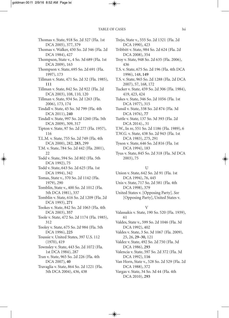Thomas v. State, 918 So. 2d 327 (Fla. 1st DCA 2005), 377, 379 Thomas v. Walker, 450 So. 2d 346 (Fla. 2d DCA 1984), 427 Thompson, State v., 4 So. 3d 689 (Fla. 1st DCA 2009), 163 Thompson v. State, 695 So. 2d 691 (Fla. 1997), 173 Tillman v. State, 471 So. 2d 32 (Fla. 1985), **111** Tillman v. State, 842 So. 2d 922 (Fla. 2d DCA 2003), 108, 110, 120 Tillman v. State, 934 So. 2d 1263 (Fla. 2006), 173, 174 Tindall v. State, 45 So. 3d 799 (Fla. 4th DCA 2011), **240** Tindall v. State, 997 So. 2d 1260 (Fla. 5th DCA 2009), 309, 317 Tipton v. State, 97 So. 2d 277 (Fla. 1957), 116 T.L.M. v. State, 755 So. 2d 749 (Fla. 4th DCA 2000), 282, **283,** 299 T.M. v. State, 784 So. 2d 442 (Fla. 2001), 22 Todd v. State, 594 So. 2d 802 (Fla. 5th DCA 1992), 75 Todd v. State, 643 So. 2d 625 (Fla. 1st DCA 1994), 342 Tomas, State v., 370 So. 2d 1142 (Fla. 1979), 290 Tomblin, State v., 400 So. 2d 1012 (Fla. 5th DCA 1981), 337 Tomblin v. State, 616 So. 2d 1209 (Fla. 2d DCA 1993), **271** Tookes v. State, 842 So. 2d 1063 (Fla. 4th DCA 2003), **357** Toole v. State, 472 So. 2d 1174 (Fla. 1985), 312 Tooley v. State, 675 So. 2d 984 (Fla. 5th DCA 1996), **225** Toussie v. United States, 397 U.S. 112 (1970), 419 Townsley v. State, 443 So. 2d 1072 (Fla. 1st DCA 1984), 287 Tran v. State, 965 So. 2d 226 (Fla. 4th DCA 2007), **40** Travaglia v. State, 864 So. 2d 1221 (Fla. 5th DCA 2004), 436, 438

Trejo, State v., 555 So. 2d 1321 (Fla. 2d DCA 1990), 423

- Tribbitt v. State, 984 So. 2d 624 (Fla. 2d DCA 2008), 354
- Troy v. State, 948 So. 2d 635 (Fla. 2006), 436
- T.S. v. State, 675 So. 2d 196 (Fla. 4th DCA 1996), 148, **149**
- T.S. v. State, 965 So. 2d 1288 (Fla. 2d DCA 2007), 57, 168, 172
- Tucker v. State, 459 So. 2d 306 (Fla. 1984), 419, 423, 424
- Tukes v. State, 346 So. 2d 1056 (Fla. 1st DCA 1977), 315
- Tunsil v. State, 338 So. 2d 874 (Fla. 3d DCA 1976), **77**
- Tuttle v. State, 137 So. 3d 393 (Fla. 2d DCA 2014)., 31
- T.W., In re, 551 So. 2d 1186 (Fla. 1989), 6
- T.W.G. v. State, 438 So. 2d 943 (Fla. 1st DCA 1983), 275, 291
- Tyson v. State, 646 So. 2d 816 (Fla. 1st DCA 1994), 183
- Tyus v. State, 845 So. 2d 318 (Fla. 3d DCA 2003), 75

#### U

- Union v. State, 642 So. 2d 91 (Fla. 1st DCA 1994), 76, 445
- Unis v. State, 717 So. 2d 581 (Fla. 4th DCA 1998), 379
- United States v. [Opposing Party]. *See* [Opposing Party], United States v.

#### V

- Valassakis v. State, 190 So. 520 (Fla. 1939), 61
- Valdes, State v., 599 So. 2d 1046 (Fla. 3d DCA 1992), 402
- Valdes v. State, 3 So. 3d 1067 (Fla. 2009), 25, 26, **29–30,** 121
- Valdez v. State, 492 So. 2d 750 (Fla. 3d DCA 1986), **293**
- Valencia v. State, 597 So. 2d 372 (Fla. 3d DCA 1992), **116**
- Van Horn, State v., 528 So. 2d 529 (Fla. 2d DCA 1988), 372
- Vargas v. State, 34 So. 3d 44 (Fla. 4th DCA 2010), **293**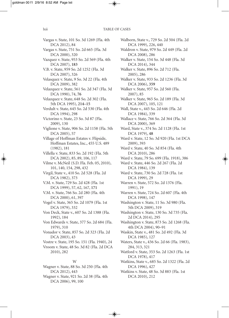Vargas v. State, 101 So. 3d 1269 (Fla. 4th DCA 2012), 84 Vargas v. State, 751 So. 2d 665 (Fla. 3d DCA 2000), 320 Vazquez v. State, 953 So. 2d 569 (Fla. 4th DCA 2007), **183** V.B. v. State, 959 So. 2d 1252 (Fla. 3d DCA 2007), 326 Velasquez v. State, 9 So. 3d 22 (Fla. 4th DCA 2009), 382 Velazquez v. State, 561 So. 2d 347 (Fla. 3d DCA 1990), 74, **76** Velazquez v. State, 648 So. 2d 302 (Fla. 5th DCA 1995), **214–15** Verdult v. State, 645 So. 2d 530 (Fla. 4th DCA 1994), 298 Victorino v. State, 23 So. 3d 87 (Fla. 2009), 130 Viglione v. State, 906 So. 2d 1158 (Fla. 5th DCA 2005), 57 Village of Hoffman Estates v. Flipside, Hoffman Estates, Inc., 455 U.S. 489 (1982), 181 Villella v. State, 833 So. 2d 192 (Fla. 5th DCA 2002), 85, 89, 106, 117 Vilme v. McNeil (S.D. Fla. Feb. 05, 2010), 101, 140, 154, 298, 432 Virgil, State v., 410 So. 2d 528 (Fla. 2d DCA 1982), 373 V.M. v. State, 729 So. 2d 428 (Fla. 1st DCA 1999), 57, 62, 167, **171** V.M. v. State, 766 So. 2d 280 (Fla. 4th DCA 2000), 61, 397 Vogel v. State, 365 So. 2d 1079 (Fla. 1st DCA 1979), 332 Von Deck, State v., 607 So. 2d 1388 (Fla. 1992), 184 Von Edwards v. State, 377 So. 2d 684 (Fla. 1979), 310 Vonador v. State, 857 So. 2d 323 (Fla. 2d DCA 2003), 43 Vostre v. State, 195 So. 151 (Fla. 1940), 24 Vroom v. State, 48 So. 3d 82 (Fla. 2d DCA 2010), 282 W Wagner v. State, 88 So. 3d 250 (Fla. 4th DCA 2012), 443

Wagner v. State, 921 So. 2d 38 (Fla. 4th DCA 2006), 99, 100

Walborn, State v., 729 So. 2d 504 (Fla. 2d DCA 1999), 226, 440

Waldron v. State, 979 So. 2d 449 (Fla. 2d DCA 2008), 286

- Walker v. State, 154 So. 3d 448 (Fla. 3d DCA 2014), 344
- Walker v. State, 896 So. 2d 712 (Fla. 2005), 286
- Walker v. State, 933 So. 2d 1236 (Fla. 3d DCA 2006), **359**
- Walker v. State, 957 So. 2d 560 (Fla. 2007), 85
- Walker v. State, 965 So. 2d 189 (Fla. 3d DCA 2007), 105, 121
- Wall, State v., 445 So. 2d 646 (Fla. 2d DCA 1984), 339
- Wallace v. State, 766 So. 2d 364 (Fla. 3d DCA 2000), 369
- Ward, State v., 374 So. 2d 1128 (Fla. 1st DCA 1979), **48**
- Ward v. State, 12 So. 3d 920 (Fla. 1st DCA 2009), 393
- Ward v. State, 40 So. 3d 854 (Fla. 4th DCA 2010), 286
- Ward v. State, 79 So. 699 (Fla. 1918), 386
- Ward v. State, 446 So. 2d 267 (Fla. 2d DCA 1984), 139
- Ward v. State, 730 So. 2d 728 (Fla. 1st DCA 1999), 29
- Warren v. State, 572 So. 2d 1376 (Fla. 1991), 19
- Warren v. State, 724 So. 2d 607 (Fla. 4th DCA 1998), 147
- Washington v. State, 11 So. 3d 980 (Fla. 5th DCA 2009), 319
- Washington v. State, 130 So. 3d 735 (Fla. 2d DCA 2014), 295
- Washington v. State, 873 So. 2d 1268 (Fla. 4th DCA 2004), 90–91
- Waskin, State v., 481 So. 2d 492 (Fla. 3d DCA 1985), 127
- Waters, State v., 436 So. 2d 66 (Fla. 1983), 284, 313, 321
- Watford v. State, 353 So. 2d 1263 (Fla. 1st DCA 1978), 417
- Watkins, State v., 685 So. 2d 1322 (Fla. 2d DCA 1996), 427
- Watkins v. State, 48 So. 3d 883 (Fla. 1st DCA 2010), 212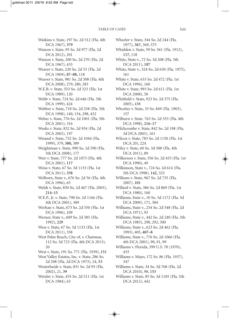Watkins v. State, 197 So. 2d 312 (Fla. 4th DCA 1967), **379** Watson v. State, 95 So. 3d 977 (Fla. 2d DCA 2012), 201 Watson v. State, 200 So. 2d 270 (Fla. 2d DCA 1967), 433 Weaver v. State, 220 So. 2d 53 (Fla. 2d DCA 1969), **87–88,** 118 Weaver v. State, 981 So. 2d 508 (Fla. 4th DCA 2008), 279, 280, 283 W.E.B. v. State, 553 So. 2d 323 (Fla. 1st DCA 1989), 120 Webb v. State, 724 So. 2d 646 (Fla. 5th DCA 1999), 424 Webber v. State, 718 So. 2d 258 (Fla. 5th DCA 1998), 140, 154, 298, 432 Weber v. State, 776 So. 2d 1001 (Fla. 5th DCA 2001), 316 Weeks v. State, 832 So. 2d 954 (Fla. 2d DCA 2002), 197 Weiand v. State, 732 So. 2d 1044 (Fla. 1999), 379, **380,** 389 Weightman v. State, 990 So. 2d 590 (Fla. 5th DCA 2008), 177 Weir v. State, 777 So. 2d 1073 (Fla. 4th DCA 2001), **117** Weiss v. State, 67 So. 3d 1133 (Fla. 1st DCA 2011), **358** Welborn, State v., 676 So. 2d 56 (Fla. 4th DCA 1996), 65 Welsh v. State, 850 So. 2d 467 (Fla. 2003), **214–15** W.E.P., Jr. v. State, 790 So. 2d 1166 (Fla. 4th DCA 2001), 389 Werhan v. State, 673 So. 2d 550 (Fla. 1st DCA 1996), 109 Werner, State v., 609 So. 2d 585 (Fla. 1992), **229** Wess v. State, 67 So. 3d 1133 (Fla. 1st DCA 2011), 358 West Palm Beach, City of, v. Chatman, 112 So. 3d 723 (Fla. 4th DCA 2013), 20 West v. State, 191 So. 771 (Fla. 1939), **151** West Valley Estates, Inc. v. State, 286 So. 2d 208 (Fla. 2d DCA 1973), 24, **53** Westerheide v. State, 831 So. 2d 93 (Fla. 2002), 21, **39** Wetzler v. State, 455 So. 2d 511 (Fla. 1st DCA 1984), 63

Wheeler v. State, 344 So. 2d 244 (Fla. 1977), **367,** 369, 375 Whidden v. State, 59 So. 561 (Fla. 1912), **117,** 118 White, State v., 72 So. 3d 208 (Fla. 5th DCA 2011), **107** White, State v., 324 So. 2d 630 (Fla. 1975), 161 White v. State, 633 So. 2d 472 (Fla. 1st DCA 1994), 160 White v. State, 993 So. 2d 611 (Fla. 1st DCA 2008), 58 Whitfield v. State, 923 So. 2d 375 (Fla. 2005), 438 Whorley v. State, 33 So. 849 (Fla. 1903), 157 Wilburn v. State. 763 So. 2d 353 (Fla. 4th DCA 1998), **216–17** Wilchcombe v. State, 842 So. 2d 198 (Fla. 3d DCA 2003), 161 Wilcox v. State, 783 So. 2d 1150 (Fla. 1st DCA 20), 224 Wiley v. State, 60 So. 3d 588 (Fla. 4th DCA 2011), 89 Wilkerson v. State, 556 So. 2d 453 (Fla. 1st DCA 1990), 49 Wilkinson, State v., 724 So. 2d 614 (Fla. 5th DCA 1998), **142,** 325 Willams v. State, 967 So. 2d 735 (Fla. 2007), **101** Willard v. State, 386 So. 2d 869 (Fla. 1st DCA 1980), 160 Williams, State v., 10 So. 3d 1172 (Fla. 3d DCA 2009), 171, 384 Williams, State v., 254 So. 2d 548 (Fla. 2d DCA 1971), 93 Williams, State v., 442 So. 2d 240 (Fla. 5th DCA 1983), 290, 292, 300 Williams, State v., 623 So. 2d 462 (Fla. 1993), 405, **407–8** Williams, State v., 776 So. 2d 1066 (Fla. 4th DCA 2001), 90, 91, 99 Williams v. Florida, 399 U.S. 78 (1970), 433 Williams v. Mayo, 172 So. 86 (Fla. 1937), 347 Williams v. State, 34 So. 3d 768 (Fla. 2d DCA 2010), 98, **153** Williams v. State, 85 So. 3d 1185 (Fla. 5th DCA 2012), 442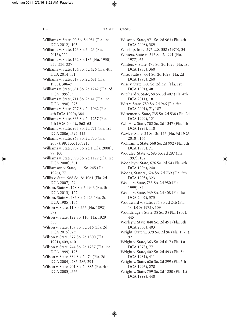Williams v. State, 90 So. 3d 931 (Fla. 1st DCA 2012), **105** Williams v. State, 123 So. 3d 23 (Fla. 2013), **111** Williams v. State, 132 So. 186 (Fla. 1930), 335, 336, 337 Williams v. State, 154 So. 3d 426 (Fla. 4th DCA 2014), 51 Williams v. State, 517 So. 2d 681 (Fla. 1988), **306–7** Williams v. State, 651 So. 2d 1242 (Fla. 2d DCA 1995), 355 Williams v. State, 711 So. 2d 41 (Fla. 1st DCA 1998), 273 Williams v. State, 727 So. 2d 1062 (Fla. 4th DCA 1999), 384 Williams v. State, 863 So. 2d 1257 (Fla. 4th DCA 2004)., **362–63** Williams v. State, 937 So. 2d 771 (Fla. 1st DCA 2006), 392, 413 Williams v. State, 967 So. 2d 735 (Fla. 2007), 98, 135, 137, 213 Williams v. State, 987 So. 2d 1 (Fla. 2008), 99, 100 Williams v. State, 990 So. 2d 1122 (Fla. 1st DCA 2008), 361 Williamson v. State, 111 So. 245 (Fla. 1926), 77 Willis v. State, 968 So. 2d 1061 (Fla. 2d DCA 2007), 29 Wilson, State v., 128 So. 3d 946 (Fla. 5th DCA 2013), 127 Wilson, State v., 483 So. 2d 23 (Fla. 2d DCA 1985), 154 Wilson v. State, 11 So. 556 (Fla. 1892), 379 Wilson v. State, 122 So. 110 (Fla. 1929), 380 Wilson v. State, 159 So. 3d 316 (Fla. 2d DCA 2015), 239 Wilson v. State, 577 So. 2d 1300 (Fla. 1991), 409, 410 Wilson v. State, 744 So. 2d 1237 (Fla. 1st DCA 1999), 193 Wilson v. State, 884 So. 2d 74 (Fla. 2d DCA 2004), 285, 286, 294 Wilson v. State, 901 So. 2d 885 (Fla. 4th DCA 2005), 356

Wilson v. State, 971 So. 2d 963 (Fla. 4th DCA 2008), 389 Winship, In re, 397 U.S. 358 (1970), 34 Winters, State v., 346 So. 2d 991 (Fla. 1977), **65** Winters v. State, 475 So. 2d 1025 (Fla. 1st DCA 1985), 360 Wise, State v., 664 So. 2d 1028 (Fla. 2d DCA 1995), 260 Wise v. State, 580 So. 2d 329 (Fla. 1st DCA 1991), **48** Witchard v. State, 68 So. 3d 407 (Fla. 4th DCA 2011), **18** Witt v. State, 780 So. 2d 946 (Fla. 5th DCA 2001), **71,** 187 Wittemen v. State, 735 So. 2d 538 (Fla. 2d DCA 1999), 121 W.L.H. v. State, 702 So. 2d 1347 (Fla. 4th DCA 1997), 110 W.M. v. State, 34 So. 3d 146 (Fla. 3d DCA 2010), 166 Wolfram v. State, 568 So. 2d 992 (Fla. 5th DCA 1990), 71 Woodley, State v., 695 So. 2d 297 (Fla. 1997), 102 Woodley v. State, 676 So. 2d 54 (Fla. 4th DCA 1996), 240 Woods, State v., 624 So. 2d 739 (Fla. 5th DCA 1993), 323 Woods v. State, 733 So. 2d 980 (Fla. 1999), 84 Woods v. State, 969 So. 2d 408 (Fla. 1st DCA 2007), 373 Woodward v. State, 274 So.2d 246 (Fla. 1st DCA 1973), 109 Wooldridge v State, 38 So. 3 (Fla. 1905), 445 Worley v. State, 848 So. 2d 491 (Fla. 5th DCA 2003), 403 Wright, State v., 379 So. 2d 96 (Fla. 1979), 92 Wright v. State, 363 So. 2d 617 (Fla. 1st DCA 1978), 77 Wright v. State, 402 So. 2d 493 (Fla. 3d DCA 1981), 411 Wright v. State, 626 So. 2d 299 (Fla. 5th DCA 1993), **278** Wright v. State, 739 So. 2d 1230 (Fla. 1st DCA 1999), 440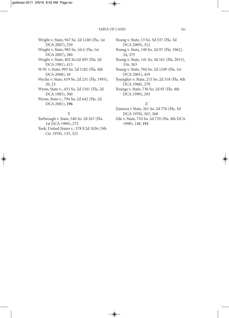Wright v. State, 947 So. 2d 1240 (Fla. 1st DCA 2007), 250 Wright v. State, 983 So. 2d 6 (Fla. 1st DCA 2007), 280 Wright v. State, 402 So.2d 493 (Fla. 3d DCA 1981), 413 W.W. v. State, 993 So. 2d 1182 (Fla. 4th DCA 2008), 49 Wyche v. State, 619 So. 2d 231 (Fla. 1993), 20, 23 Wynn, State v., 433 So. 2d 1341 (Fla. 2d DCA 1983), 300 Wynn, State v., 794 So. 2d 642 (Fla. 2d DCA 2001), **196**

#### Y

Yarbrough v. State, 540 So. 2d 267 (Fla. 1st DCA 1989), 275 York, United States v., 578 F.2d 1036 (5th Cir. 1978), 135, 322

Young v. State, 13 So. 3d 537 (Fla. 3d DCA 2009), 312

Young v. State, 140 So. 2d 97 (Fla. 1962), 24, 375

Young v. State, 141 So. 3d 161 (Fla. 2013), 316, 363

Young v. State, 784 So. 2d 1249 (Fla. 1st DCA 2001), 419

Youngker v. State, 215 So. 2d 318 (Fla. 4th DCA 1968), 279

Youngs v. State, 736 So. 2d 85 (Fla. 4th DCA 1999), 293

#### Z

Zamora v State, 361 So. 2d 776 (Fla. 3d DCA 1978), 367, 368

Zile v. State, 710 So. 2d 729 (Fla. 4th DCA 1998), 148, **192**